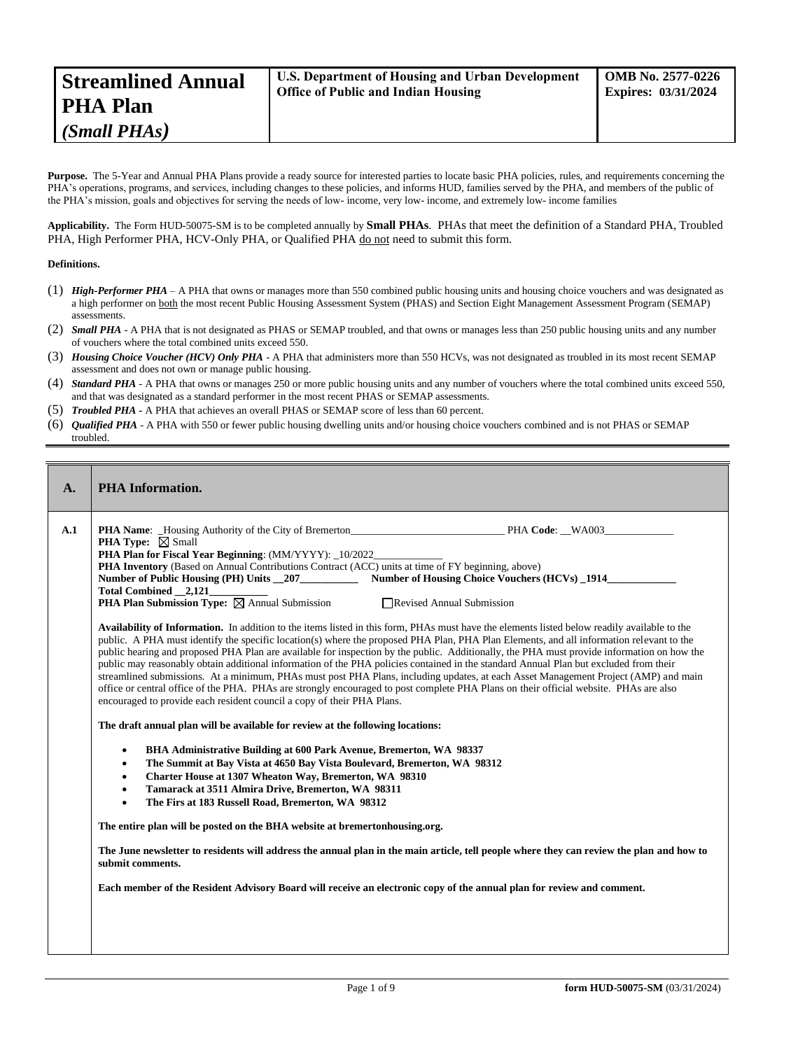| <b>Streamlined Annual</b> | <b>U.S. Department of Housing and Urban Development</b> | <b>OMB</b> No. 2577-0226   |
|---------------------------|---------------------------------------------------------|----------------------------|
| PHA Plan                  | <b>Office of Public and Indian Housing</b>              | <b>Expires: 03/31/2024</b> |
| (Small PHAs)              |                                                         |                            |

Purpose. The 5-Year and Annual PHA Plans provide a ready source for interested parties to locate basic PHA policies, rules, and requirements concerning the PHA's operations, programs, and services, including changes to these policies, and informs HUD, families served by the PHA, and members of the public of the PHA's mission, goals and objectives for serving the needs of low- income, very low- income, and extremely low- income families

**Applicability.** The Form HUD-50075-SM is to be completed annually by **Small PHAs**. PHAs that meet the definition of a Standard PHA, Troubled PHA, High Performer PHA, HCV-Only PHA, or Qualified PHA do not need to submit this form.

#### **Definitions.**

- (1) *High-Performer PHA* A PHA that owns or manages more than 550 combined public housing units and housing choice vouchers and was designated as a high performer on both the most recent Public Housing Assessment System (PHAS) and Section Eight Management Assessment Program (SEMAP) assessments.
- (2) *Small PHA* A PHA that is not designated as PHAS or SEMAP troubled, and that owns or manages less than 250 public housing units and any number of vouchers where the total combined units exceed 550.
- (3) *Housing Choice Voucher (HCV) Only PHA* A PHA that administers more than 550 HCVs, was not designated as troubled in its most recent SEMAP assessment and does not own or manage public housing.
- (4) *Standard PHA* A PHA that owns or manages 250 or more public housing units and any number of vouchers where the total combined units exceed 550, and that was designated as a standard performer in the most recent PHAS or SEMAP assessments.
- (5) *Troubled PHA* **-** A PHA that achieves an overall PHAS or SEMAP score of less than 60 percent.
- (6) *Qualified PHA* A PHA with 550 or fewer public housing dwelling units and/or housing choice vouchers combined and is not PHAS or SEMAP troubled.

| <b>PHA</b> Information.                                                                                                                                                                                                                                                                                                                                                                                                                                                                                                                                                                                                                                                                                                                                                                                                                                                                                                                                                                                                                                                                                                                                                                                                                                                                                                                                                                                                                                                                                                                                                                                                                                                                                                                                                                                                                                                                                                                                                                                                                                                                                                                                                                                                                                                          |
|----------------------------------------------------------------------------------------------------------------------------------------------------------------------------------------------------------------------------------------------------------------------------------------------------------------------------------------------------------------------------------------------------------------------------------------------------------------------------------------------------------------------------------------------------------------------------------------------------------------------------------------------------------------------------------------------------------------------------------------------------------------------------------------------------------------------------------------------------------------------------------------------------------------------------------------------------------------------------------------------------------------------------------------------------------------------------------------------------------------------------------------------------------------------------------------------------------------------------------------------------------------------------------------------------------------------------------------------------------------------------------------------------------------------------------------------------------------------------------------------------------------------------------------------------------------------------------------------------------------------------------------------------------------------------------------------------------------------------------------------------------------------------------------------------------------------------------------------------------------------------------------------------------------------------------------------------------------------------------------------------------------------------------------------------------------------------------------------------------------------------------------------------------------------------------------------------------------------------------------------------------------------------------|
| <b>PHA Name:</b> Housing Authority of the City of Bremerton PHA Code: WA003<br><b>PHA Type:</b> $\boxtimes$ Small<br>PHA Plan for Fiscal Year Beginning: (MM/YYYY): _10/2022_<br><b>PHA Inventory</b> (Based on Annual Contributions Contract (ACC) units at time of FY beginning, above)<br>Number of Public Housing (PH) Units 207 Number of Housing Choice Vouchers (HCVs) 1914<br><b>PHA Plan Submission Type:</b> $\boxtimes$ Annual Submission<br>Revised Annual Submission<br>Availability of Information. In addition to the items listed in this form, PHAs must have the elements listed below readily available to the<br>public. A PHA must identify the specific location(s) where the proposed PHA Plan, PHA Plan Elements, and all information relevant to the<br>public hearing and proposed PHA Plan are available for inspection by the public. Additionally, the PHA must provide information on how the<br>public may reasonably obtain additional information of the PHA policies contained in the standard Annual Plan but excluded from their<br>streamlined submissions. At a minimum, PHAs must post PHA Plans, including updates, at each Asset Management Project (AMP) and main<br>office or central office of the PHA. PHAs are strongly encouraged to post complete PHA Plans on their official website. PHAs are also<br>encouraged to provide each resident council a copy of their PHA Plans.<br>The draft annual plan will be available for review at the following locations:<br>BHA Administrative Building at 600 Park Avenue, Bremerton, WA 98337<br>$\bullet$<br>The Summit at Bay Vista at 4650 Bay Vista Boulevard, Bremerton, WA 98312<br>$\bullet$<br>Charter House at 1307 Wheaton Way, Bremerton, WA 98310<br>$\bullet$<br>Tamarack at 3511 Almira Drive, Bremerton, WA 98311<br>$\bullet$<br>The Firs at 183 Russell Road, Bremerton, WA 98312<br>$\bullet$<br>The entire plan will be posted on the BHA website at bremertonhousing.org.<br>The June newsletter to residents will address the annual plan in the main article, tell people where they can review the plan and how to<br>submit comments.<br>Each member of the Resident Advisory Board will receive an electronic copy of the annual plan for review and comment. |
|                                                                                                                                                                                                                                                                                                                                                                                                                                                                                                                                                                                                                                                                                                                                                                                                                                                                                                                                                                                                                                                                                                                                                                                                                                                                                                                                                                                                                                                                                                                                                                                                                                                                                                                                                                                                                                                                                                                                                                                                                                                                                                                                                                                                                                                                                  |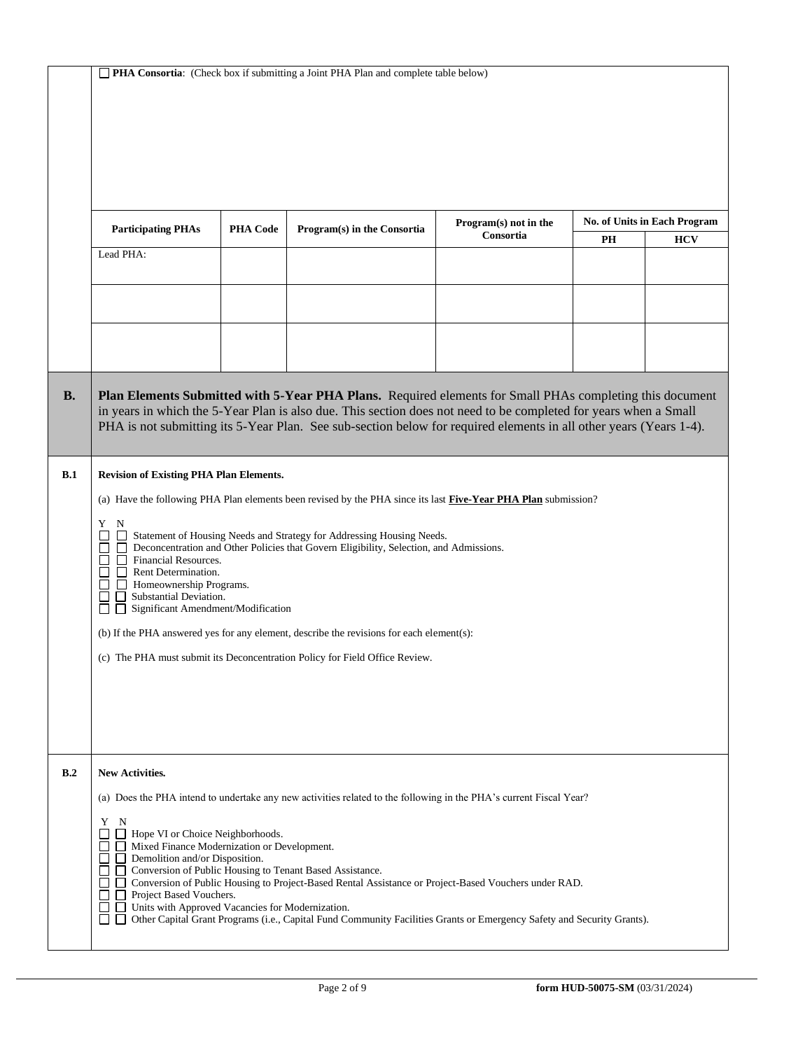|  |  | PHA Consortia: (Check box if submitting a Joint PHA Plan and complete table below) |
|--|--|------------------------------------------------------------------------------------|
|--|--|------------------------------------------------------------------------------------|

|           | <b>Participating PHAs</b>                                                                                                                                                                                                                                                                                                                                                                                                                                                                                                              | <b>PHA Code</b> | Program(s) in the Consortia                                                                                                                                                                                                                                                                                                                               | Program(s) not in the<br>Consortia |           | <b>No. of Units in Each Program</b> |
|-----------|----------------------------------------------------------------------------------------------------------------------------------------------------------------------------------------------------------------------------------------------------------------------------------------------------------------------------------------------------------------------------------------------------------------------------------------------------------------------------------------------------------------------------------------|-----------------|-----------------------------------------------------------------------------------------------------------------------------------------------------------------------------------------------------------------------------------------------------------------------------------------------------------------------------------------------------------|------------------------------------|-----------|-------------------------------------|
|           | Lead PHA:                                                                                                                                                                                                                                                                                                                                                                                                                                                                                                                              |                 |                                                                                                                                                                                                                                                                                                                                                           |                                    | <b>PH</b> | <b>HCV</b>                          |
|           |                                                                                                                                                                                                                                                                                                                                                                                                                                                                                                                                        |                 |                                                                                                                                                                                                                                                                                                                                                           |                                    |           |                                     |
|           |                                                                                                                                                                                                                                                                                                                                                                                                                                                                                                                                        |                 |                                                                                                                                                                                                                                                                                                                                                           |                                    |           |                                     |
|           |                                                                                                                                                                                                                                                                                                                                                                                                                                                                                                                                        |                 |                                                                                                                                                                                                                                                                                                                                                           |                                    |           |                                     |
|           |                                                                                                                                                                                                                                                                                                                                                                                                                                                                                                                                        |                 |                                                                                                                                                                                                                                                                                                                                                           |                                    |           |                                     |
| <b>B.</b> |                                                                                                                                                                                                                                                                                                                                                                                                                                                                                                                                        |                 | <b>Plan Elements Submitted with 5-Year PHA Plans.</b> Required elements for Small PHAs completing this document<br>in years in which the 5-Year Plan is also due. This section does not need to be completed for years when a Small<br>PHA is not submitting its 5-Year Plan. See sub-section below for required elements in all other years (Years 1-4). |                                    |           |                                     |
| B.1       | <b>Revision of Existing PHA Plan Elements.</b>                                                                                                                                                                                                                                                                                                                                                                                                                                                                                         |                 |                                                                                                                                                                                                                                                                                                                                                           |                                    |           |                                     |
|           |                                                                                                                                                                                                                                                                                                                                                                                                                                                                                                                                        |                 | (a) Have the following PHA Plan elements been revised by the PHA since its last Five-Year PHA Plan submission?                                                                                                                                                                                                                                            |                                    |           |                                     |
|           | Y N<br>Statement of Housing Needs and Strategy for Addressing Housing Needs.<br>Deconcentration and Other Policies that Govern Eligibility, Selection, and Admissions.<br>$\Box$<br>П<br>Financial Resources.<br>П<br>Rent Determination.<br>$\Box$ Homeownership Programs.<br>Substantial Deviation.<br>Significant Amendment/Modification<br>$\mathsf{L}$<br>(b) If the PHA answered yes for any element, describe the revisions for each element(s):<br>(c) The PHA must submit its Deconcentration Policy for Field Office Review. |                 |                                                                                                                                                                                                                                                                                                                                                           |                                    |           |                                     |
| B.2       | New Activities.                                                                                                                                                                                                                                                                                                                                                                                                                                                                                                                        |                 |                                                                                                                                                                                                                                                                                                                                                           |                                    |           |                                     |
|           |                                                                                                                                                                                                                                                                                                                                                                                                                                                                                                                                        |                 | (a) Does the PHA intend to undertake any new activities related to the following in the PHA's current Fiscal Year?                                                                                                                                                                                                                                        |                                    |           |                                     |
|           | Y<br>N<br>Hope VI or Choice Neighborhoods.                                                                                                                                                                                                                                                                                                                                                                                                                                                                                             |                 |                                                                                                                                                                                                                                                                                                                                                           |                                    |           |                                     |
|           | Mixed Finance Modernization or Development.<br>$\Box$<br>Demolition and/or Disposition.<br>$\Box$<br>П                                                                                                                                                                                                                                                                                                                                                                                                                                 |                 | Conversion of Public Housing to Tenant Based Assistance.                                                                                                                                                                                                                                                                                                  |                                    |           |                                     |
|           | $\Box$<br>Project Based Vouchers.<br>$\perp$                                                                                                                                                                                                                                                                                                                                                                                                                                                                                           |                 | Conversion of Public Housing to Project-Based Rental Assistance or Project-Based Vouchers under RAD.                                                                                                                                                                                                                                                      |                                    |           |                                     |
|           | Units with Approved Vacancies for Modernization.<br>$\perp$<br>ப                                                                                                                                                                                                                                                                                                                                                                                                                                                                       |                 | Other Capital Grant Programs (i.e., Capital Fund Community Facilities Grants or Emergency Safety and Security Grants).                                                                                                                                                                                                                                    |                                    |           |                                     |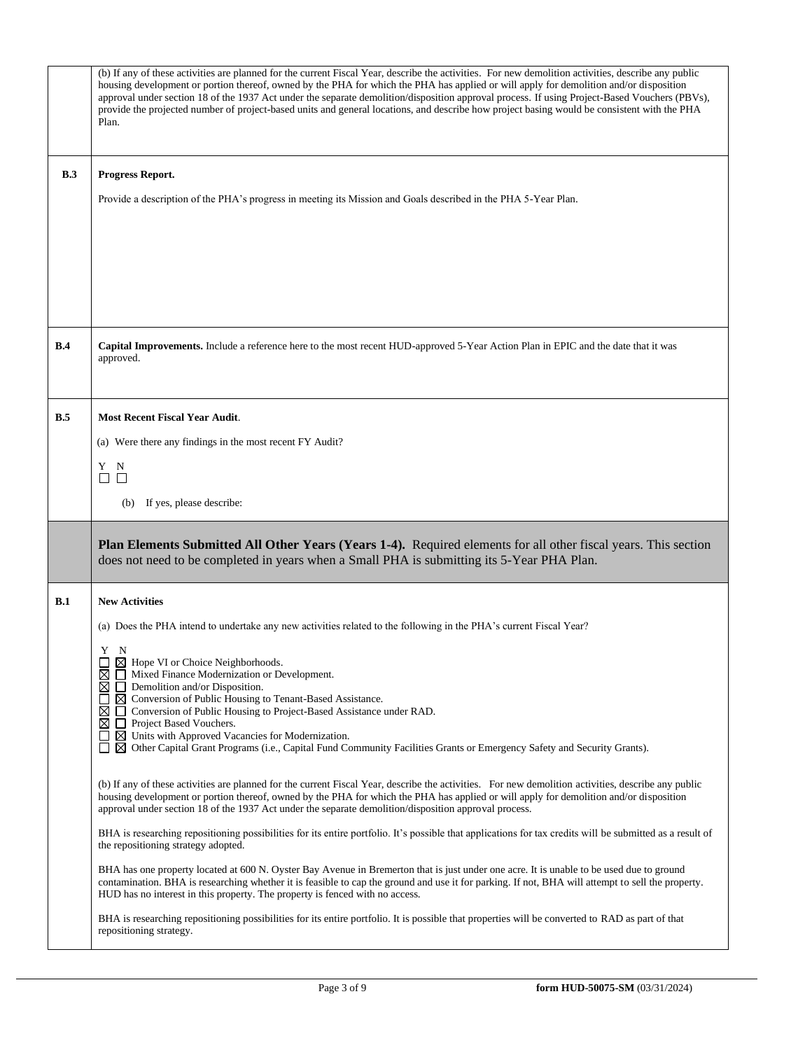|     | (b) If any of these activities are planned for the current Fiscal Year, describe the activities. For new demolition activities, describe any public<br>housing development or portion thereof, owned by the PHA for which the PHA has applied or will apply for demolition and/or disposition<br>approval under section 18 of the 1937 Act under the separate demolition/disposition approval process. If using Project-Based Vouchers (PBVs),<br>provide the projected number of project-based units and general locations, and describe how project basing would be consistent with the PHA<br>Plan. |
|-----|--------------------------------------------------------------------------------------------------------------------------------------------------------------------------------------------------------------------------------------------------------------------------------------------------------------------------------------------------------------------------------------------------------------------------------------------------------------------------------------------------------------------------------------------------------------------------------------------------------|
| B.3 | Progress Report.                                                                                                                                                                                                                                                                                                                                                                                                                                                                                                                                                                                       |
|     | Provide a description of the PHA's progress in meeting its Mission and Goals described in the PHA 5-Year Plan.                                                                                                                                                                                                                                                                                                                                                                                                                                                                                         |
|     |                                                                                                                                                                                                                                                                                                                                                                                                                                                                                                                                                                                                        |
|     |                                                                                                                                                                                                                                                                                                                                                                                                                                                                                                                                                                                                        |
|     |                                                                                                                                                                                                                                                                                                                                                                                                                                                                                                                                                                                                        |
|     |                                                                                                                                                                                                                                                                                                                                                                                                                                                                                                                                                                                                        |
| B.4 | Capital Improvements. Include a reference here to the most recent HUD-approved 5-Year Action Plan in EPIC and the date that it was<br>approved.                                                                                                                                                                                                                                                                                                                                                                                                                                                        |
|     |                                                                                                                                                                                                                                                                                                                                                                                                                                                                                                                                                                                                        |
| B.5 | <b>Most Recent Fiscal Year Audit.</b><br>(a) Were there any findings in the most recent FY Audit?                                                                                                                                                                                                                                                                                                                                                                                                                                                                                                      |
|     | Y N                                                                                                                                                                                                                                                                                                                                                                                                                                                                                                                                                                                                    |
|     | $\Box$<br>□                                                                                                                                                                                                                                                                                                                                                                                                                                                                                                                                                                                            |
|     | If yes, please describe:<br>(b)                                                                                                                                                                                                                                                                                                                                                                                                                                                                                                                                                                        |
|     | Plan Elements Submitted All Other Years (Years 1-4). Required elements for all other fiscal years. This section<br>does not need to be completed in years when a Small PHA is submitting its 5-Year PHA Plan.                                                                                                                                                                                                                                                                                                                                                                                          |
| B.1 | <b>New Activities</b>                                                                                                                                                                                                                                                                                                                                                                                                                                                                                                                                                                                  |
|     | (a) Does the PHA intend to undertake any new activities related to the following in the PHA's current Fiscal Year?                                                                                                                                                                                                                                                                                                                                                                                                                                                                                     |
|     | Y N<br>$\boxtimes$ Hope VI or Choice Neighborhoods.                                                                                                                                                                                                                                                                                                                                                                                                                                                                                                                                                    |
|     | $\boxtimes$<br>Mixed Finance Modernization or Development.<br>$\boxtimes$ $\Box$ Demolition and/or Disposition.                                                                                                                                                                                                                                                                                                                                                                                                                                                                                        |
|     | $\boxtimes$ Conversion of Public Housing to Tenant-Based Assistance.<br>$\mathsf{L}$<br>⊠<br>Conversion of Public Housing to Project-Based Assistance under RAD.<br>$\Box$                                                                                                                                                                                                                                                                                                                                                                                                                             |
|     | ⊠<br>Project Based Vouchers.<br>$\Box$ $\boxtimes$ Units with Approved Vacancies for Modernization.<br>$\boxtimes$ Other Capital Grant Programs (i.e., Capital Fund Community Facilities Grants or Emergency Safety and Security Grants).                                                                                                                                                                                                                                                                                                                                                              |
|     | (b) If any of these activities are planned for the current Fiscal Year, describe the activities. For new demolition activities, describe any public<br>housing development or portion thereof, owned by the PHA for which the PHA has applied or will apply for demolition and/or disposition<br>approval under section 18 of the 1937 Act under the separate demolition/disposition approval process.                                                                                                                                                                                                 |
|     | BHA is researching repositioning possibilities for its entire portfolio. It's possible that applications for tax credits will be submitted as a result of<br>the repositioning strategy adopted.                                                                                                                                                                                                                                                                                                                                                                                                       |
|     | BHA has one property located at 600 N. Oyster Bay Avenue in Bremerton that is just under one acre. It is unable to be used due to ground<br>contamination. BHA is researching whether it is feasible to cap the ground and use it for parking. If not, BHA will attempt to sell the property.<br>HUD has no interest in this property. The property is fenced with no access.                                                                                                                                                                                                                          |
|     | BHA is researching repositioning possibilities for its entire portfolio. It is possible that properties will be converted to RAD as part of that<br>repositioning strategy.                                                                                                                                                                                                                                                                                                                                                                                                                            |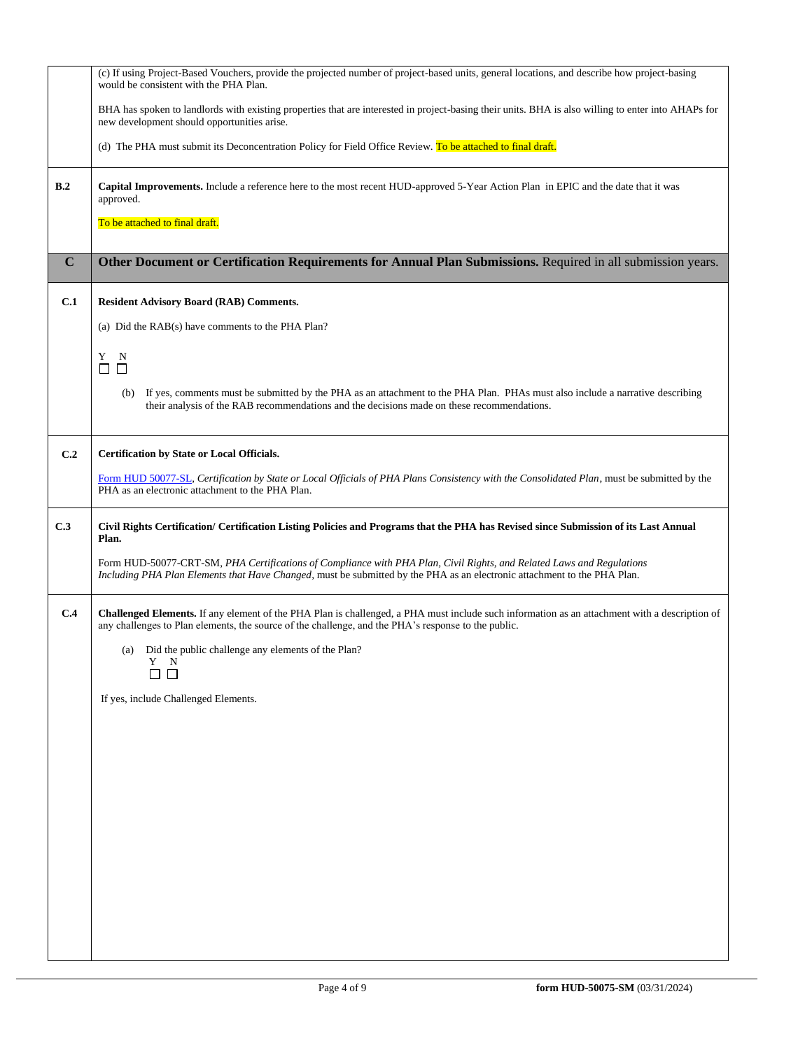|             | (c) If using Project-Based Vouchers, provide the projected number of project-based units, general locations, and describe how project-basing<br>would be consistent with the PHA Plan.                                                               |
|-------------|------------------------------------------------------------------------------------------------------------------------------------------------------------------------------------------------------------------------------------------------------|
|             | BHA has spoken to landlords with existing properties that are interested in project-basing their units. BHA is also willing to enter into AHAPs for<br>new development should opportunities arise.                                                   |
|             | (d) The PHA must submit its Deconcentration Policy for Field Office Review. To be attached to final draft.                                                                                                                                           |
| B.2         | Capital Improvements. Include a reference here to the most recent HUD-approved 5-Year Action Plan in EPIC and the date that it was<br>approved.                                                                                                      |
|             | To be attached to final draft.                                                                                                                                                                                                                       |
| $\mathbf C$ | Other Document or Certification Requirements for Annual Plan Submissions. Required in all submission years.                                                                                                                                          |
| C.1         | <b>Resident Advisory Board (RAB) Comments.</b>                                                                                                                                                                                                       |
|             | (a) Did the RAB(s) have comments to the PHA Plan?                                                                                                                                                                                                    |
|             | Y N<br>$\Box$<br>$\Box$                                                                                                                                                                                                                              |
|             | If yes, comments must be submitted by the PHA as an attachment to the PHA Plan. PHAs must also include a narrative describing<br>(b)<br>their analysis of the RAB recommendations and the decisions made on these recommendations.                   |
| C.2         | Certification by State or Local Officials.                                                                                                                                                                                                           |
|             | Form HUD 50077-SL, Certification by State or Local Officials of PHA Plans Consistency with the Consolidated Plan, must be submitted by the<br>PHA as an electronic attachment to the PHA Plan.                                                       |
| C.3         | Civil Rights Certification/ Certification Listing Policies and Programs that the PHA has Revised since Submission of its Last Annual<br>Plan.                                                                                                        |
|             | Form HUD-50077-CRT-SM, PHA Certifications of Compliance with PHA Plan, Civil Rights, and Related Laws and Regulations<br>Including PHA Plan Elements that Have Changed, must be submitted by the PHA as an electronic attachment to the PHA Plan.    |
| C.4         | Challenged Elements. If any element of the PHA Plan is challenged, a PHA must include such information as an attachment with a description of<br>any challenges to Plan elements, the source of the challenge, and the PHA's response to the public. |
|             | (a) Did the public challenge any elements of the Plan?<br>Y<br>N                                                                                                                                                                                     |
|             | If yes, include Challenged Elements.                                                                                                                                                                                                                 |
|             |                                                                                                                                                                                                                                                      |
|             |                                                                                                                                                                                                                                                      |
|             |                                                                                                                                                                                                                                                      |
|             |                                                                                                                                                                                                                                                      |
|             |                                                                                                                                                                                                                                                      |
|             |                                                                                                                                                                                                                                                      |
|             |                                                                                                                                                                                                                                                      |
|             |                                                                                                                                                                                                                                                      |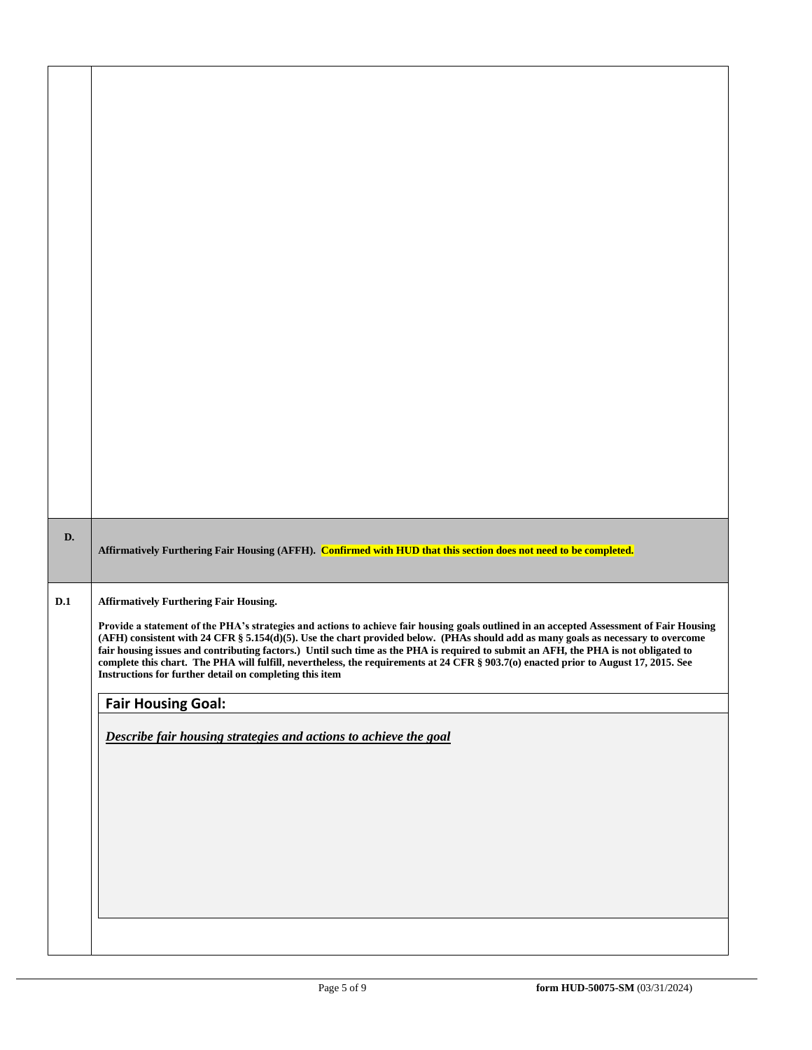| D.  | Affirmatively Furthering Fair Housing (AFFH). Confirmed with HUD that this section does not need to be completed.                                                                                                                                                                                                                                                                                                                                                                                                                                                                                                       |
|-----|-------------------------------------------------------------------------------------------------------------------------------------------------------------------------------------------------------------------------------------------------------------------------------------------------------------------------------------------------------------------------------------------------------------------------------------------------------------------------------------------------------------------------------------------------------------------------------------------------------------------------|
| D.1 | <b>Affirmatively Furthering Fair Housing.</b>                                                                                                                                                                                                                                                                                                                                                                                                                                                                                                                                                                           |
|     | Provide a statement of the PHA's strategies and actions to achieve fair housing goals outlined in an accepted Assessment of Fair Housing<br>(AFH) consistent with 24 CFR § 5.154(d)(5). Use the chart provided below. (PHAs should add as many goals as necessary to overcome<br>fair housing issues and contributing factors.) Until such time as the PHA is required to submit an AFH, the PHA is not obligated to<br>complete this chart. The PHA will fulfill, nevertheless, the requirements at 24 CFR § 903.7(o) enacted prior to August 17, 2015. See<br>Instructions for further detail on completing this item |
|     | <b>Fair Housing Goal:</b>                                                                                                                                                                                                                                                                                                                                                                                                                                                                                                                                                                                               |
|     | Describe fair housing strategies and actions to achieve the goal                                                                                                                                                                                                                                                                                                                                                                                                                                                                                                                                                        |
|     |                                                                                                                                                                                                                                                                                                                                                                                                                                                                                                                                                                                                                         |
|     |                                                                                                                                                                                                                                                                                                                                                                                                                                                                                                                                                                                                                         |
|     |                                                                                                                                                                                                                                                                                                                                                                                                                                                                                                                                                                                                                         |
|     |                                                                                                                                                                                                                                                                                                                                                                                                                                                                                                                                                                                                                         |
|     |                                                                                                                                                                                                                                                                                                                                                                                                                                                                                                                                                                                                                         |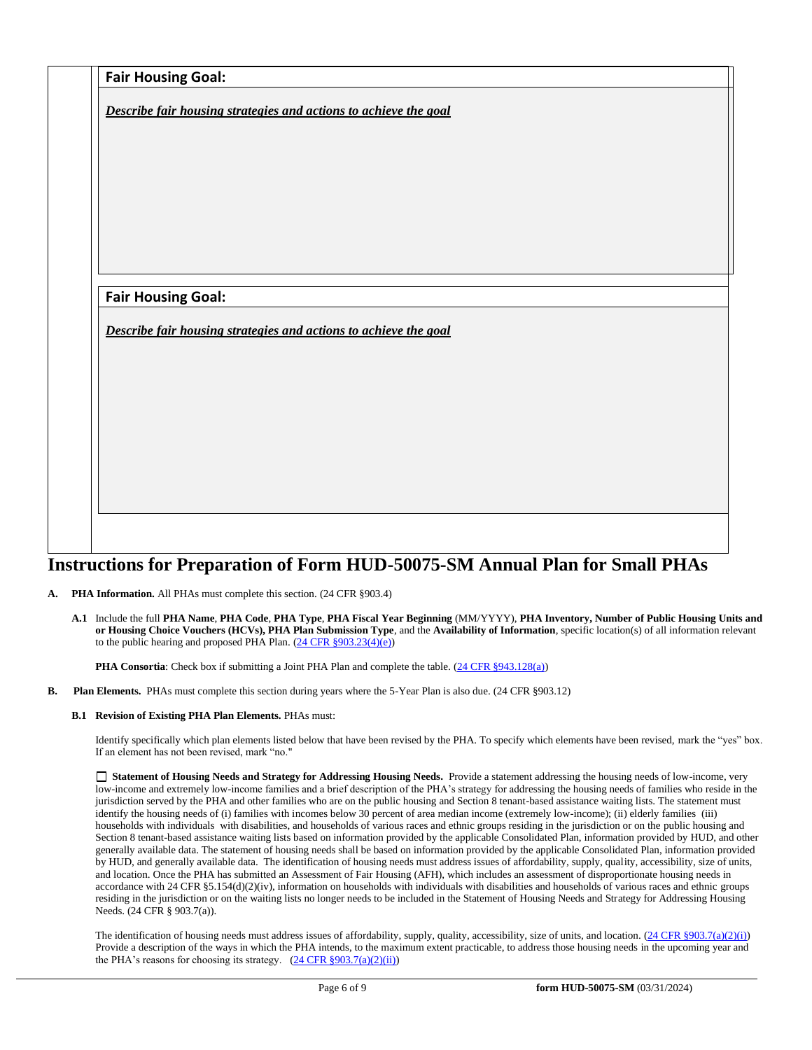|                                                                  | Describe fair housing strategies and actions to achieve the goal |  |  |
|------------------------------------------------------------------|------------------------------------------------------------------|--|--|
|                                                                  |                                                                  |  |  |
|                                                                  |                                                                  |  |  |
|                                                                  |                                                                  |  |  |
|                                                                  |                                                                  |  |  |
|                                                                  |                                                                  |  |  |
|                                                                  |                                                                  |  |  |
|                                                                  |                                                                  |  |  |
|                                                                  |                                                                  |  |  |
|                                                                  |                                                                  |  |  |
|                                                                  |                                                                  |  |  |
| <b>Fair Housing Goal:</b>                                        |                                                                  |  |  |
|                                                                  |                                                                  |  |  |
|                                                                  |                                                                  |  |  |
|                                                                  |                                                                  |  |  |
| Describe fair housing strategies and actions to achieve the goal |                                                                  |  |  |
|                                                                  |                                                                  |  |  |
|                                                                  |                                                                  |  |  |
|                                                                  |                                                                  |  |  |
|                                                                  |                                                                  |  |  |
|                                                                  |                                                                  |  |  |
|                                                                  |                                                                  |  |  |
|                                                                  |                                                                  |  |  |
|                                                                  |                                                                  |  |  |

# **Instructions for Preparation of Form HUD-50075-SM Annual Plan for Small PHAs**

- **A. PHA Information.** All PHAs must complete this section. (24 CFR §903.4)
	- **A.1** Include the full **PHA Name**, **PHA Code**, **PHA Type**, **PHA Fiscal Year Beginning** (MM/YYYY), **PHA Inventory, Number of Public Housing Units and or Housing Choice Vouchers (HCVs), PHA Plan Submission Type**, and the **Availability of Information**, specific location(s) of all information relevant to the public hearing and proposed PHA Plan.  $(24 \text{ CFR } \S 903.23(4)(e))$

**PHA Consortia**: Check box if submitting a Joint PHA Plan and complete the table. [\(24 CFR §943.128\(a\)\)](http://ecfr.gpoaccess.gov/cgi/t/text/text-idx?c=ecfr&sid=cc31cf1c3a2b84ba4ead75d35d258f67&rgn=div5&view=text&node=24:4.0.3.1.10&idno=24#24:4.0.3.1.10.2.5.7)

**B. Plan Elements.** PHAs must complete this section during years where the 5-Year Plan is also due. (24 CFR §903.12)

#### **B.1 Revision of Existing PHA Plan Elements.** PHAs must:

Identify specifically which plan elements listed below that have been revised by the PHA. To specify which elements have been revised, mark the "yes" box. If an element has not been revised, mark "no."

 **Statement of Housing Needs and Strategy for Addressing Housing Needs.** Provide a statement addressing the housing needs of low-income, very low-income and extremely low-income families and a brief description of the PHA's strategy for addressing the housing needs of families who reside in the jurisdiction served by the PHA and other families who are on the public housing and Section 8 tenant-based assistance waiting lists. The statement must identify the housing needs of (i) families with incomes below 30 percent of area median income (extremely low-income); (ii) elderly families (iii) households with individuals with disabilities, and households of various races and ethnic groups residing in the jurisdiction or on the public housing and Section 8 tenant-based assistance waiting lists based on information provided by the applicable Consolidated Plan, information provided by HUD, and other generally available data. The statement of housing needs shall be based on information provided by the applicable Consolidated Plan, information provided by HUD, and generally available data. The identification of housing needs must address issues of affordability, supply, quality, accessibility, size of units, and location. Once the PHA has submitted an Assessment of Fair Housing (AFH), which includes an assessment of disproportionate housing needs in accordance with 24 CFR  $\S$ 5.154(d)(2)(iv), information on households with individuals with disabilities and households of various races and ethnic groups residing in the jurisdiction or on the waiting lists no longer needs to be included in the Statement of Housing Needs and Strategy for Addressing Housing Needs. (24 CFR § 903.7(a)).

The identification of housing needs must address issues of affordability, supply, quality, accessibility, size of units, and location.  $(24 \text{ CFR } $903.7(a)(2)(i))$ Provide a description of the ways in which the PHA intends, to the maximum extent practicable, to address those housing needs in the upcoming year and the PHA's reasons for choosing its strategy.  $(24 \text{ CFR } \frac{8903.7(a)(2)(ii)}{i})$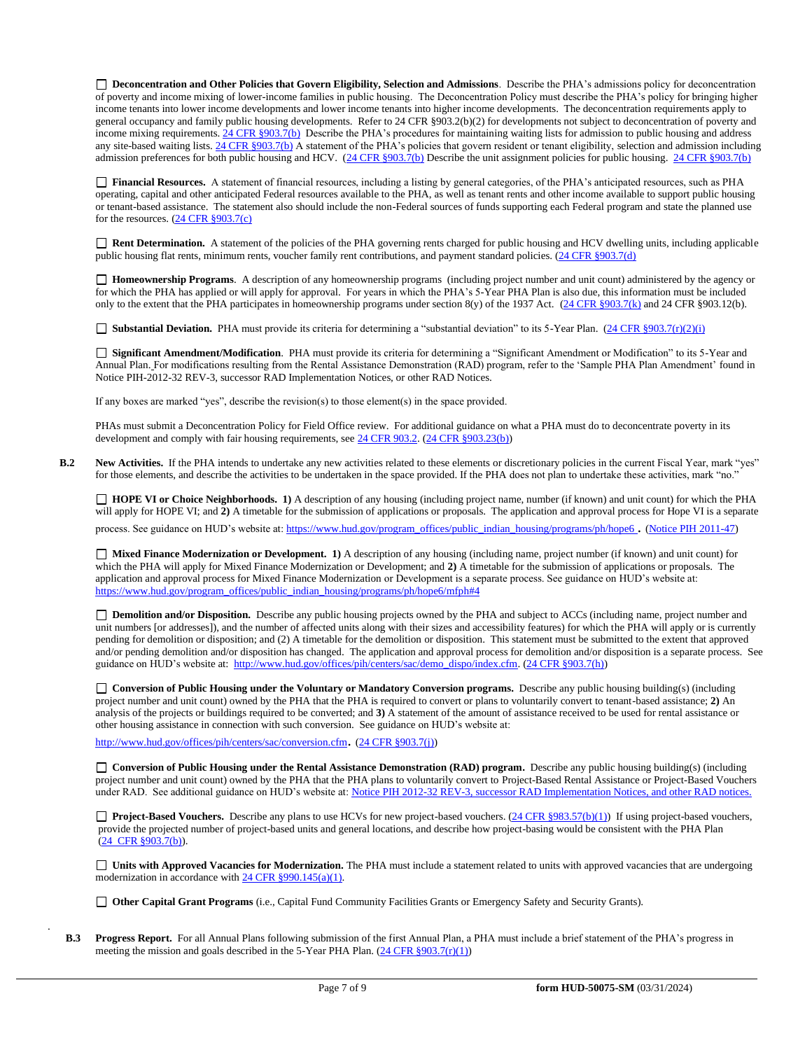**Deconcentration and Other Policies that Govern Eligibility, Selection and Admissions**. Describe the PHA's admissions policy for deconcentration of poverty and income mixing of lower-income families in public housing. The Deconcentration Policy must describe the PHA's policy for bringing higher income tenants into lower income developments and lower income tenants into higher income developments. The deconcentration requirements apply to general occupancy and family public housing developments. Refer to 24 CFR §903.2(b)(2) for developments not subject to deconcentration of poverty and income mixing requirements. 24 CFR §903.7(b) Describe the PHA's procedures for maintaining waiting lists for admission to public housing and address any site-based waiting lists. 24 CFR §903.7(b) A statement of the PHA's policies that govern resident or tenant eligibility, selection and admission including admission preferences for both public housing and HCV. (24 CFR §903.7(b) Describe the unit assignment policies for public housing. 24 CFR §903.7(b)

 **Financial Resources.** A statement of financial resources, including a listing by general categories, of the PHA's anticipated resources, such as PHA operating, capital and other anticipated Federal resources available to the PHA, as well as tenant rents and other income available to support public housing or tenant-based assistance. The statement also should include the non-Federal sources of funds supporting each Federal program and state the planned use for the resources. (24 CFR §903.7(c)

 **Rent Determination.** A statement of the policies of the PHA governing rents charged for public housing and HCV dwelling units, including applicable public housing flat rents, minimum rents, voucher family rent contributions, and payment standard policies. (24 CFR §903.7(d)

 **Homeownership Programs**. A description of any homeownership programs (including project number and unit count) administered by the agency or for which the PHA has applied or will apply for approval. For years in which the PHA's 5-Year PHA Plan is also due, this information must be included only to the extent that the PHA participates in homeownership programs under section 8(y) of the 1937 Act. (24 CFR §903.7(k) and 24 CFR §903.12(b).

■ **Substantial Deviation.** PHA must provide its criteria for determining a "substantial deviation" to its 5-Year Plan. (24 CFR §903.7(r)(2)(i)

 **Significant Amendment/Modification**. PHA must provide its criteria for determining a "Significant Amendment or Modification" to its 5-Year and Annual Plan. For modifications resulting from the Rental Assistance Demonstration (RAD) program, refer to the 'Sample PHA Plan Amendment' found in Notice PIH-2012-32 REV-3, successor RAD Implementation Notices, or other RAD Notices.

If any boxes are marked "yes", describe the revision(s) to those element(s) in the space provided.

PHAs must submit a Deconcentration Policy for Field Office review. For additional guidance on what a PHA must do to deconcentrate poverty in its development and comply with fair housing requirements, see 24 CFR 903.2. (24 CFR §903.23(b))

**B.2** New Activities. If the PHA intends to undertake any new activities related to these elements or discretionary policies in the current Fiscal Year, mark "yes" for those elements, and describe the activities to be undertaken in the space provided. If the PHA does not plan to undertake these activities, mark "no."

 **HOPE VI or Choice Neighborhoods. 1)** A description of any housing (including project name, number (if known) and unit count) for which the PHA will apply for HOPE VI; and  $\hat{2}$ ) A timetable for the submission of applications or proposals. The application and approval process for Hope VI is a separate process. See guidance on HUD's website at: https://www.hud.gov/program\_offices/public\_indian\_housing/programs/ph/hope6 . (Notice PIH 2011-47)

 **Mixed Finance Modernization or Development. 1)** A description of any housing (including name, project number (if known) and unit count) for which the PHA will apply for Mixed Finance Modernization or Development; and **2)** A timetable for the submission of applications or proposals. The application and approval process for Mixed Finance Modernization or Development is a separate process. See guidance on HUD's website at: https://www.hud.gov/program\_offices/public\_indian\_housing/programs/ph/hope6/mfph#4

 **Demolition and/or Disposition.** Describe any public housing projects owned by the PHA and subject to ACCs (including name, project number and unit numbers [or addresses]), and the number of affected units along with their sizes and accessibility features) for which the PHA will apply or is currently pending for demolition or disposition; and (2) A timetable for the demolition or disposition. This statement must be submitted to the extent that approved and/or pending demolition and/or disposition has changed. The application and approval process for demolition and/or disposition is a separate process. See guidance on HUD's website at: http://www.hud.gov/offices/pih/centers/sac/demo\_dispo/index.cfm. (24 CFR §903.7(h))

 **Conversion of Public Housing under the Voluntary or Mandatory Conversion programs.** Describe any public housing building(s) (including project number and unit count) owned by the PHA that the PHA is required to convert or plans to voluntarily convert to tenant-based assistance; **2)** An analysis of the projects or buildings required to be converted; and **3)** A statement of the amount of assistance received to be used for rental assistance or other housing assistance in connection with such conversion. See guidance on HUD's website at:

http://www.hud.gov/offices/pih/centers/sac/conversion.cfm. (24 CFR §903.7(j))

.

 **Conversion of Public Housing under the Rental Assistance Demonstration (RAD) program.** Describe any public housing building(s) (including project number and unit count) owned by the PHA that the PHA plans to voluntarily convert to Project-Based Rental Assistance or Project-Based Vouchers under RAD. See additional guidance on HUD's website at: Notice PIH 2012-32 REV-3, successor RAD Implementation Notices, and other RAD notices.

□ Project-Based Vouchers. Describe any plans to use HCVs for new project-based vouchers. (24 CFR §983.57(b)(1)) If using project-based vouchers, provide the projected number of project-based units and general locations, and describe how project-basing would be consistent with the PHA Plan (24 CFR §903.7(b)).

 **Units with Approved Vacancies for Modernization.** The PHA must include a statement related to units with approved vacancies that are undergoing modernization in accordance with 24 CFR §990.145(a)(1).

**Other Capital Grant Programs** (i.e., Capital Fund Community Facilities Grants or Emergency Safety and Security Grants).

**B.3 Progress Report.** For all Annual Plans following submission of the first Annual Plan, a PHA must include a brief statement of the PHA's progress in meeting the mission and goals described in the 5-Year PHA Plan. (24 CFR §903.7(r)(1))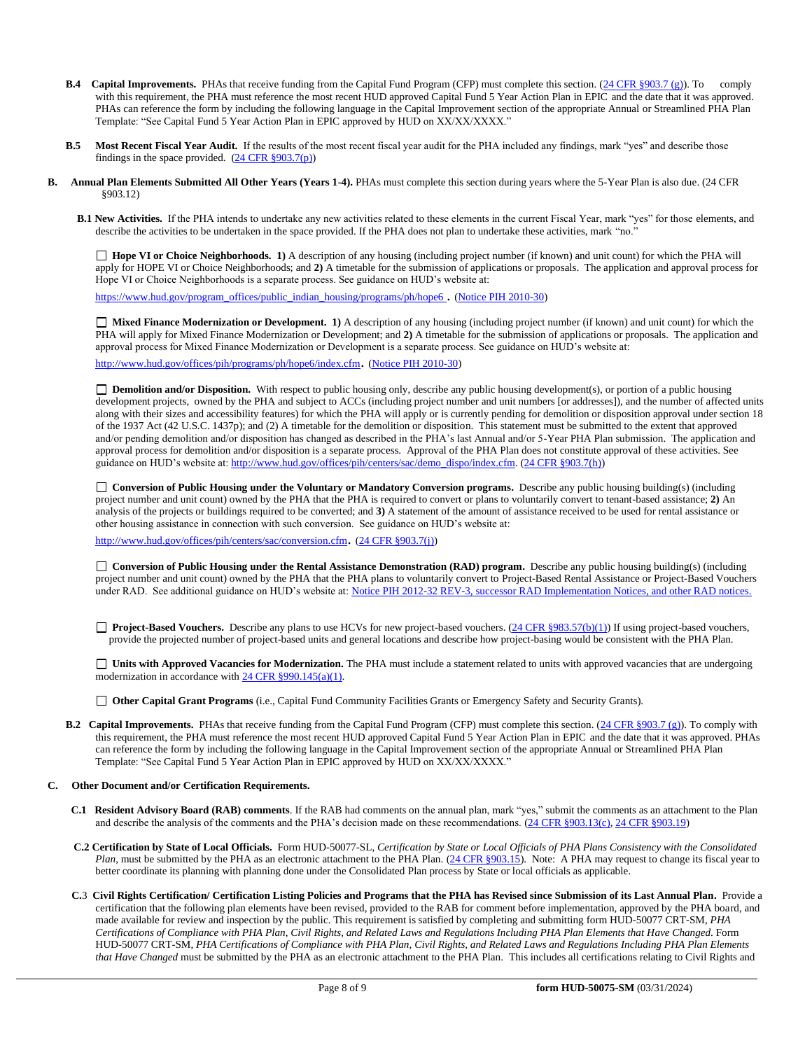- **B.4 Capital Improvements.** PHAs that receive funding from the Capital Fund Program (CFP) must complete this section. (24 CFR §903.7 (g)). To comply with this requirement, the PHA must reference the most recent HUD approved Capital Fund 5 Year Action Plan in EPIC and the date that it was approved. PHAs can reference the form by including the following language in the Capital Improvement section of the appropriate Annual or Streamlined PHA Plan Template: "See Capital Fund 5 Year Action Plan in EPIC approved by HUD on XX/XX/XXXX."
- **B.5 Most Recent Fiscal Year Audit.** If the results of the most recent fiscal year audit for the PHA included any findings, mark "yes" and describe those findings in the space provided.  $(24 \text{ CFR } \frac{§903.7(p)}{p})$
- **B. Annual Plan Elements Submitted All Other Years (Years 1-4).** PHAs must complete this section during years where the 5-Year Plan is also due. (24 CFR §903.12)
	- **B.1 New Activities.** If the PHA intends to undertake any new activities related to these elements in the current Fiscal Year, mark "yes" for those elements, and describe the activities to be undertaken in the space provided. If the PHA does not plan to undertake these activities, mark "no."

 **Hope VI or Choice Neighborhoods. 1)** A description of any housing (including project number (if known) and unit count) for which the PHA will apply for HOPE VI or Choice Neighborhoods; and **2)** A timetable for the submission of applications or proposals. The application and approval process for Hope VI or Choice Neighborhoods is a separate process. See guidance on HUD's website at:

https://www.hud.gov/program\_offices/public\_indian\_housing/programs/ph/hope6 . (Notice PIH 2010-30)

 **Mixed Finance Modernization or Development. 1)** A description of any housing (including project number (if known) and unit count) for which the PHA will apply for Mixed Finance Modernization or Development; and **2)** A timetable for the submission of applications or proposals. The application and approval process for Mixed Finance Modernization or Development is a separate process. See guidance on HUD's website at:

http://www.hud.gov/offices/pih/programs/ph/hope6/index.cfm. (Notice PIH 2010-30)

□ **Demolition and/or Disposition.** With respect to public housing only, describe any public housing development(s), or portion of a public housing development projects, owned by the PHA and subject to ACCs (including project number and unit numbers [or addresses]), and the number of affected units along with their sizes and accessibility features) for which the PHA will apply or is currently pending for demolition or disposition approval under section 18 of the 1937 Act (42 U.S.C. 1437p); and (2) A timetable for the demolition or disposition. This statement must be submitted to the extent that approved and/or pending demolition and/or disposition has changed as described in the PHA's last Annual and/or 5-Year PHA Plan submission. The application and approval process for demolition and/or disposition is a separate process. Approval of the PHA Plan does not constitute approval of these activities. See guidance on HUD's website at: http://www.hud.gov/offices/pih/centers/sac/demo\_dispo/index.cfm. (24 CFR §903.7(h))

 **Conversion of Public Housing under the Voluntary or Mandatory Conversion programs.** Describe any public housing building(s) (including project number and unit count) owned by the PHA that the PHA is required to convert or plans to voluntarily convert to tenant-based assistance; **2)** An analysis of the projects or buildings required to be converted; and **3)** A statement of the amount of assistance received to be used for rental assistance or other housing assistance in connection with such conversion. See guidance on HUD's website at:

http://www.hud.gov/offices/pih/centers/sac/conversion.cfm. (24 CFR §903.7(j))

 **Conversion of Public Housing under the Rental Assistance Demonstration (RAD) program.** Describe any public housing building(s) (including project number and unit count) owned by the PHA that the PHA plans to voluntarily convert to Project-Based Rental Assistance or Project-Based Vouchers under RAD. See additional guidance on HUD's website at: Notice PIH 2012-32 REV-3, successor RAD Implementation Notices, and other RAD notices.

□ **Project-Based Vouchers.** Describe any plans to use HCVs for new project-based vouchers. (24 CFR §983.57(b)(1)) If using project-based vouchers, provide the projected number of project-based units and general locations and describe how project-basing would be consistent with the PHA Plan.

□ Units with Approved Vacancies for Modernization. The PHA must include a statement related to units with approved vacancies that are undergoing modernization in accordance with 24 CFR §990.145(a)(1).

**Other Capital Grant Programs** (i.e., Capital Fund Community Facilities Grants or Emergency Safety and Security Grants).

- **B.2 Capital Improvements.** PHAs that receive funding from the Capital Fund Program (CFP) must complete this section. (24 CFR §903.7 (g)). To comply with this requirement, the PHA must reference the most recent HUD approved Capital Fund 5 Year Action Plan in EPIC and the date that it was approved. PHAs can reference the form by including the following language in the Capital Improvement section of the appropriate Annual or Streamlined PHA Plan Template: "See Capital Fund 5 Year Action Plan in EPIC approved by HUD on XX/XX/XXXX."
- **C. Other Document and/or Certification Requirements.**
	- **C.1 Resident Advisory Board (RAB) comments**. If the RAB had comments on the annual plan, mark "yes," submit the comments as an attachment to the Plan and describe the analysis of the comments and the PHA's decision made on these recommendations. (24 CFR §903.13(c), 24 CFR §903.19)
	- **C.2 Certification by State of Local Officials.** Form HUD-50077-SL, *Certification by State or Local Officials of PHA Plans Consistency with the Consolidated Plan*, must be submitted by the PHA as an electronic attachment to the PHA Plan. (24 CFR §903.15). Note: A PHA may request to change its fiscal year to better coordinate its planning with planning done under the Consolidated Plan process by State or local officials as applicable.
	- **C.**3 **Civil Rights Certification/ Certification Listing Policies and Programs that the PHA has Revised since Submission of its Last Annual Plan.** Provide a certification that the following plan elements have been revised, provided to the RAB for comment before implementation, approved by the PHA board, and made available for review and inspection by the public. This requirement is satisfied by completing and submitting form HUD-50077 CRT-SM, *PHA Certifications of Compliance with PHA Plan, Civil Rights, and Related Laws and Regulations Including PHA Plan Elements that Have Changed*. Form HUD-50077 CRT-SM, *PHA Certifications of Compliance with PHA Plan, Civil Rights, and Related Laws and Regulations Including PHA Plan Elements that Have Changed* must be submitted by the PHA as an electronic attachment to the PHA Plan. This includes all certifications relating to Civil Rights and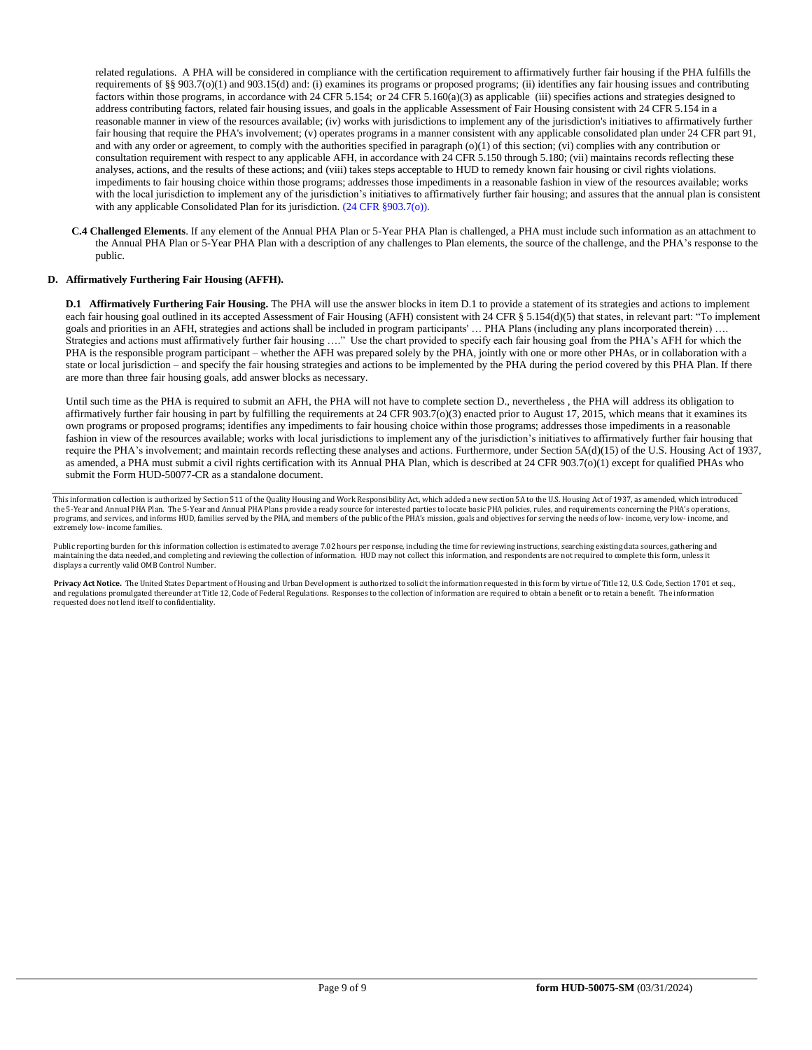related regulations. A PHA will be considered in compliance with the certification requirement to affirmatively further fair housing if the PHA fulfills the requirements of §§ 903.7(o)(1) and 903.15(d) and: (i) examines its programs or proposed programs; (ii) identifies any fair housing issues and contributing factors within those programs, in accordance with 24 CFR 5.154; or 24 CFR 5.160(a)(3) as applicable (iii) specifies actions and strategies designed to address contributing factors, related fair housing issues, and goals in the applicable Assessment of Fair Housing consistent with 24 CFR 5.154 in a reasonable manner in view of the resources available; (iv) works with jurisdictions to implement any of the jurisdiction's initiatives to affirmatively further fair housing that require the PHA's involvement; (v) operates programs in a manner consistent with any applicable consolidated plan under 24 CFR part 91, and with any order or agreement, to comply with the authorities specified in paragraph (o)(1) of this section; (vi) complies with any contribution or consultation requirement with respect to any applicable AFH, in accordance with 24 CFR 5.150 through 5.180; (vii) maintains records reflecting these analyses, actions, and the results of these actions; and (viii) takes steps acceptable to HUD to remedy known fair housing or civil rights violations. impediments to fair housing choice within those programs; addresses those impediments in a reasonable fashion in view of the resources available; works with the local jurisdiction to implement any of the jurisdiction's initiatives to affirmatively further fair housing; and assures that the annual plan is consistent with any applicable Consolidated Plan for its jurisdiction. (24 CFR §903.7(o)).

**C.4 Challenged Elements**. If any element of the Annual PHA Plan or 5-Year PHA Plan is challenged, a PHA must include such information as an attachment to the Annual PHA Plan or 5-Year PHA Plan with a description of any challenges to Plan elements, the source of the challenge, and the PHA's response to the public.

#### **D. Affirmatively Furthering Fair Housing (AFFH).**

**D.1 Affirmatively Furthering Fair Housing.** The PHA will use the answer blocks in item D.1 to provide a statement of its strategies and actions to implement each fair housing goal outlined in its accepted Assessment of Fair Housing (AFH) consistent with 24 CFR § 5.154(d)(5) that states, in relevant part: "To implement goals and priorities in an AFH, strategies and actions shall be included in program participants' ... PHA Plans (including any plans incorporated therein) .... Strategies and actions must affirmatively further fair housing …." Use the chart provided to specify each fair housing goal from the PHA's AFH for which the PHA is the responsible program participant – whether the AFH was prepared solely by the PHA, jointly with one or more other PHAs, or in collaboration with a state or local jurisdiction – and specify the fair housing strategies and actions to be implemented by the PHA during the period covered by this PHA Plan. If there are more than three fair housing goals, add answer blocks as necessary.

Until such time as the PHA is required to submit an AFH, the PHA will not have to complete section D., nevertheless , the PHA will address its obligation to affirmatively further fair housing in part by fulfilling the requirements at 24 CFR 903.7(o)(3) enacted prior to August 17, 2015, which means that it examines its own programs or proposed programs; identifies any impediments to fair housing choice within those programs; addresses those impediments in a reasonable fashion in view of the resources available; works with local jurisdictions to implement any of the jurisdiction's initiatives to affirmatively further fair housing that require the PHA's involvement; and maintain records reflecting these analyses and actions. Furthermore, under Section 5A(d)(15) of the U.S. Housing Act of 1937, as amended, a PHA must submit a civil rights certification with its Annual PHA Plan, which is described at 24 CFR 903.7(o)(1) except for qualified PHAs who submit the Form HUD-50077-CR as a standalone document.

This information collection is authorized by Section 511 of the Quality Housing and Work Responsibility Act, which added a new section 5A to the U.S. Housing Act of 1937, as amended, which introduced the 5-Year and Annual PHA Plan. The 5-Year and Annual PHA Plans provide a ready source for interested parties to locate basic PHA policies, rules, and requirements concerning the PHA's operations programs, and services, and informs HUD, families served by the PHA, and members of the public of the PHA's mission, goals and objectives for serving the needs of low- income, very low- income, and extremely low- income families.

Public reporting burden for this information collection is estimated to average 7.02 hours per response, including the time for reviewing instructions, searching existing data sources, gathering and maintaining the data needed, and completing and reviewing the collection of information. HUD may not collect this information, and respondents are not required to complete this form, unless it displays a currently valid OMB Control Number.

Privacy Act Notice. The United States Department of Housing and Urban Development is authorized to solicit the information requested in this form by virtue of Title 12, U.S. Code, Section 1701 et seq., and regulations promulgated thereunder at Title 12, Code of Federal Regulations. Responses to the collection of information are required to obtain a benefit or to retain a benefit. The information requested does not lend itself to confidentiality.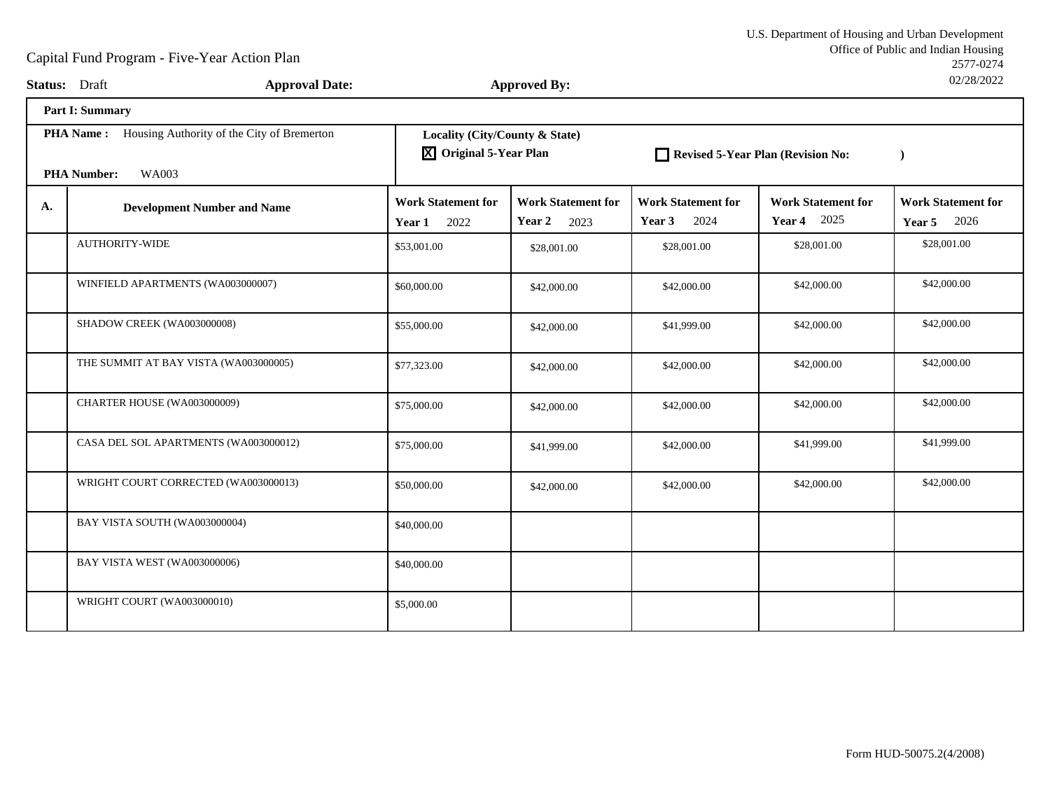|    | <b>Status:</b> Draft                                        | <b>Approval Date:</b> |                                                                       | <b>Approved By:</b>                         |                                                 |                                                 | UZ/Z0/ZUZZ                                  |
|----|-------------------------------------------------------------|-----------------------|-----------------------------------------------------------------------|---------------------------------------------|-------------------------------------------------|-------------------------------------------------|---------------------------------------------|
|    | Part I: Summary                                             |                       |                                                                       |                                             |                                                 |                                                 |                                             |
|    | <b>PHA Name:</b> Housing Authority of the City of Bremerton |                       | Locality (City/County & State)<br>$\overline{X}$ Original 5-Year Plan |                                             | Revised 5-Year Plan (Revision No:               |                                                 | $\rightarrow$                               |
|    | <b>PHA Number:</b><br><b>WA003</b>                          |                       |                                                                       |                                             |                                                 |                                                 |                                             |
| A. | <b>Development Number and Name</b>                          |                       | <b>Work Statement for</b><br>2022<br>Year 1                           | <b>Work Statement for</b><br>Year 2<br>2023 | <b>Work Statement for</b><br><b>Year 3</b> 2024 | <b>Work Statement for</b><br><b>Year 4</b> 2025 | <b>Work Statement for</b><br>2026<br>Year 5 |
|    | <b>AUTHORITY-WIDE</b>                                       |                       | \$53,001.00                                                           | \$28,001.00                                 | \$28,001.00                                     | \$28,001.00                                     | \$28,001.00                                 |
|    | WINFIELD APARTMENTS (WA003000007)                           |                       | \$60,000.00                                                           | \$42,000.00                                 | \$42,000.00                                     | \$42,000.00                                     | \$42,000.00                                 |
|    | SHADOW CREEK (WA003000008)                                  |                       | \$55,000.00                                                           | \$42,000.00                                 | \$41,999.00                                     | \$42,000.00                                     | \$42,000.00                                 |
|    | THE SUMMIT AT BAY VISTA (WA003000005)                       |                       | \$77,323.00                                                           | \$42,000.00                                 | \$42,000.00                                     | \$42,000.00                                     | \$42,000.00                                 |
|    | CHARTER HOUSE (WA003000009)                                 |                       | \$75,000.00                                                           | \$42,000.00                                 | \$42,000.00                                     | \$42,000.00                                     | \$42,000.00                                 |
|    | CASA DEL SOL APARTMENTS (WA003000012)                       |                       | \$75,000.00                                                           | \$41,999.00                                 | \$42,000.00                                     | \$41,999.00                                     | \$41,999.00                                 |
|    | WRIGHT COURT CORRECTED (WA003000013)                        |                       | \$50,000.00                                                           | \$42,000.00                                 | \$42,000.00                                     | \$42,000.00                                     | \$42,000.00                                 |
|    | BAY VISTA SOUTH (WA003000004)                               |                       | \$40,000.00                                                           |                                             |                                                 |                                                 |                                             |
|    | BAY VISTA WEST (WA003000006)                                |                       | \$40,000.00                                                           |                                             |                                                 |                                                 |                                             |
|    | WRIGHT COURT (WA003000010)                                  |                       | \$5,000.00                                                            |                                             |                                                 |                                                 |                                             |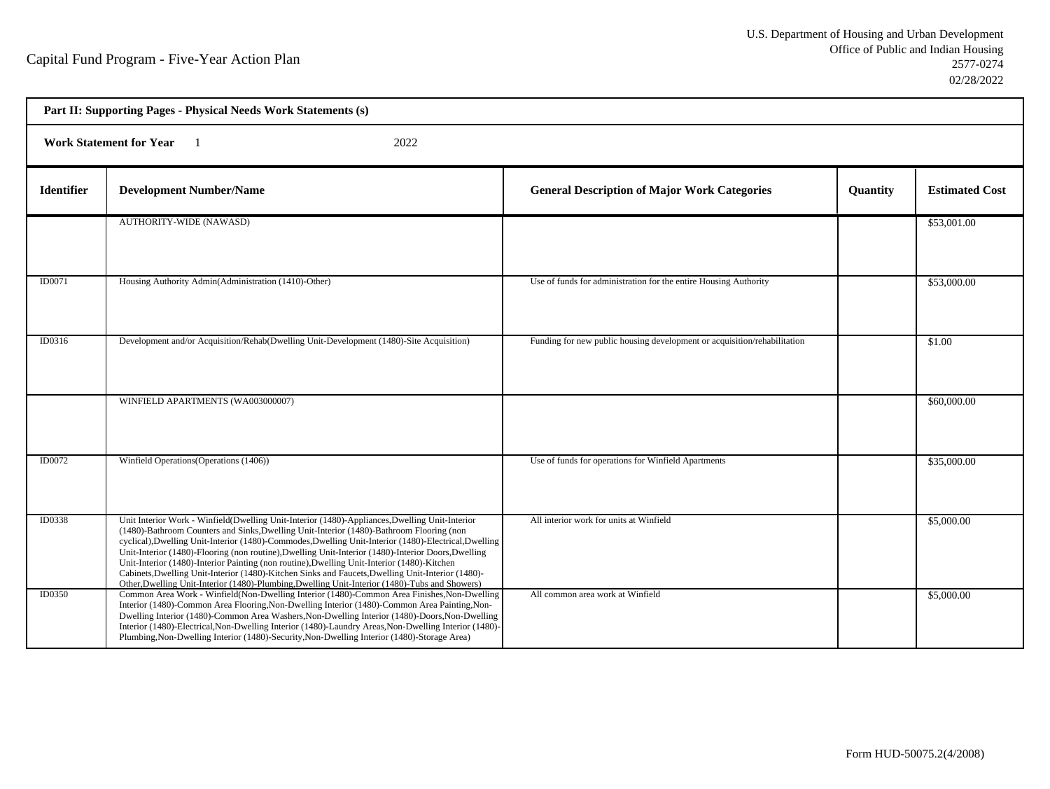| Part II: Supporting Pages - Physical Needs Work Statements (s) |                                                                                                                                                                                                                                                                                                                                                                                                                                                                                                                                                                                                                                                                                                                  |                                                                          |          |                       |  |  |  |
|----------------------------------------------------------------|------------------------------------------------------------------------------------------------------------------------------------------------------------------------------------------------------------------------------------------------------------------------------------------------------------------------------------------------------------------------------------------------------------------------------------------------------------------------------------------------------------------------------------------------------------------------------------------------------------------------------------------------------------------------------------------------------------------|--------------------------------------------------------------------------|----------|-----------------------|--|--|--|
|                                                                | 2022<br><b>Work Statement for Year</b><br>$\blacksquare$                                                                                                                                                                                                                                                                                                                                                                                                                                                                                                                                                                                                                                                         |                                                                          |          |                       |  |  |  |
| <b>Identifier</b>                                              | <b>Development Number/Name</b>                                                                                                                                                                                                                                                                                                                                                                                                                                                                                                                                                                                                                                                                                   | <b>General Description of Major Work Categories</b>                      | Quantity | <b>Estimated Cost</b> |  |  |  |
|                                                                | <b>AUTHORITY-WIDE (NAWASD)</b>                                                                                                                                                                                                                                                                                                                                                                                                                                                                                                                                                                                                                                                                                   |                                                                          |          | \$53,001.00           |  |  |  |
| ID0071                                                         | Housing Authority Admin(Administration (1410)-Other)                                                                                                                                                                                                                                                                                                                                                                                                                                                                                                                                                                                                                                                             | Use of funds for administration for the entire Housing Authority         |          | \$53,000.00           |  |  |  |
| ID0316                                                         | Development and/or Acquisition/Rehab(Dwelling Unit-Development (1480)-Site Acquisition)                                                                                                                                                                                                                                                                                                                                                                                                                                                                                                                                                                                                                          | Funding for new public housing development or acquisition/rehabilitation |          | \$1.00                |  |  |  |
|                                                                | WINFIELD APARTMENTS (WA003000007)                                                                                                                                                                                                                                                                                                                                                                                                                                                                                                                                                                                                                                                                                |                                                                          |          | \$60,000.00           |  |  |  |
| <b>ID0072</b>                                                  | Winfield Operations (Operations (1406))                                                                                                                                                                                                                                                                                                                                                                                                                                                                                                                                                                                                                                                                          | Use of funds for operations for Winfield Apartments                      |          | \$35,000.00           |  |  |  |
| ID0338                                                         | Unit Interior Work - Winfield(Dwelling Unit-Interior (1480)-Appliances, Dwelling Unit-Interior<br>(1480)-Bathroom Counters and Sinks, Dwelling Unit-Interior (1480)-Bathroom Flooring (non<br>cyclical), Dwelling Unit-Interior (1480)-Commodes, Dwelling Unit-Interior (1480)-Electrical, Dwelling<br>Unit-Interior (1480)-Flooring (non routine), Dwelling Unit-Interior (1480)-Interior Doors, Dwelling<br>Unit-Interior (1480)-Interior Painting (non routine), Dwelling Unit-Interior (1480)-Kitchen<br>Cabinets, Dwelling Unit-Interior (1480)-Kitchen Sinks and Faucets, Dwelling Unit-Interior (1480)-<br>Other, Dwelling Unit-Interior (1480)-Plumbing, Dwelling Unit-Interior (1480)-Tubs and Showers) | All interior work for units at Winfield                                  |          | \$5,000.00            |  |  |  |
| <b>ID0350</b>                                                  | Common Area Work - Winfield(Non-Dwelling Interior (1480)-Common Area Finishes, Non-Dwelling<br>Interior (1480)-Common Area Flooring, Non-Dwelling Interior (1480)-Common Area Painting, Non-<br>Dwelling Interior (1480)-Common Area Washers, Non-Dwelling Interior (1480)-Doors, Non-Dwelling<br>Interior (1480)-Electrical, Non-Dwelling Interior (1480)-Laundry Areas, Non-Dwelling Interior (1480)-<br>Plumbing, Non-Dwelling Interior (1480)-Security, Non-Dwelling Interior (1480)-Storage Area)                                                                                                                                                                                                           | All common area work at Winfield                                         |          | \$5,000.00            |  |  |  |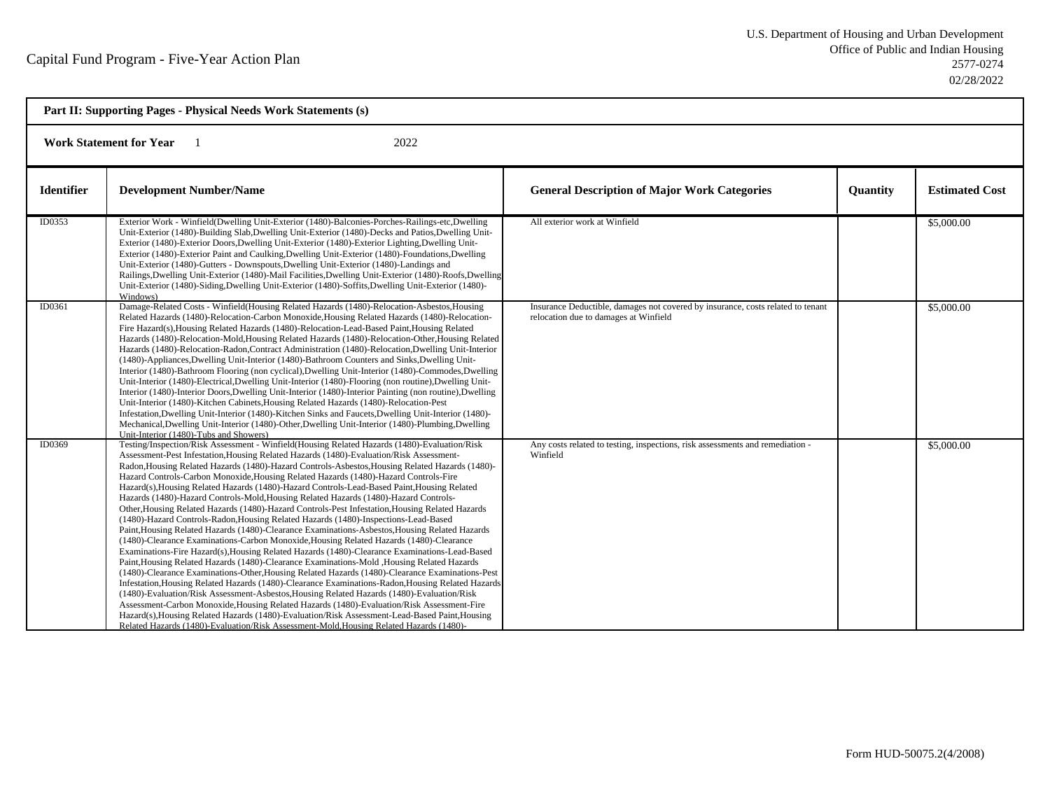| Part II: Supporting Pages - Physical Needs Work Statements (s) |                                                                                                                                                                                                                                                                                                                                                                                                                                                                                                                                                                                                                                                                                                                                                                                                                                                                                                                                                                                                                                                                                                                                                                                                                                                                                                                                                                                                                                                                                                                                                                                                                                                                                                                                                                   |                                                                                                                          |          |                       |  |  |
|----------------------------------------------------------------|-------------------------------------------------------------------------------------------------------------------------------------------------------------------------------------------------------------------------------------------------------------------------------------------------------------------------------------------------------------------------------------------------------------------------------------------------------------------------------------------------------------------------------------------------------------------------------------------------------------------------------------------------------------------------------------------------------------------------------------------------------------------------------------------------------------------------------------------------------------------------------------------------------------------------------------------------------------------------------------------------------------------------------------------------------------------------------------------------------------------------------------------------------------------------------------------------------------------------------------------------------------------------------------------------------------------------------------------------------------------------------------------------------------------------------------------------------------------------------------------------------------------------------------------------------------------------------------------------------------------------------------------------------------------------------------------------------------------------------------------------------------------|--------------------------------------------------------------------------------------------------------------------------|----------|-----------------------|--|--|
| 2022<br><b>Work Statement for Year</b>                         |                                                                                                                                                                                                                                                                                                                                                                                                                                                                                                                                                                                                                                                                                                                                                                                                                                                                                                                                                                                                                                                                                                                                                                                                                                                                                                                                                                                                                                                                                                                                                                                                                                                                                                                                                                   |                                                                                                                          |          |                       |  |  |
| <b>Identifier</b>                                              | <b>Development Number/Name</b>                                                                                                                                                                                                                                                                                                                                                                                                                                                                                                                                                                                                                                                                                                                                                                                                                                                                                                                                                                                                                                                                                                                                                                                                                                                                                                                                                                                                                                                                                                                                                                                                                                                                                                                                    | <b>General Description of Major Work Categories</b>                                                                      | Quantity | <b>Estimated Cost</b> |  |  |
| ID0353                                                         | Exterior Work - Winfield(Dwelling Unit-Exterior (1480)-Balconies-Porches-Railings-etc,Dwelling<br>Unit-Exterior (1480)-Building Slab, Dwelling Unit-Exterior (1480)-Decks and Patios, Dwelling Unit-<br>Exterior (1480)-Exterior Doors, Dwelling Unit-Exterior (1480)-Exterior Lighting, Dwelling Unit-<br>Exterior (1480)-Exterior Paint and Caulking, Dwelling Unit-Exterior (1480)-Foundations, Dwelling<br>Unit-Exterior (1480)-Gutters - Downspouts, Dwelling Unit-Exterior (1480)-Landings and<br>Railings, Dwelling Unit-Exterior (1480)-Mail Facilities, Dwelling Unit-Exterior (1480)-Roofs, Dwelling<br>Unit-Exterior (1480)-Siding, Dwelling Unit-Exterior (1480)-Soffits, Dwelling Unit-Exterior (1480)-<br>Windows)                                                                                                                                                                                                                                                                                                                                                                                                                                                                                                                                                                                                                                                                                                                                                                                                                                                                                                                                                                                                                                  | All exterior work at Winfield                                                                                            |          | \$5,000.00            |  |  |
| ID0361                                                         | Damage-Related Costs - Winfield(Housing Related Hazards (1480)-Relocation-Asbestos, Housing<br>Related Hazards (1480)-Relocation-Carbon Monoxide, Housing Related Hazards (1480)-Relocation-<br>Fire Hazard(s), Housing Related Hazards (1480)-Relocation-Lead-Based Paint, Housing Related<br>Hazards (1480)-Relocation-Mold, Housing Related Hazards (1480)-Relocation-Other, Housing Related<br>Hazards (1480)-Relocation-Radon, Contract Administration (1480)-Relocation, Dwelling Unit-Interior<br>(1480)-Appliances, Dwelling Unit-Interior (1480)-Bathroom Counters and Sinks, Dwelling Unit-<br>Interior (1480)-Bathroom Flooring (non cyclical), Dwelling Unit-Interior (1480)-Commodes, Dwelling<br>Unit-Interior (1480)-Electrical, Dwelling Unit-Interior (1480)-Flooring (non routine), Dwelling Unit-<br>Interior (1480)-Interior Doors, Dwelling Unit-Interior (1480)-Interior Painting (non routine), Dwelling<br>Unit-Interior (1480)-Kitchen Cabinets, Housing Related Hazards (1480)-Relocation-Pest<br>Infestation, Dwelling Unit-Interior (1480)-Kitchen Sinks and Faucets, Dwelling Unit-Interior (1480)-<br>Mechanical, Dwelling Unit-Interior (1480)-Other, Dwelling Unit-Interior (1480)-Plumbing, Dwelling<br>Unit-Interior (1480)-Tubs and Showers)                                                                                                                                                                                                                                                                                                                                                                                                                                                                                   | Insurance Deductible, damages not covered by insurance, costs related to tenant<br>relocation due to damages at Winfield |          | \$5,000.00            |  |  |
| ID0369                                                         | Testing/Inspection/Risk Assessment - Winfield(Housing Related Hazards (1480)-Evaluation/Risk<br>Assessment-Pest Infestation, Housing Related Hazards (1480)-Evaluation/Risk Assessment-<br>Radon, Housing Related Hazards (1480)-Hazard Controls-Asbestos, Housing Related Hazards (1480)-<br>Hazard Controls-Carbon Monoxide, Housing Related Hazards (1480)-Hazard Controls-Fire<br>Hazard(s), Housing Related Hazards (1480)-Hazard Controls-Lead-Based Paint, Housing Related<br>Hazards (1480)-Hazard Controls-Mold, Housing Related Hazards (1480)-Hazard Controls-<br>Other, Housing Related Hazards (1480)-Hazard Controls-Pest Infestation, Housing Related Hazards<br>(1480)-Hazard Controls-Radon, Housing Related Hazards (1480)-Inspections-Lead-Based<br>Paint, Housing Related Hazards (1480)-Clearance Examinations-Asbestos, Housing Related Hazards<br>(1480)-Clearance Examinations-Carbon Monoxide, Housing Related Hazards (1480)-Clearance<br>Examinations-Fire Hazard(s), Housing Related Hazards (1480)-Clearance Examinations-Lead-Based<br>Paint, Housing Related Hazards (1480)-Clearance Examinations-Mold , Housing Related Hazards<br>(1480)-Clearance Examinations-Other, Housing Related Hazards (1480)-Clearance Examinations-Pest<br>Infestation, Housing Related Hazards (1480)-Clearance Examinations-Radon, Housing Related Hazards<br>(1480)-Evaluation/Risk Assessment-Asbestos, Housing Related Hazards (1480)-Evaluation/Risk<br>Assessment-Carbon Monoxide, Housing Related Hazards (1480)-Evaluation/Risk Assessment-Fire<br>Hazard(s), Housing Related Hazards (1480)-Evaluation/Risk Assessment-Lead-Based Paint, Housing<br>Related Hazards (1480)-Evaluation/Risk Assessment-Mold, Housing Related Hazards (1480)- | Any costs related to testing, inspections, risk assessments and remediation -<br>Winfield                                |          | \$5,000.00            |  |  |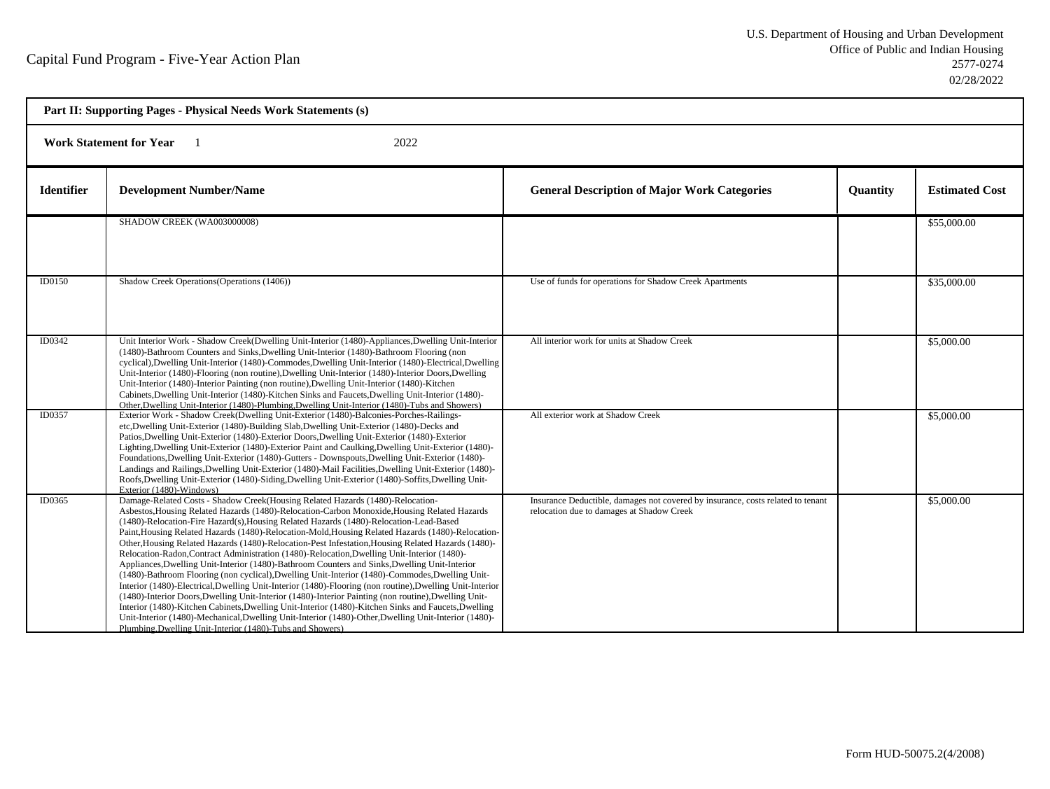| Part II: Supporting Pages - Physical Needs Work Statements (s) |                                                                                                                                                                                                                                                                                                                                                                                                                                                                                                                                                                                                                                                                                                                                                                                                                                                                                                                                                                                                                                                                                                                                                                                                                                                                                        |                                                                                                                              |                 |                       |  |  |  |
|----------------------------------------------------------------|----------------------------------------------------------------------------------------------------------------------------------------------------------------------------------------------------------------------------------------------------------------------------------------------------------------------------------------------------------------------------------------------------------------------------------------------------------------------------------------------------------------------------------------------------------------------------------------------------------------------------------------------------------------------------------------------------------------------------------------------------------------------------------------------------------------------------------------------------------------------------------------------------------------------------------------------------------------------------------------------------------------------------------------------------------------------------------------------------------------------------------------------------------------------------------------------------------------------------------------------------------------------------------------|------------------------------------------------------------------------------------------------------------------------------|-----------------|-----------------------|--|--|--|
|                                                                | <b>Work Statement for Year</b><br>2022                                                                                                                                                                                                                                                                                                                                                                                                                                                                                                                                                                                                                                                                                                                                                                                                                                                                                                                                                                                                                                                                                                                                                                                                                                                 |                                                                                                                              |                 |                       |  |  |  |
| <b>Identifier</b>                                              | <b>Development Number/Name</b>                                                                                                                                                                                                                                                                                                                                                                                                                                                                                                                                                                                                                                                                                                                                                                                                                                                                                                                                                                                                                                                                                                                                                                                                                                                         | <b>General Description of Major Work Categories</b>                                                                          | <b>Ouantity</b> | <b>Estimated Cost</b> |  |  |  |
|                                                                | SHADOW CREEK (WA003000008)                                                                                                                                                                                                                                                                                                                                                                                                                                                                                                                                                                                                                                                                                                                                                                                                                                                                                                                                                                                                                                                                                                                                                                                                                                                             |                                                                                                                              |                 | \$55,000.00           |  |  |  |
| <b>ID0150</b>                                                  | Shadow Creek Operations (Operations (1406))                                                                                                                                                                                                                                                                                                                                                                                                                                                                                                                                                                                                                                                                                                                                                                                                                                                                                                                                                                                                                                                                                                                                                                                                                                            | Use of funds for operations for Shadow Creek Apartments                                                                      |                 | \$35,000.00           |  |  |  |
| ID0342                                                         | Unit Interior Work - Shadow Creek(Dwelling Unit-Interior (1480)-Appliances, Dwelling Unit-Interior<br>(1480)-Bathroom Counters and Sinks, Dwelling Unit-Interior (1480)-Bathroom Flooring (non<br>cyclical), Dwelling Unit-Interior (1480)-Commodes, Dwelling Unit-Interior (1480)-Electrical, Dwelling<br>Unit-Interior (1480)-Flooring (non routine), Dwelling Unit-Interior (1480)-Interior Doors, Dwelling<br>Unit-Interior (1480)-Interior Painting (non routine), Dwelling Unit-Interior (1480)-Kitchen<br>Cabinets, Dwelling Unit-Interior (1480)-Kitchen Sinks and Faucets, Dwelling Unit-Interior (1480)-<br>Other, Dwelling Unit-Interior (1480)-Plumbing, Dwelling Unit-Interior (1480)-Tubs and Showers)                                                                                                                                                                                                                                                                                                                                                                                                                                                                                                                                                                   | All interior work for units at Shadow Creek                                                                                  |                 | \$5,000.00            |  |  |  |
| ID0357                                                         | Exterior Work - Shadow Creek(Dwelling Unit-Exterior (1480)-Balconies-Porches-Railings-<br>etc, Dwelling Unit-Exterior (1480)-Building Slab, Dwelling Unit-Exterior (1480)-Decks and<br>Patios, Dwelling Unit-Exterior (1480)-Exterior Doors, Dwelling Unit-Exterior (1480)-Exterior<br>Lighting, Dwelling Unit-Exterior (1480)-Exterior Paint and Caulking, Dwelling Unit-Exterior (1480)-<br>Foundations, Dwelling Unit-Exterior (1480)-Gutters - Downspouts, Dwelling Unit-Exterior (1480)-<br>Landings and Railings, Dwelling Unit-Exterior (1480)-Mail Facilities, Dwelling Unit-Exterior (1480)-<br>Roofs, Dwelling Unit-Exterior (1480)-Siding, Dwelling Unit-Exterior (1480)-Soffits, Dwelling Unit-<br>Exterior (1480)-Windows)                                                                                                                                                                                                                                                                                                                                                                                                                                                                                                                                                | All exterior work at Shadow Creek                                                                                            |                 | \$5,000.00            |  |  |  |
| ID0365                                                         | Damage-Related Costs - Shadow Creek(Housing Related Hazards (1480)-Relocation-<br>Asbestos, Housing Related Hazards (1480)-Relocation-Carbon Monoxide, Housing Related Hazards<br>(1480)-Relocation-Fire Hazard(s), Housing Related Hazards (1480)-Relocation-Lead-Based<br>Paint, Housing Related Hazards (1480)-Relocation-Mold, Housing Related Hazards (1480)-Relocation-<br>Other, Housing Related Hazards (1480)-Relocation-Pest Infestation, Housing Related Hazards (1480)-<br>Relocation-Radon, Contract Administration (1480)-Relocation, Dwelling Unit-Interior (1480)-<br>Appliances, Dwelling Unit-Interior (1480)-Bathroom Counters and Sinks, Dwelling Unit-Interior<br>(1480)-Bathroom Flooring (non cyclical), Dwelling Unit-Interior (1480)-Commodes, Dwelling Unit-<br>Interior (1480)-Electrical, Dwelling Unit-Interior (1480)-Flooring (non routine), Dwelling Unit-Interior<br>(1480)-Interior Doors, Dwelling Unit-Interior (1480)-Interior Painting (non routine), Dwelling Unit-<br>Interior (1480)-Kitchen Cabinets, Dwelling Unit-Interior (1480)-Kitchen Sinks and Faucets, Dwelling<br>Unit-Interior (1480)-Mechanical, Dwelling Unit-Interior (1480)-Other, Dwelling Unit-Interior (1480)-<br>Plumbing, Dwelling Unit-Interior (1480)-Tubs and Showers) | Insurance Deductible, damages not covered by insurance, costs related to tenant<br>relocation due to damages at Shadow Creek |                 | \$5,000.00            |  |  |  |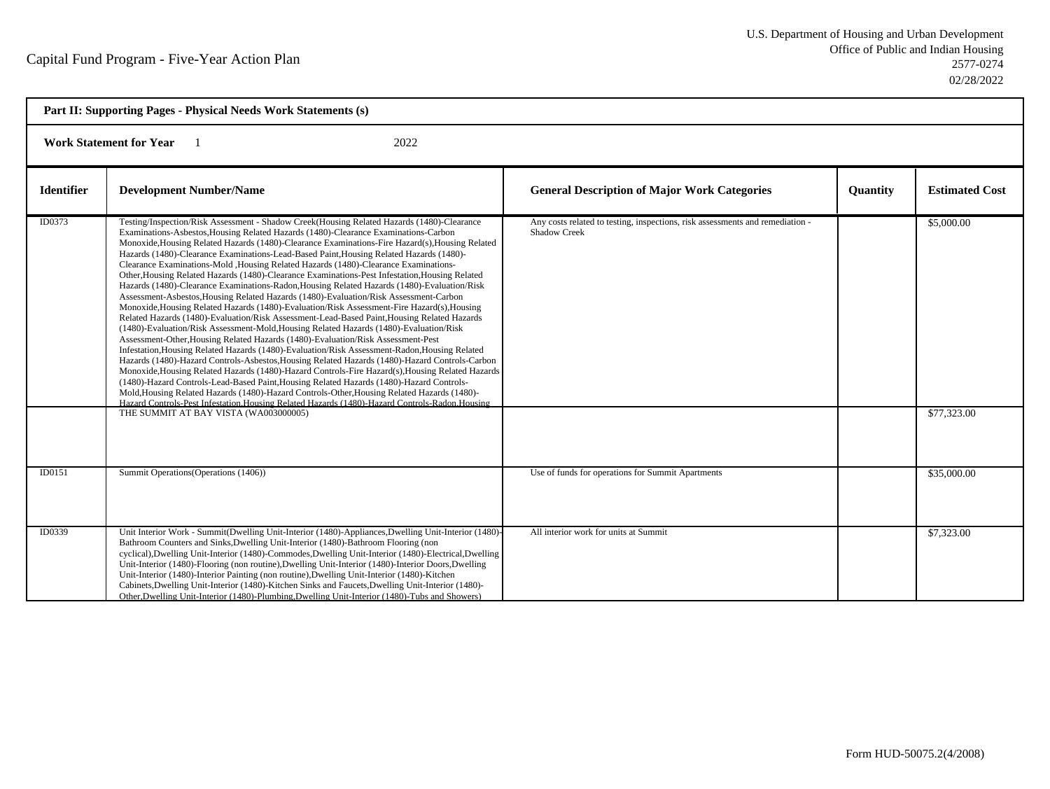| Part II: Supporting Pages - Physical Needs Work Statements (s) |                                                                                                                                                                                                                                                                                                                                                                                                                                                                                                                                                                                                                                                                                                                                                                                                                                                                                                                                                                                                                                                                                                                                                                                                                                                                                                                                                                                                                                                                                                                                                                                                                                                                                                                                                                                            |                                                                                                      |          |                           |  |
|----------------------------------------------------------------|--------------------------------------------------------------------------------------------------------------------------------------------------------------------------------------------------------------------------------------------------------------------------------------------------------------------------------------------------------------------------------------------------------------------------------------------------------------------------------------------------------------------------------------------------------------------------------------------------------------------------------------------------------------------------------------------------------------------------------------------------------------------------------------------------------------------------------------------------------------------------------------------------------------------------------------------------------------------------------------------------------------------------------------------------------------------------------------------------------------------------------------------------------------------------------------------------------------------------------------------------------------------------------------------------------------------------------------------------------------------------------------------------------------------------------------------------------------------------------------------------------------------------------------------------------------------------------------------------------------------------------------------------------------------------------------------------------------------------------------------------------------------------------------------|------------------------------------------------------------------------------------------------------|----------|---------------------------|--|
| <b>Work Statement for Year</b><br>2022                         |                                                                                                                                                                                                                                                                                                                                                                                                                                                                                                                                                                                                                                                                                                                                                                                                                                                                                                                                                                                                                                                                                                                                                                                                                                                                                                                                                                                                                                                                                                                                                                                                                                                                                                                                                                                            |                                                                                                      |          |                           |  |
| <b>Identifier</b>                                              | <b>Development Number/Name</b>                                                                                                                                                                                                                                                                                                                                                                                                                                                                                                                                                                                                                                                                                                                                                                                                                                                                                                                                                                                                                                                                                                                                                                                                                                                                                                                                                                                                                                                                                                                                                                                                                                                                                                                                                             | <b>General Description of Major Work Categories</b>                                                  | Quantity | <b>Estimated Cost</b>     |  |
| ID0373                                                         | Testing/Inspection/Risk Assessment - Shadow Creek(Housing Related Hazards (1480)-Clearance<br>Examinations-Asbestos, Housing Related Hazards (1480)-Clearance Examinations-Carbon<br>Monoxide, Housing Related Hazards (1480)-Clearance Examinations-Fire Hazard(s), Housing Related<br>Hazards (1480)-Clearance Examinations-Lead-Based Paint, Housing Related Hazards (1480)-<br>Clearance Examinations-Mold ,Housing Related Hazards (1480)-Clearance Examinations-<br>Other, Housing Related Hazards (1480)-Clearance Examinations-Pest Infestation, Housing Related<br>Hazards (1480)-Clearance Examinations-Radon, Housing Related Hazards (1480)-Evaluation/Risk<br>Assessment-Asbestos, Housing Related Hazards (1480)-Evaluation/Risk Assessment-Carbon<br>Monoxide, Housing Related Hazards (1480)-Evaluation/Risk Assessment-Fire Hazard(s), Housing<br>Related Hazards (1480)-Evaluation/Risk Assessment-Lead-Based Paint, Housing Related Hazards<br>(1480)-Evaluation/Risk Assessment-Mold, Housing Related Hazards (1480)-Evaluation/Risk<br>Assessment-Other, Housing Related Hazards (1480)-Evaluation/Risk Assessment-Pest<br>Infestation, Housing Related Hazards (1480)-Evaluation/Risk Assessment-Radon, Housing Related<br>Hazards (1480)-Hazard Controls-Asbestos, Housing Related Hazards (1480)-Hazard Controls-Carbon<br>Monoxide, Housing Related Hazards (1480)-Hazard Controls-Fire Hazard(s), Housing Related Hazards<br>(1480)-Hazard Controls-Lead-Based Paint, Housing Related Hazards (1480)-Hazard Controls-<br>Mold, Housing Related Hazards (1480)-Hazard Controls-Other, Housing Related Hazards (1480)-<br>Hazard Controls-Pest Infestation, Housing Related Hazards (1480)-Hazard Controls-Radon, Housing<br>THE SUMMIT AT BAY VISTA (WA003000005) | Any costs related to testing, inspections, risk assessments and remediation -<br><b>Shadow Creek</b> |          | \$5,000.00<br>\$77,323.00 |  |
|                                                                |                                                                                                                                                                                                                                                                                                                                                                                                                                                                                                                                                                                                                                                                                                                                                                                                                                                                                                                                                                                                                                                                                                                                                                                                                                                                                                                                                                                                                                                                                                                                                                                                                                                                                                                                                                                            |                                                                                                      |          |                           |  |
| ID0151                                                         | Summit Operations (Operations (1406))                                                                                                                                                                                                                                                                                                                                                                                                                                                                                                                                                                                                                                                                                                                                                                                                                                                                                                                                                                                                                                                                                                                                                                                                                                                                                                                                                                                                                                                                                                                                                                                                                                                                                                                                                      | Use of funds for operations for Summit Apartments                                                    |          | \$35,000.00               |  |
| ID0339                                                         | Unit Interior Work - Summit(Dwelling Unit-Interior (1480)-Appliances, Dwelling Unit-Interior (1480)-<br>Bathroom Counters and Sinks, Dwelling Unit-Interior (1480)-Bathroom Flooring (non<br>cyclical), Dwelling Unit-Interior (1480)-Commodes, Dwelling Unit-Interior (1480)-Electrical, Dwelling<br>Unit-Interior (1480)-Flooring (non routine), Dwelling Unit-Interior (1480)-Interior Doors, Dwelling<br>Unit-Interior (1480)-Interior Painting (non routine), Dwelling Unit-Interior (1480)-Kitchen<br>Cabinets, Dwelling Unit-Interior (1480)-Kitchen Sinks and Faucets, Dwelling Unit-Interior (1480)-<br>Other, Dwelling Unit-Interior (1480)-Plumbing, Dwelling Unit-Interior (1480)-Tubs and Showers)                                                                                                                                                                                                                                                                                                                                                                                                                                                                                                                                                                                                                                                                                                                                                                                                                                                                                                                                                                                                                                                                            | All interior work for units at Summit                                                                |          | \$7,323.00                |  |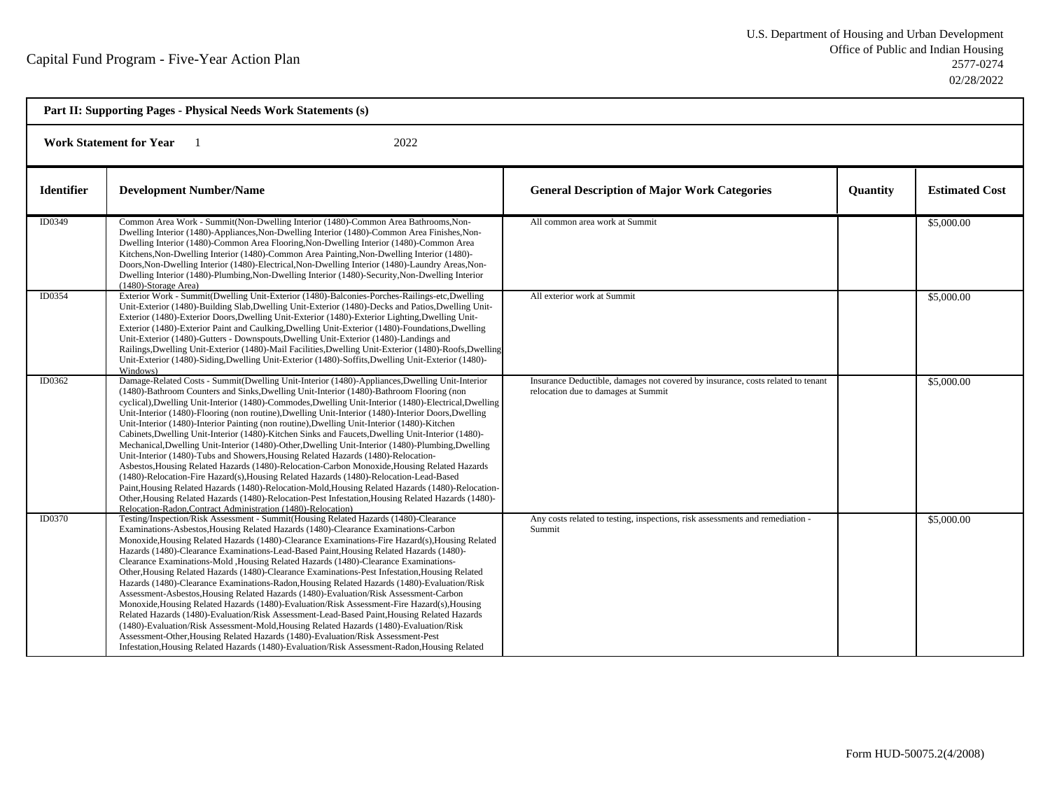| Part II: Supporting Pages - Physical Needs Work Statements (s) |                                                                                                                                                                                                                                                                                                                                                                                                                                                                                                                                                                                                                                                                                                                                                                                                                                                                                                                                                                                                                                                                                                                                                                                                                                                                               |                                                                                                                        |                 |                       |
|----------------------------------------------------------------|-------------------------------------------------------------------------------------------------------------------------------------------------------------------------------------------------------------------------------------------------------------------------------------------------------------------------------------------------------------------------------------------------------------------------------------------------------------------------------------------------------------------------------------------------------------------------------------------------------------------------------------------------------------------------------------------------------------------------------------------------------------------------------------------------------------------------------------------------------------------------------------------------------------------------------------------------------------------------------------------------------------------------------------------------------------------------------------------------------------------------------------------------------------------------------------------------------------------------------------------------------------------------------|------------------------------------------------------------------------------------------------------------------------|-----------------|-----------------------|
| <b>Work Statement for Year</b><br>2022                         |                                                                                                                                                                                                                                                                                                                                                                                                                                                                                                                                                                                                                                                                                                                                                                                                                                                                                                                                                                                                                                                                                                                                                                                                                                                                               |                                                                                                                        |                 |                       |
| <b>Identifier</b>                                              | <b>Development Number/Name</b>                                                                                                                                                                                                                                                                                                                                                                                                                                                                                                                                                                                                                                                                                                                                                                                                                                                                                                                                                                                                                                                                                                                                                                                                                                                | <b>General Description of Major Work Categories</b>                                                                    | <b>Quantity</b> | <b>Estimated Cost</b> |
| ID0349                                                         | Common Area Work - Summit(Non-Dwelling Interior (1480)-Common Area Bathrooms, Non-<br>Dwelling Interior (1480)-Appliances, Non-Dwelling Interior (1480)-Common Area Finishes, Non-<br>Dwelling Interior (1480)-Common Area Flooring, Non-Dwelling Interior (1480)-Common Area<br>Kitchens, Non-Dwelling Interior (1480)-Common Area Painting, Non-Dwelling Interior (1480)-<br>Doors, Non-Dwelling Interior (1480)-Electrical, Non-Dwelling Interior (1480)-Laundry Areas, Non-<br>Dwelling Interior (1480)-Plumbing, Non-Dwelling Interior (1480)-Security, Non-Dwelling Interior<br>$(1480)$ -Storage Area)                                                                                                                                                                                                                                                                                                                                                                                                                                                                                                                                                                                                                                                                 | All common area work at Summit                                                                                         |                 | \$5,000.00            |
| ID0354                                                         | Exterior Work - Summit(Dwelling Unit-Exterior (1480)-Balconies-Porches-Railings-etc,Dwelling<br>Unit-Exterior (1480)-Building Slab, Dwelling Unit-Exterior (1480)-Decks and Patios, Dwelling Unit-<br>Exterior (1480)-Exterior Doors, Dwelling Unit-Exterior (1480)-Exterior Lighting, Dwelling Unit-<br>Exterior (1480)-Exterior Paint and Caulking, Dwelling Unit-Exterior (1480)-Foundations, Dwelling<br>Unit-Exterior (1480)-Gutters - Downspouts, Dwelling Unit-Exterior (1480)-Landings and<br>Railings, Dwelling Unit-Exterior (1480)-Mail Facilities, Dwelling Unit-Exterior (1480)-Roofs, Dwelling<br>Unit-Exterior (1480)-Siding, Dwelling Unit-Exterior (1480)-Soffits, Dwelling Unit-Exterior (1480)-<br>Windows)                                                                                                                                                                                                                                                                                                                                                                                                                                                                                                                                                | All exterior work at Summit                                                                                            |                 | \$5,000.00            |
| ID0362                                                         | Damage-Related Costs - Summit(Dwelling Unit-Interior (1480)-Appliances, Dwelling Unit-Interior<br>(1480)-Bathroom Counters and Sinks, Dwelling Unit-Interior (1480)-Bathroom Flooring (non<br>cyclical), Dwelling Unit-Interior (1480)-Commodes, Dwelling Unit-Interior (1480)-Electrical, Dwelling<br>Unit-Interior (1480)-Flooring (non routine), Dwelling Unit-Interior (1480)-Interior Doors, Dwelling<br>Unit-Interior (1480)-Interior Painting (non routine), Dwelling Unit-Interior (1480)-Kitchen<br>Cabinets, Dwelling Unit-Interior (1480)-Kitchen Sinks and Faucets, Dwelling Unit-Interior (1480)-<br>Mechanical, Dwelling Unit-Interior (1480)-Other, Dwelling Unit-Interior (1480)-Plumbing, Dwelling<br>Unit-Interior (1480)-Tubs and Showers, Housing Related Hazards (1480)-Relocation-<br>Asbestos, Housing Related Hazards (1480)-Relocation-Carbon Monoxide, Housing Related Hazards<br>(1480)-Relocation-Fire Hazard(s), Housing Related Hazards (1480)-Relocation-Lead-Based<br>Paint, Housing Related Hazards (1480)-Relocation-Mold, Housing Related Hazards (1480)-Relocation-<br>Other, Housing Related Hazards (1480)-Relocation-Pest Infestation, Housing Related Hazards (1480)-<br>Relocation-Radon, Contract Administration (1480)-Relocation) | Insurance Deductible, damages not covered by insurance, costs related to tenant<br>relocation due to damages at Summit |                 | \$5,000.00            |
| <b>ID0370</b>                                                  | Testing/Inspection/Risk Assessment - Summit(Housing Related Hazards (1480)-Clearance<br>Examinations-Asbestos, Housing Related Hazards (1480)-Clearance Examinations-Carbon<br>Monoxide, Housing Related Hazards (1480)-Clearance Examinations-Fire Hazard(s), Housing Related<br>Hazards (1480)-Clearance Examinations-Lead-Based Paint, Housing Related Hazards (1480)-<br>Clearance Examinations-Mold , Housing Related Hazards (1480)-Clearance Examinations-<br>Other, Housing Related Hazards (1480)-Clearance Examinations-Pest Infestation, Housing Related<br>Hazards (1480)-Clearance Examinations-Radon, Housing Related Hazards (1480)-Evaluation/Risk<br>Assessment-Asbestos, Housing Related Hazards (1480)-Evaluation/Risk Assessment-Carbon<br>Monoxide, Housing Related Hazards (1480)-Evaluation/Risk Assessment-Fire Hazard(s), Housing<br>Related Hazards (1480)-Evaluation/Risk Assessment-Lead-Based Paint, Housing Related Hazards<br>(1480)-Evaluation/Risk Assessment-Mold, Housing Related Hazards (1480)-Evaluation/Risk<br>Assessment-Other, Housing Related Hazards (1480)-Evaluation/Risk Assessment-Pest<br>Infestation, Housing Related Hazards (1480)-Evaluation/Risk Assessment-Radon, Housing Related                                      | Any costs related to testing, inspections, risk assessments and remediation -<br>Summit                                |                 | \$5,000.00            |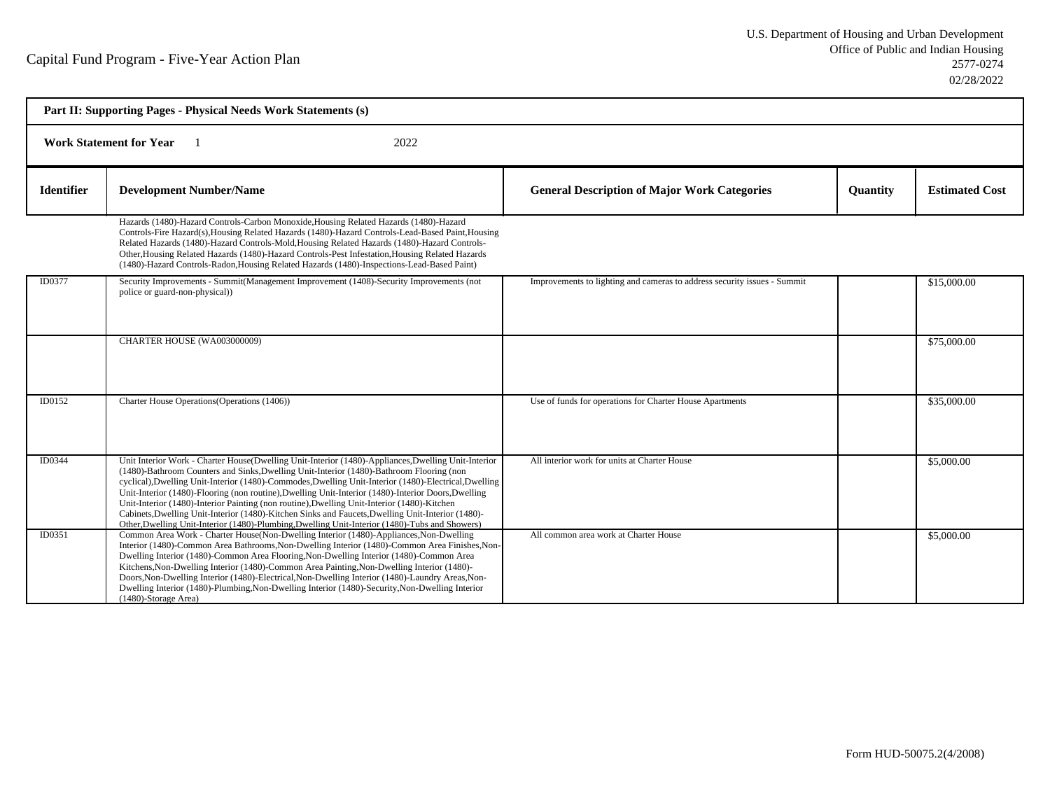| Part II: Supporting Pages - Physical Needs Work Statements (s) |                                                                                                                                                                                                                                                                                                                                                                                                                                                                                                                                                                                                                                                                                                                       |                                                                          |                 |                       |  |
|----------------------------------------------------------------|-----------------------------------------------------------------------------------------------------------------------------------------------------------------------------------------------------------------------------------------------------------------------------------------------------------------------------------------------------------------------------------------------------------------------------------------------------------------------------------------------------------------------------------------------------------------------------------------------------------------------------------------------------------------------------------------------------------------------|--------------------------------------------------------------------------|-----------------|-----------------------|--|
| <b>Work Statement for Year</b><br>2022                         |                                                                                                                                                                                                                                                                                                                                                                                                                                                                                                                                                                                                                                                                                                                       |                                                                          |                 |                       |  |
| <b>Identifier</b>                                              | <b>Development Number/Name</b>                                                                                                                                                                                                                                                                                                                                                                                                                                                                                                                                                                                                                                                                                        | <b>General Description of Major Work Categories</b>                      | <b>Quantity</b> | <b>Estimated Cost</b> |  |
|                                                                | Hazards (1480)-Hazard Controls-Carbon Monoxide, Housing Related Hazards (1480)-Hazard<br>Controls-Fire Hazard(s), Housing Related Hazards (1480)-Hazard Controls-Lead-Based Paint, Housing<br>Related Hazards (1480)-Hazard Controls-Mold, Housing Related Hazards (1480)-Hazard Controls-<br>Other, Housing Related Hazards (1480)-Hazard Controls-Pest Infestation, Housing Related Hazards<br>(1480)-Hazard Controls-Radon, Housing Related Hazards (1480)-Inspections-Lead-Based Paint)                                                                                                                                                                                                                           |                                                                          |                 |                       |  |
| ID0377                                                         | Security Improvements - Summit(Management Improvement (1408)-Security Improvements (not<br>police or guard-non-physical)                                                                                                                                                                                                                                                                                                                                                                                                                                                                                                                                                                                              | Improvements to lighting and cameras to address security issues - Summit |                 | \$15,000.00           |  |
|                                                                | CHARTER HOUSE (WA003000009)                                                                                                                                                                                                                                                                                                                                                                                                                                                                                                                                                                                                                                                                                           |                                                                          |                 | \$75,000.00           |  |
| ID0152                                                         | Charter House Operations (Operations (1406))                                                                                                                                                                                                                                                                                                                                                                                                                                                                                                                                                                                                                                                                          | Use of funds for operations for Charter House Apartments                 |                 | \$35,000.00           |  |
| ID0344                                                         | Unit Interior Work - Charter House(Dwelling Unit-Interior (1480)-Appliances, Dwelling Unit-Interior<br>(1480)-Bathroom Counters and Sinks, Dwelling Unit-Interior (1480)-Bathroom Flooring (non<br>cyclical), Dwelling Unit-Interior (1480)-Commodes, Dwelling Unit-Interior (1480)-Electrical, Dwelling<br>Unit-Interior (1480)-Flooring (non routine), Dwelling Unit-Interior (1480)-Interior Doors, Dwelling<br>Unit-Interior (1480)-Interior Painting (non routine), Dwelling Unit-Interior (1480)-Kitchen<br>Cabinets, Dwelling Unit-Interior (1480)-Kitchen Sinks and Faucets, Dwelling Unit-Interior (1480)-<br>Other, Dwelling Unit-Interior (1480)-Plumbing, Dwelling Unit-Interior (1480)-Tubs and Showers) | All interior work for units at Charter House                             |                 | \$5,000.00            |  |
| ID0351                                                         | Common Area Work - Charter House(Non-Dwelling Interior (1480)-Appliances, Non-Dwelling<br>Interior (1480)-Common Area Bathrooms, Non-Dwelling Interior (1480)-Common Area Finishes, Non-<br>Dwelling Interior (1480)-Common Area Flooring, Non-Dwelling Interior (1480)-Common Area<br>Kitchens, Non-Dwelling Interior (1480)-Common Area Painting, Non-Dwelling Interior (1480)-<br>Doors, Non-Dwelling Interior (1480)-Electrical, Non-Dwelling Interior (1480)-Laundry Areas, Non-<br>Dwelling Interior (1480)-Plumbing, Non-Dwelling Interior (1480)-Security, Non-Dwelling Interior<br>$(1480)$ -Storage Area)                                                                                                   | All common area work at Charter House                                    |                 | \$5,000.00            |  |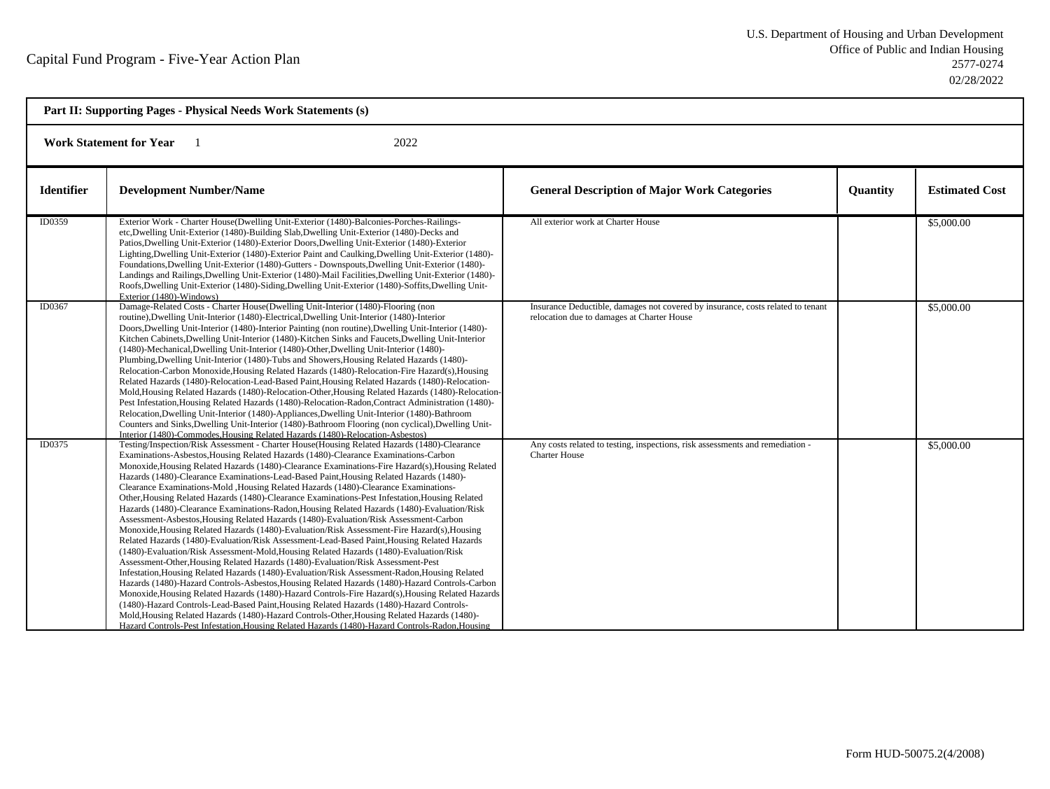| Part II: Supporting Pages - Physical Needs Work Statements (s) |                                                                                                                                                                                                                                                                                                                                                                                                                                                                                                                                                                                                                                                                                                                                                                                                                                                                                                                                                                                                                                                                                                                                                                                                                                                                                                                                                                                                                                                                                                                                                                                                                                                                                                                                                     |                                                                                                                               |                 |                       |
|----------------------------------------------------------------|-----------------------------------------------------------------------------------------------------------------------------------------------------------------------------------------------------------------------------------------------------------------------------------------------------------------------------------------------------------------------------------------------------------------------------------------------------------------------------------------------------------------------------------------------------------------------------------------------------------------------------------------------------------------------------------------------------------------------------------------------------------------------------------------------------------------------------------------------------------------------------------------------------------------------------------------------------------------------------------------------------------------------------------------------------------------------------------------------------------------------------------------------------------------------------------------------------------------------------------------------------------------------------------------------------------------------------------------------------------------------------------------------------------------------------------------------------------------------------------------------------------------------------------------------------------------------------------------------------------------------------------------------------------------------------------------------------------------------------------------------------|-------------------------------------------------------------------------------------------------------------------------------|-----------------|-----------------------|
| <b>Work Statement for Year</b><br>2022                         |                                                                                                                                                                                                                                                                                                                                                                                                                                                                                                                                                                                                                                                                                                                                                                                                                                                                                                                                                                                                                                                                                                                                                                                                                                                                                                                                                                                                                                                                                                                                                                                                                                                                                                                                                     |                                                                                                                               |                 |                       |
| <b>Identifier</b>                                              | <b>Development Number/Name</b>                                                                                                                                                                                                                                                                                                                                                                                                                                                                                                                                                                                                                                                                                                                                                                                                                                                                                                                                                                                                                                                                                                                                                                                                                                                                                                                                                                                                                                                                                                                                                                                                                                                                                                                      | <b>General Description of Major Work Categories</b>                                                                           | <b>Quantity</b> | <b>Estimated Cost</b> |
| ID0359                                                         | Exterior Work - Charter House(Dwelling Unit-Exterior (1480)-Balconies-Porches-Railings-<br>etc, Dwelling Unit-Exterior (1480)-Building Slab, Dwelling Unit-Exterior (1480)-Decks and<br>Patios, Dwelling Unit-Exterior (1480)-Exterior Doors, Dwelling Unit-Exterior (1480)-Exterior<br>Lighting, Dwelling Unit-Exterior (1480)-Exterior Paint and Caulking, Dwelling Unit-Exterior (1480)-<br>Foundations, Dwelling Unit-Exterior (1480)-Gutters - Downspouts, Dwelling Unit-Exterior (1480)-<br>Landings and Railings, Dwelling Unit-Exterior (1480)-Mail Facilities, Dwelling Unit-Exterior (1480)-<br>Roofs, Dwelling Unit-Exterior (1480)-Siding, Dwelling Unit-Exterior (1480)-Soffits, Dwelling Unit-<br>Exterior (1480)-Windows)                                                                                                                                                                                                                                                                                                                                                                                                                                                                                                                                                                                                                                                                                                                                                                                                                                                                                                                                                                                                            | All exterior work at Charter House                                                                                            |                 | \$5,000.00            |
| ID0367                                                         | Damage-Related Costs - Charter House(Dwelling Unit-Interior (1480)-Flooring (non<br>routine), Dwelling Unit-Interior (1480)-Electrical, Dwelling Unit-Interior (1480)-Interior<br>Doors, Dwelling Unit-Interior (1480)-Interior Painting (non routine), Dwelling Unit-Interior (1480)-<br>Kitchen Cabinets, Dwelling Unit-Interior (1480)-Kitchen Sinks and Faucets, Dwelling Unit-Interior<br>(1480)-Mechanical, Dwelling Unit-Interior (1480)-Other, Dwelling Unit-Interior (1480)-<br>Plumbing, Dwelling Unit-Interior (1480)-Tubs and Showers, Housing Related Hazards (1480)-<br>Relocation-Carbon Monoxide, Housing Related Hazards (1480)-Relocation-Fire Hazard(s), Housing<br>Related Hazards (1480)-Relocation-Lead-Based Paint, Housing Related Hazards (1480)-Relocation-<br>Mold, Housing Related Hazards (1480)-Relocation-Other, Housing Related Hazards (1480)-Relocation-<br>Pest Infestation, Housing Related Hazards (1480)-Relocation-Radon, Contract Administration (1480)-<br>Relocation, Dwelling Unit-Interior (1480)-Appliances, Dwelling Unit-Interior (1480)-Bathroom<br>Counters and Sinks, Dwelling Unit-Interior (1480)-Bathroom Flooring (non cyclical), Dwelling Unit-<br>Interior (1480)-Commodes.Housing Related Hazards (1480)-Relocation-Asbestos)                                                                                                                                                                                                                                                                                                                                                                                                                                                              | Insurance Deductible, damages not covered by insurance, costs related to tenant<br>relocation due to damages at Charter House |                 | \$5,000.00            |
| ID0375                                                         | Testing/Inspection/Risk Assessment - Charter House(Housing Related Hazards (1480)-Clearance<br>Examinations-Asbestos, Housing Related Hazards (1480)-Clearance Examinations-Carbon<br>Monoxide, Housing Related Hazards (1480)-Clearance Examinations-Fire Hazard(s), Housing Related<br>Hazards (1480)-Clearance Examinations-Lead-Based Paint, Housing Related Hazards (1480)-<br>Clearance Examinations-Mold , Housing Related Hazards (1480)-Clearance Examinations-<br>Other, Housing Related Hazards (1480)-Clearance Examinations-Pest Infestation, Housing Related<br>Hazards (1480)-Clearance Examinations-Radon, Housing Related Hazards (1480)-Evaluation/Risk<br>Assessment-Asbestos, Housing Related Hazards (1480)-Evaluation/Risk Assessment-Carbon<br>Monoxide, Housing Related Hazards (1480)-Evaluation/Risk Assessment-Fire Hazard(s), Housing<br>Related Hazards (1480)-Evaluation/Risk Assessment-Lead-Based Paint, Housing Related Hazards<br>(1480)-Evaluation/Risk Assessment-Mold, Housing Related Hazards (1480)-Evaluation/Risk<br>Assessment-Other, Housing Related Hazards (1480)-Evaluation/Risk Assessment-Pest<br>Infestation, Housing Related Hazards (1480)-Evaluation/Risk Assessment-Radon, Housing Related<br>Hazards (1480)-Hazard Controls-Asbestos, Housing Related Hazards (1480)-Hazard Controls-Carbon<br>Monoxide, Housing Related Hazards (1480)-Hazard Controls-Fire Hazard(s), Housing Related Hazards<br>(1480)-Hazard Controls-Lead-Based Paint, Housing Related Hazards (1480)-Hazard Controls-<br>Mold, Housing Related Hazards (1480)-Hazard Controls-Other, Housing Related Hazards (1480)-<br>Hazard Controls-Pest Infestation, Housing Related Hazards (1480)-Hazard Controls-Radon, Housing | Any costs related to testing, inspections, risk assessments and remediation -<br><b>Charter House</b>                         |                 | \$5,000.00            |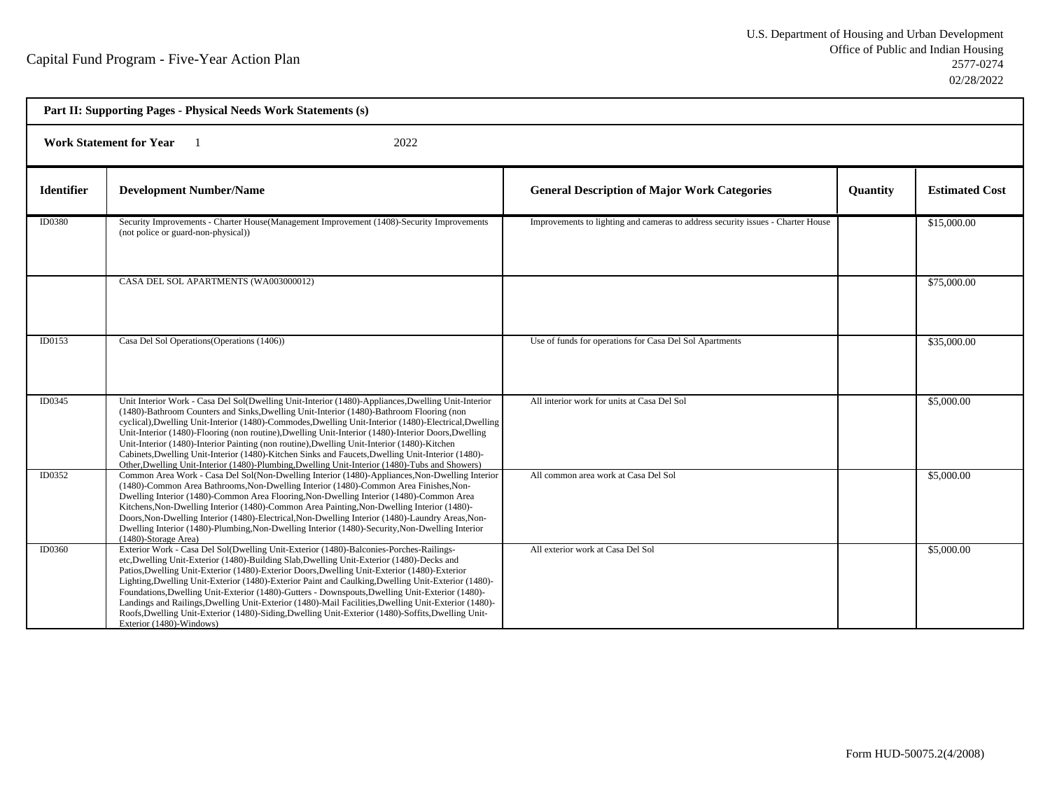| Part II: Supporting Pages - Physical Needs Work Statements (s) |                                                                                                                                                                                                                                                                                                                                                                                                                                                                                                                                                                                                                                                                                                                                         |                                                                                 |                 |                       |  |
|----------------------------------------------------------------|-----------------------------------------------------------------------------------------------------------------------------------------------------------------------------------------------------------------------------------------------------------------------------------------------------------------------------------------------------------------------------------------------------------------------------------------------------------------------------------------------------------------------------------------------------------------------------------------------------------------------------------------------------------------------------------------------------------------------------------------|---------------------------------------------------------------------------------|-----------------|-----------------------|--|
| <b>Work Statement for Year</b><br>2022                         |                                                                                                                                                                                                                                                                                                                                                                                                                                                                                                                                                                                                                                                                                                                                         |                                                                                 |                 |                       |  |
| <b>Identifier</b>                                              | <b>Development Number/Name</b>                                                                                                                                                                                                                                                                                                                                                                                                                                                                                                                                                                                                                                                                                                          | <b>General Description of Major Work Categories</b>                             | <b>Quantity</b> | <b>Estimated Cost</b> |  |
| ID0380                                                         | Security Improvements - Charter House(Management Improvement (1408)-Security Improvements<br>(not police or guard-non-physical))                                                                                                                                                                                                                                                                                                                                                                                                                                                                                                                                                                                                        | Improvements to lighting and cameras to address security issues - Charter House |                 | \$15,000.00           |  |
|                                                                | CASA DEL SOL APARTMENTS (WA003000012)                                                                                                                                                                                                                                                                                                                                                                                                                                                                                                                                                                                                                                                                                                   |                                                                                 |                 | \$75,000.00           |  |
| ID0153                                                         | Casa Del Sol Operations (Operations (1406))                                                                                                                                                                                                                                                                                                                                                                                                                                                                                                                                                                                                                                                                                             | Use of funds for operations for Casa Del Sol Apartments                         |                 | \$35,000.00           |  |
| ID0345                                                         | Unit Interior Work - Casa Del Sol(Dwelling Unit-Interior (1480)-Appliances, Dwelling Unit-Interior<br>(1480)-Bathroom Counters and Sinks, Dwelling Unit-Interior (1480)-Bathroom Flooring (non<br>cyclical), Dwelling Unit-Interior (1480)-Commodes, Dwelling Unit-Interior (1480)-Electrical, Dwelling<br>Unit-Interior (1480)-Flooring (non routine), Dwelling Unit-Interior (1480)-Interior Doors, Dwelling<br>Unit-Interior (1480)-Interior Painting (non routine), Dwelling Unit-Interior (1480)-Kitchen<br>Cabinets, Dwelling Unit-Interior (1480)-Kitchen Sinks and Faucets, Dwelling Unit-Interior (1480)-<br>Other, Dwelling Unit-Interior (1480)-Plumbing, Dwelling Unit-Interior (1480)-Tubs and Showers)                    | All interior work for units at Casa Del Sol                                     |                 | \$5,000.00            |  |
| ID0352                                                         | Common Area Work - Casa Del Sol(Non-Dwelling Interior (1480)-Appliances, Non-Dwelling Interior<br>(1480)-Common Area Bathrooms, Non-Dwelling Interior (1480)-Common Area Finishes, Non-<br>Dwelling Interior (1480)-Common Area Flooring, Non-Dwelling Interior (1480)-Common Area<br>Kitchens, Non-Dwelling Interior (1480)-Common Area Painting, Non-Dwelling Interior (1480)-<br>Doors, Non-Dwelling Interior (1480)-Electrical, Non-Dwelling Interior (1480)-Laundry Areas, Non-<br>Dwelling Interior (1480)-Plumbing, Non-Dwelling Interior (1480)-Security, Non-Dwelling Interior<br>(1480)-Storage Area)                                                                                                                         | All common area work at Casa Del Sol                                            |                 | \$5,000.00            |  |
| ID0360                                                         | Exterior Work - Casa Del Sol(Dwelling Unit-Exterior (1480)-Balconies-Porches-Railings-<br>etc, Dwelling Unit-Exterior (1480)-Building Slab, Dwelling Unit-Exterior (1480)-Decks and<br>Patios, Dwelling Unit-Exterior (1480)-Exterior Doors, Dwelling Unit-Exterior (1480)-Exterior<br>Lighting, Dwelling Unit-Exterior (1480)-Exterior Paint and Caulking, Dwelling Unit-Exterior (1480)-<br>Foundations, Dwelling Unit-Exterior (1480)-Gutters - Downspouts, Dwelling Unit-Exterior (1480)-<br>Landings and Railings, Dwelling Unit-Exterior (1480)-Mail Facilities, Dwelling Unit-Exterior (1480)-<br>Roofs, Dwelling Unit-Exterior (1480)-Siding, Dwelling Unit-Exterior (1480)-Soffits, Dwelling Unit-<br>Exterior (1480)-Windows) | All exterior work at Casa Del Sol                                               |                 | \$5,000.00            |  |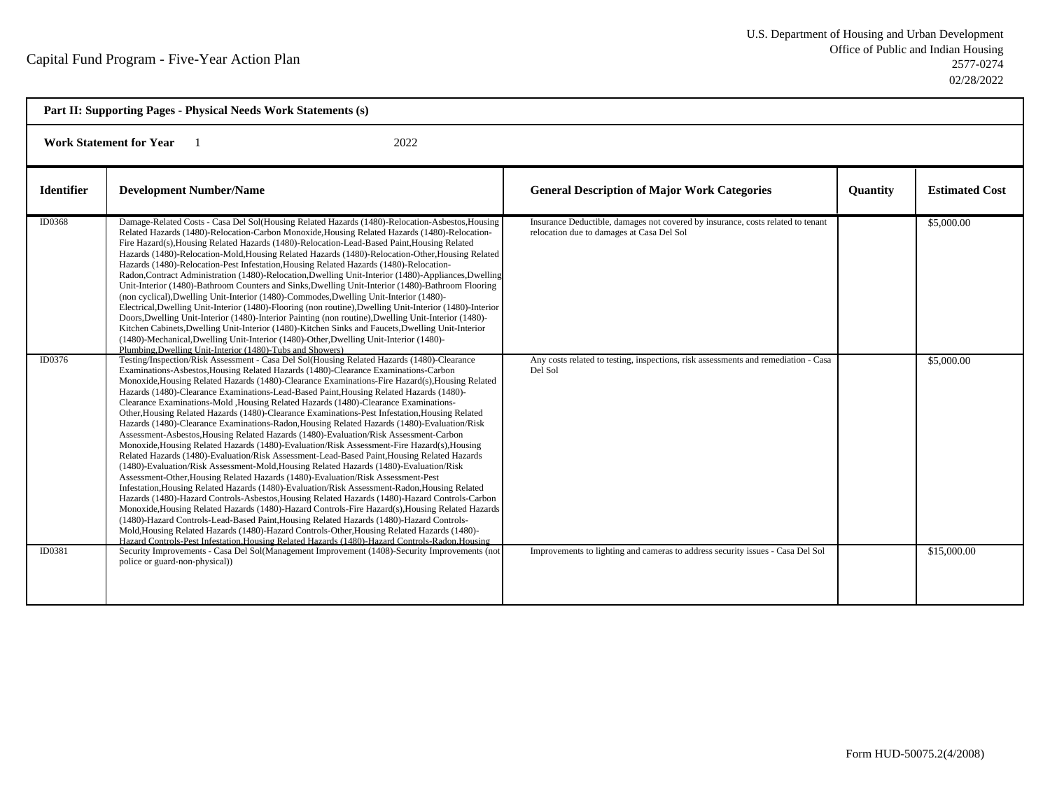| Part II: Supporting Pages - Physical Needs Work Statements (s) |                                                                                                                                                                                                                                                                                                                                                                                                                                                                                                                                                                                                                                                                                                                                                                                                                                                                                                                                                                                                                                                                                                                                                                                                                                                                                                                                                                                                                                                                                                                                                                                                                                                                                                                                                                                                                                                                                                                                                                                                                                                                                                                                                                                                                                                                                                                                                                                                                                                                                                                                                                                                                                                                                                                                                                                                                                                                                                                                        |                                                                                                                                                                                                                               |                 |                          |
|----------------------------------------------------------------|----------------------------------------------------------------------------------------------------------------------------------------------------------------------------------------------------------------------------------------------------------------------------------------------------------------------------------------------------------------------------------------------------------------------------------------------------------------------------------------------------------------------------------------------------------------------------------------------------------------------------------------------------------------------------------------------------------------------------------------------------------------------------------------------------------------------------------------------------------------------------------------------------------------------------------------------------------------------------------------------------------------------------------------------------------------------------------------------------------------------------------------------------------------------------------------------------------------------------------------------------------------------------------------------------------------------------------------------------------------------------------------------------------------------------------------------------------------------------------------------------------------------------------------------------------------------------------------------------------------------------------------------------------------------------------------------------------------------------------------------------------------------------------------------------------------------------------------------------------------------------------------------------------------------------------------------------------------------------------------------------------------------------------------------------------------------------------------------------------------------------------------------------------------------------------------------------------------------------------------------------------------------------------------------------------------------------------------------------------------------------------------------------------------------------------------------------------------------------------------------------------------------------------------------------------------------------------------------------------------------------------------------------------------------------------------------------------------------------------------------------------------------------------------------------------------------------------------------------------------------------------------------------------------------------------------|-------------------------------------------------------------------------------------------------------------------------------------------------------------------------------------------------------------------------------|-----------------|--------------------------|
| 2022<br><b>Work Statement for Year</b>                         |                                                                                                                                                                                                                                                                                                                                                                                                                                                                                                                                                                                                                                                                                                                                                                                                                                                                                                                                                                                                                                                                                                                                                                                                                                                                                                                                                                                                                                                                                                                                                                                                                                                                                                                                                                                                                                                                                                                                                                                                                                                                                                                                                                                                                                                                                                                                                                                                                                                                                                                                                                                                                                                                                                                                                                                                                                                                                                                                        |                                                                                                                                                                                                                               |                 |                          |
| <b>Identifier</b>                                              | <b>Development Number/Name</b>                                                                                                                                                                                                                                                                                                                                                                                                                                                                                                                                                                                                                                                                                                                                                                                                                                                                                                                                                                                                                                                                                                                                                                                                                                                                                                                                                                                                                                                                                                                                                                                                                                                                                                                                                                                                                                                                                                                                                                                                                                                                                                                                                                                                                                                                                                                                                                                                                                                                                                                                                                                                                                                                                                                                                                                                                                                                                                         | <b>General Description of Major Work Categories</b>                                                                                                                                                                           | <b>Ouantity</b> | <b>Estimated Cost</b>    |
| <b>ID0368</b><br>ID0376                                        | Damage-Related Costs - Casa Del Sol(Housing Related Hazards (1480)-Relocation-Asbestos, Housing<br>Related Hazards (1480)-Relocation-Carbon Monoxide, Housing Related Hazards (1480)-Relocation-<br>Fire Hazard(s), Housing Related Hazards (1480)-Relocation-Lead-Based Paint, Housing Related<br>Hazards (1480)-Relocation-Mold, Housing Related Hazards (1480)-Relocation-Other, Housing Related<br>Hazards (1480)-Relocation-Pest Infestation, Housing Related Hazards (1480)-Relocation-<br>Radon, Contract Administration (1480)-Relocation, Dwelling Unit-Interior (1480)-Appliances, Dwelling<br>Unit-Interior (1480)-Bathroom Counters and Sinks, Dwelling Unit-Interior (1480)-Bathroom Flooring<br>(non cyclical), Dwelling Unit-Interior (1480)-Commodes, Dwelling Unit-Interior (1480)-<br>Electrical, Dwelling Unit-Interior (1480)-Flooring (non routine), Dwelling Unit-Interior (1480)-Interior<br>Doors, Dwelling Unit-Interior (1480)-Interior Painting (non routine), Dwelling Unit-Interior (1480)-<br>Kitchen Cabinets, Dwelling Unit-Interior (1480)-Kitchen Sinks and Faucets, Dwelling Unit-Interior<br>(1480)-Mechanical, Dwelling Unit-Interior (1480)-Other, Dwelling Unit-Interior (1480)-<br>Plumbing, Dwelling Unit-Interior (1480)-Tubs and Showers)<br>Testing/Inspection/Risk Assessment - Casa Del Sol(Housing Related Hazards (1480)-Clearance<br>Examinations-Asbestos, Housing Related Hazards (1480)-Clearance Examinations-Carbon<br>Monoxide, Housing Related Hazards (1480)-Clearance Examinations-Fire Hazard(s), Housing Related<br>Hazards (1480)-Clearance Examinations-Lead-Based Paint, Housing Related Hazards (1480)-<br>Clearance Examinations-Mold ,Housing Related Hazards (1480)-Clearance Examinations-<br>Other, Housing Related Hazards (1480)-Clearance Examinations-Pest Infestation, Housing Related<br>Hazards (1480)-Clearance Examinations-Radon, Housing Related Hazards (1480)-Evaluation/Risk<br>Assessment-Asbestos, Housing Related Hazards (1480)-Evaluation/Risk Assessment-Carbon<br>Monoxide, Housing Related Hazards (1480)-Evaluation/Risk Assessment-Fire Hazard(s), Housing<br>Related Hazards (1480)-Evaluation/Risk Assessment-Lead-Based Paint, Housing Related Hazards<br>(1480)-Evaluation/Risk Assessment-Mold, Housing Related Hazards (1480)-Evaluation/Risk<br>Assessment-Other, Housing Related Hazards (1480)-Evaluation/Risk Assessment-Pest<br>Infestation, Housing Related Hazards (1480)-Evaluation/Risk Assessment-Radon, Housing Related<br>Hazards (1480)-Hazard Controls-Asbestos, Housing Related Hazards (1480)-Hazard Controls-Carbon<br>Monoxide, Housing Related Hazards (1480)-Hazard Controls-Fire Hazard(s), Housing Related Hazards<br>(1480)-Hazard Controls-Lead-Based Paint, Housing Related Hazards (1480)-Hazard Controls-<br>Mold, Housing Related Hazards (1480)-Hazard Controls-Other, Housing Related Hazards (1480)- | Insurance Deductible, damages not covered by insurance, costs related to tenant<br>relocation due to damages at Casa Del Sol<br>Any costs related to testing, inspections, risk assessments and remediation - Casa<br>Del Sol |                 | \$5,000.00<br>\$5,000.00 |
| <b>ID0381</b>                                                  | Hazard Controls-Pest Infestation. Housing Related Hazards (1480)-Hazard Controls-Radon. Housing<br>Security Improvements - Casa Del Sol(Management Improvement (1408)-Security Improvements (not<br>police or guard-non-physical))                                                                                                                                                                                                                                                                                                                                                                                                                                                                                                                                                                                                                                                                                                                                                                                                                                                                                                                                                                                                                                                                                                                                                                                                                                                                                                                                                                                                                                                                                                                                                                                                                                                                                                                                                                                                                                                                                                                                                                                                                                                                                                                                                                                                                                                                                                                                                                                                                                                                                                                                                                                                                                                                                                     | Improvements to lighting and cameras to address security issues - Casa Del Sol                                                                                                                                                |                 | \$15,000.00              |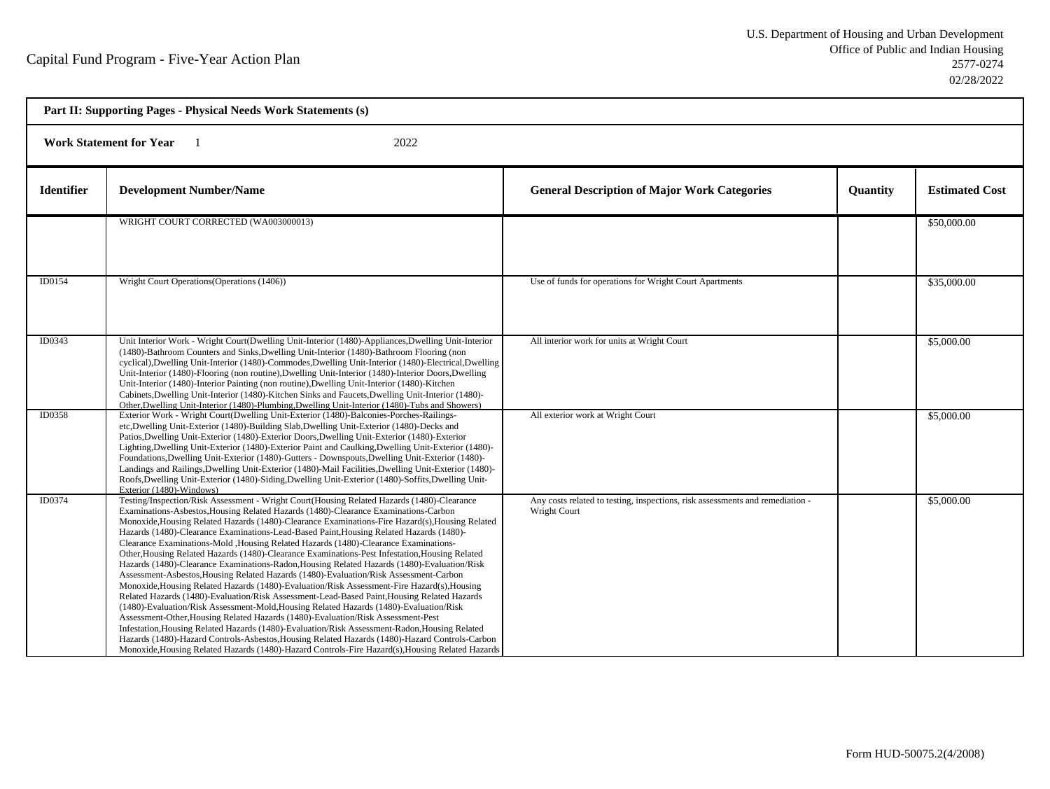| Part II: Supporting Pages - Physical Needs Work Statements (s) |                                                                                                                                                                                                                                                                                                                                                                                                                                                                                                                                                                                                                                                                                                                                                                                                                                                                                                                                                                                                                                                                                                                                                                                                                                                                                                                                                                                                                                                      |                                                                                               |          |                       |  |
|----------------------------------------------------------------|------------------------------------------------------------------------------------------------------------------------------------------------------------------------------------------------------------------------------------------------------------------------------------------------------------------------------------------------------------------------------------------------------------------------------------------------------------------------------------------------------------------------------------------------------------------------------------------------------------------------------------------------------------------------------------------------------------------------------------------------------------------------------------------------------------------------------------------------------------------------------------------------------------------------------------------------------------------------------------------------------------------------------------------------------------------------------------------------------------------------------------------------------------------------------------------------------------------------------------------------------------------------------------------------------------------------------------------------------------------------------------------------------------------------------------------------------|-----------------------------------------------------------------------------------------------|----------|-----------------------|--|
|                                                                | 2022<br><b>Work Statement for Year</b>                                                                                                                                                                                                                                                                                                                                                                                                                                                                                                                                                                                                                                                                                                                                                                                                                                                                                                                                                                                                                                                                                                                                                                                                                                                                                                                                                                                                               |                                                                                               |          |                       |  |
| <b>Identifier</b>                                              | <b>Development Number/Name</b>                                                                                                                                                                                                                                                                                                                                                                                                                                                                                                                                                                                                                                                                                                                                                                                                                                                                                                                                                                                                                                                                                                                                                                                                                                                                                                                                                                                                                       | <b>General Description of Major Work Categories</b>                                           | Quantity | <b>Estimated Cost</b> |  |
|                                                                | WRIGHT COURT CORRECTED (WA003000013)                                                                                                                                                                                                                                                                                                                                                                                                                                                                                                                                                                                                                                                                                                                                                                                                                                                                                                                                                                                                                                                                                                                                                                                                                                                                                                                                                                                                                 |                                                                                               |          | \$50,000.00           |  |
| ID0154                                                         | Wright Court Operations (Operations (1406))                                                                                                                                                                                                                                                                                                                                                                                                                                                                                                                                                                                                                                                                                                                                                                                                                                                                                                                                                                                                                                                                                                                                                                                                                                                                                                                                                                                                          | Use of funds for operations for Wright Court Apartments                                       |          | \$35,000.00           |  |
| ID0343                                                         | Unit Interior Work - Wright Court(Dwelling Unit-Interior (1480)-Appliances, Dwelling Unit-Interior<br>(1480)-Bathroom Counters and Sinks, Dwelling Unit-Interior (1480)-Bathroom Flooring (non<br>cyclical), Dwelling Unit-Interior (1480)-Commodes, Dwelling Unit-Interior (1480)-Electrical, Dwelling<br>Unit-Interior (1480)-Flooring (non routine), Dwelling Unit-Interior (1480)-Interior Doors, Dwelling<br>Unit-Interior (1480)-Interior Painting (non routine), Dwelling Unit-Interior (1480)-Kitchen<br>Cabinets, Dwelling Unit-Interior (1480)-Kitchen Sinks and Faucets, Dwelling Unit-Interior (1480)-<br>Other, Dwelling Unit-Interior (1480)-Plumbing, Dwelling Unit-Interior (1480)-Tubs and Showers)                                                                                                                                                                                                                                                                                                                                                                                                                                                                                                                                                                                                                                                                                                                                 | All interior work for units at Wright Court                                                   |          | \$5,000.00            |  |
| <b>ID0358</b>                                                  | Exterior Work - Wright Court(Dwelling Unit-Exterior (1480)-Balconies-Porches-Railings-<br>etc, Dwelling Unit-Exterior (1480)-Building Slab, Dwelling Unit-Exterior (1480)-Decks and<br>Patios, Dwelling Unit-Exterior (1480)-Exterior Doors, Dwelling Unit-Exterior (1480)-Exterior<br>Lighting, Dwelling Unit-Exterior (1480)-Exterior Paint and Caulking, Dwelling Unit-Exterior (1480)-<br>Foundations, Dwelling Unit-Exterior (1480)-Gutters - Downspouts, Dwelling Unit-Exterior (1480)-<br>Landings and Railings, Dwelling Unit-Exterior (1480)-Mail Facilities, Dwelling Unit-Exterior (1480)-<br>Roofs, Dwelling Unit-Exterior (1480)-Siding, Dwelling Unit-Exterior (1480)-Soffits, Dwelling Unit-<br>Exterior (1480)-Windows)                                                                                                                                                                                                                                                                                                                                                                                                                                                                                                                                                                                                                                                                                                              | All exterior work at Wright Court                                                             |          | \$5,000.00            |  |
| ID0374                                                         | Testing/Inspection/Risk Assessment - Wright Court(Housing Related Hazards (1480)-Clearance<br>Examinations-Asbestos, Housing Related Hazards (1480)-Clearance Examinations-Carbon<br>Monoxide, Housing Related Hazards (1480)-Clearance Examinations-Fire Hazard(s), Housing Related<br>Hazards (1480)-Clearance Examinations-Lead-Based Paint, Housing Related Hazards (1480)-<br>Clearance Examinations-Mold , Housing Related Hazards (1480)-Clearance Examinations-<br>Other, Housing Related Hazards (1480)-Clearance Examinations-Pest Infestation, Housing Related<br>Hazards (1480)-Clearance Examinations-Radon, Housing Related Hazards (1480)-Evaluation/Risk<br>Assessment-Asbestos, Housing Related Hazards (1480)-Evaluation/Risk Assessment-Carbon<br>Monoxide, Housing Related Hazards (1480)-Evaluation/Risk Assessment-Fire Hazard(s), Housing<br>Related Hazards (1480)-Evaluation/Risk Assessment-Lead-Based Paint, Housing Related Hazards<br>(1480)-Evaluation/Risk Assessment-Mold, Housing Related Hazards (1480)-Evaluation/Risk<br>Assessment-Other, Housing Related Hazards (1480)-Evaluation/Risk Assessment-Pest<br>Infestation, Housing Related Hazards (1480)-Evaluation/Risk Assessment-Radon, Housing Related<br>Hazards (1480)-Hazard Controls-Asbestos, Housing Related Hazards (1480)-Hazard Controls-Carbon<br>Monoxide, Housing Related Hazards (1480)-Hazard Controls-Fire Hazard(s), Housing Related Hazards | Any costs related to testing, inspections, risk assessments and remediation -<br>Wright Court |          | \$5,000.00            |  |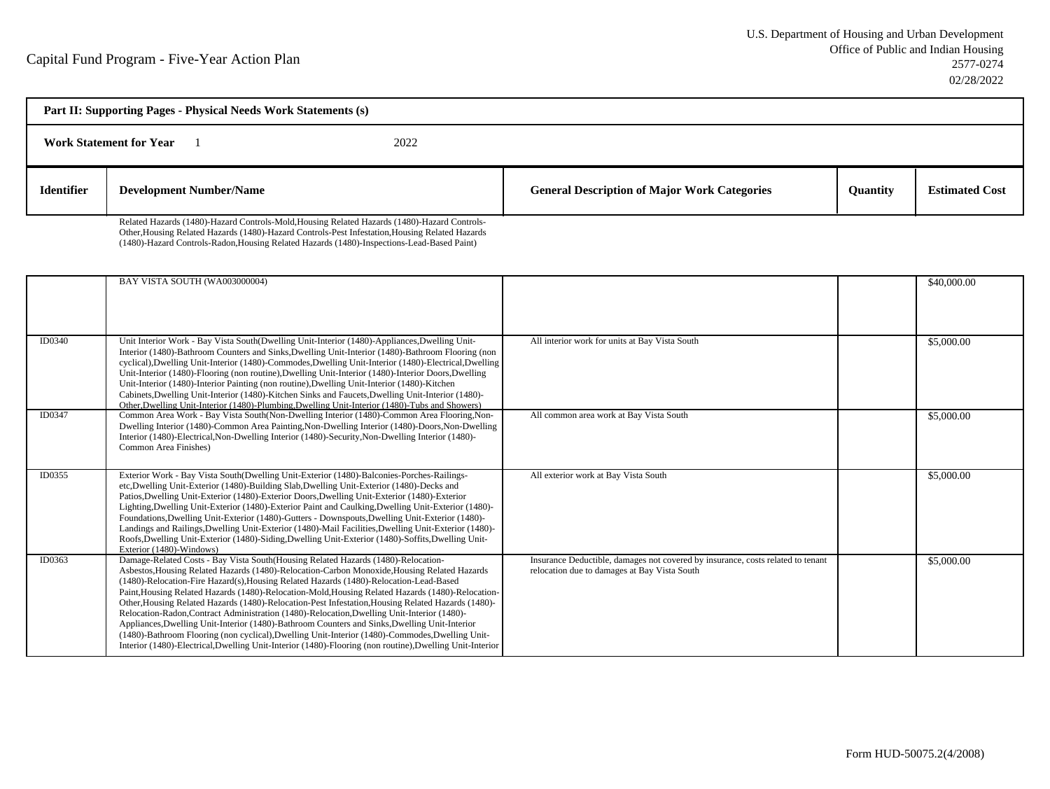| Part II: Supporting Pages - Physical Needs Work Statements (s) |                                                                                             |      |                                                     |                 |                       |
|----------------------------------------------------------------|---------------------------------------------------------------------------------------------|------|-----------------------------------------------------|-----------------|-----------------------|
|                                                                | <b>Work Statement for Year</b>                                                              | 2022 |                                                     |                 |                       |
| <b>Identifier</b>                                              | <b>Development Number/Name</b>                                                              |      | <b>General Description of Major Work Categories</b> | <b>Quantity</b> | <b>Estimated Cost</b> |
|                                                                | Related Hazards (1480)-Hazard Controls-Mold Housing Related Hazards (1480)-Hazard Controls- |      |                                                     |                 |                       |

Related Hazards (1480)-Hazard Controls-Mold,Housing Related Hazards (1480)-Hazard Controls-Other,Housing Related Hazards (1480)-Hazard Controls-Pest Infestation,Housing Related Hazards(1480)-Hazard Controls-Radon,Housing Related Hazards (1480)-Inspections-Lead-Based Paint)

|        | BAY VISTA SOUTH (WA003000004)                                                                                                                                                                                                                                                                                                                                                                                                                                                                                                                                                                                                                                                                                                                                                                                                                                                                       |                                                                                                                                 | \$40,000.00 |
|--------|-----------------------------------------------------------------------------------------------------------------------------------------------------------------------------------------------------------------------------------------------------------------------------------------------------------------------------------------------------------------------------------------------------------------------------------------------------------------------------------------------------------------------------------------------------------------------------------------------------------------------------------------------------------------------------------------------------------------------------------------------------------------------------------------------------------------------------------------------------------------------------------------------------|---------------------------------------------------------------------------------------------------------------------------------|-------------|
|        |                                                                                                                                                                                                                                                                                                                                                                                                                                                                                                                                                                                                                                                                                                                                                                                                                                                                                                     |                                                                                                                                 |             |
|        |                                                                                                                                                                                                                                                                                                                                                                                                                                                                                                                                                                                                                                                                                                                                                                                                                                                                                                     |                                                                                                                                 |             |
| ID0340 | Unit Interior Work - Bay Vista South(Dwelling Unit-Interior (1480)-Appliances, Dwelling Unit-<br>Interior (1480)-Bathroom Counters and Sinks, Dwelling Unit-Interior (1480)-Bathroom Flooring (non<br>cyclical), Dwelling Unit-Interior (1480)-Commodes, Dwelling Unit-Interior (1480)-Electrical, Dwelling<br>Unit-Interior (1480)-Flooring (non routine), Dwelling Unit-Interior (1480)-Interior Doors, Dwelling<br>Unit-Interior (1480)-Interior Painting (non routine), Dwelling Unit-Interior (1480)-Kitchen<br>Cabinets, Dwelling Unit-Interior (1480)-Kitchen Sinks and Faucets, Dwelling Unit-Interior (1480)-<br>Other, Dwelling Unit-Interior (1480)-Plumbing, Dwelling Unit-Interior (1480)-Tubs and Showers)                                                                                                                                                                            | All interior work for units at Bay Vista South                                                                                  | \$5,000.00  |
| ID0347 | Common Area Work - Bay Vista South(Non-Dwelling Interior (1480)-Common Area Flooring, Non-<br>Dwelling Interior (1480)-Common Area Painting, Non-Dwelling Interior (1480)-Doors, Non-Dwelling<br>Interior (1480)-Electrical, Non-Dwelling Interior (1480)-Security, Non-Dwelling Interior (1480)-<br>Common Area Finishes)                                                                                                                                                                                                                                                                                                                                                                                                                                                                                                                                                                          | All common area work at Bay Vista South                                                                                         | \$5,000.00  |
| ID0355 | Exterior Work - Bay Vista South(Dwelling Unit-Exterior (1480)-Balconies-Porches-Railings-<br>etc, Dwelling Unit-Exterior (1480)-Building Slab, Dwelling Unit-Exterior (1480)-Decks and<br>Patios, Dwelling Unit-Exterior (1480)-Exterior Doors, Dwelling Unit-Exterior (1480)-Exterior<br>Lighting, Dwelling Unit-Exterior (1480)-Exterior Paint and Caulking, Dwelling Unit-Exterior (1480)-<br>Foundations, Dwelling Unit-Exterior (1480)-Gutters - Downspouts, Dwelling Unit-Exterior (1480)-<br>Landings and Railings, Dwelling Unit-Exterior (1480)-Mail Facilities, Dwelling Unit-Exterior (1480)-<br>Roofs, Dwelling Unit-Exterior (1480)-Siding, Dwelling Unit-Exterior (1480)-Soffits, Dwelling Unit-<br>Exterior (1480)-Windows)                                                                                                                                                          | All exterior work at Bay Vista South                                                                                            | \$5,000.00  |
| ID0363 | Damage-Related Costs - Bay Vista South(Housing Related Hazards (1480)-Relocation-<br>Asbestos, Housing Related Hazards (1480)-Relocation-Carbon Monoxide, Housing Related Hazards<br>(1480)-Relocation-Fire Hazard(s), Housing Related Hazards (1480)-Relocation-Lead-Based<br>Paint, Housing Related Hazards (1480)-Relocation-Mold, Housing Related Hazards (1480)-Relocation-<br>Other, Housing Related Hazards (1480)-Relocation-Pest Infestation, Housing Related Hazards (1480)-<br>Relocation-Radon,Contract Administration (1480)-Relocation,Dwelling Unit-Interior (1480)-<br>Appliances, Dwelling Unit-Interior (1480)-Bathroom Counters and Sinks, Dwelling Unit-Interior<br>(1480)-Bathroom Flooring (non cyclical), Dwelling Unit-Interior (1480)-Commodes, Dwelling Unit-<br>Interior (1480)-Electrical, Dwelling Unit-Interior (1480)-Flooring (non routine), Dwelling Unit-Interior | Insurance Deductible, damages not covered by insurance, costs related to tenant<br>relocation due to damages at Bay Vista South | \$5,000.00  |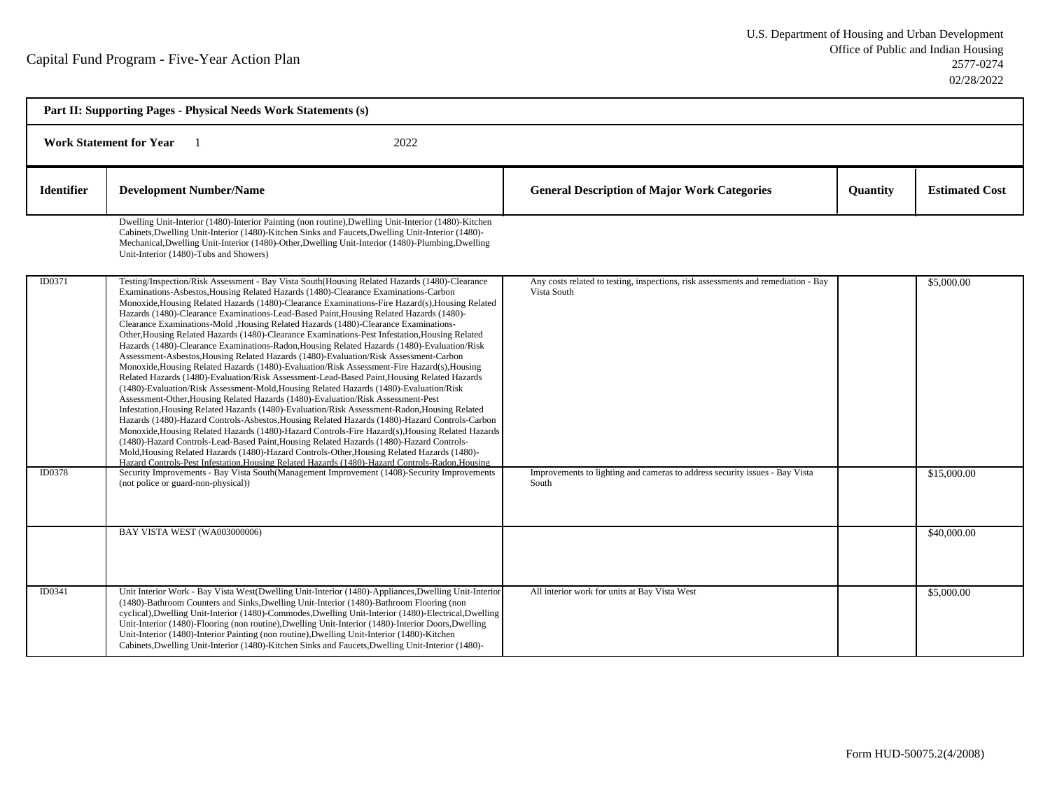| Part II: Supporting Pages - Physical Needs Work Statements (s) |                                                                                                                                                                                                                                                                                                                                                                                                                                                                                                                                                                                                                                                                                                                                                                                                                                                                                                                                                                                                                                                                                                                                                                                                                                                                                                                                                                                                                                                                                                                                                                                                                                                                                                                                                     |                                                                                                  |          |                       |  |  |
|----------------------------------------------------------------|-----------------------------------------------------------------------------------------------------------------------------------------------------------------------------------------------------------------------------------------------------------------------------------------------------------------------------------------------------------------------------------------------------------------------------------------------------------------------------------------------------------------------------------------------------------------------------------------------------------------------------------------------------------------------------------------------------------------------------------------------------------------------------------------------------------------------------------------------------------------------------------------------------------------------------------------------------------------------------------------------------------------------------------------------------------------------------------------------------------------------------------------------------------------------------------------------------------------------------------------------------------------------------------------------------------------------------------------------------------------------------------------------------------------------------------------------------------------------------------------------------------------------------------------------------------------------------------------------------------------------------------------------------------------------------------------------------------------------------------------------------|--------------------------------------------------------------------------------------------------|----------|-----------------------|--|--|
| <b>Work Statement for Year</b><br>2022                         |                                                                                                                                                                                                                                                                                                                                                                                                                                                                                                                                                                                                                                                                                                                                                                                                                                                                                                                                                                                                                                                                                                                                                                                                                                                                                                                                                                                                                                                                                                                                                                                                                                                                                                                                                     |                                                                                                  |          |                       |  |  |
| <b>Identifier</b>                                              | <b>Development Number/Name</b>                                                                                                                                                                                                                                                                                                                                                                                                                                                                                                                                                                                                                                                                                                                                                                                                                                                                                                                                                                                                                                                                                                                                                                                                                                                                                                                                                                                                                                                                                                                                                                                                                                                                                                                      | <b>General Description of Major Work Categories</b>                                              | Quantity | <b>Estimated Cost</b> |  |  |
|                                                                | Dwelling Unit-Interior (1480)-Interior Painting (non routine), Dwelling Unit-Interior (1480)-Kitchen<br>Cabinets, Dwelling Unit-Interior (1480)-Kitchen Sinks and Faucets, Dwelling Unit-Interior (1480)-<br>Mechanical, Dwelling Unit-Interior (1480)-Other, Dwelling Unit-Interior (1480)-Plumbing, Dwelling<br>Unit-Interior (1480)-Tubs and Showers)                                                                                                                                                                                                                                                                                                                                                                                                                                                                                                                                                                                                                                                                                                                                                                                                                                                                                                                                                                                                                                                                                                                                                                                                                                                                                                                                                                                            |                                                                                                  |          |                       |  |  |
| ID0371                                                         | Testing/Inspection/Risk Assessment - Bay Vista South(Housing Related Hazards (1480)-Clearance<br>Examinations-Asbestos, Housing Related Hazards (1480)-Clearance Examinations-Carbon<br>Monoxide, Housing Related Hazards (1480)-Clearance Examinations-Fire Hazard(s), Housing Related<br>Hazards (1480)-Clearance Examinations-Lead-Based Paint, Housing Related Hazards (1480)-<br>Clearance Examinations-Mold , Housing Related Hazards (1480)-Clearance Examinations-<br>Other, Housing Related Hazards (1480)-Clearance Examinations-Pest Infestation, Housing Related<br>Hazards (1480)-Clearance Examinations-Radon, Housing Related Hazards (1480)-Evaluation/Risk<br>Assessment-Asbestos, Housing Related Hazards (1480)-Evaluation/Risk Assessment-Carbon<br>Monoxide, Housing Related Hazards (1480)-Evaluation/Risk Assessment-Fire Hazard(s), Housing<br>Related Hazards (1480)-Evaluation/Risk Assessment-Lead-Based Paint, Housing Related Hazards<br>(1480)-Evaluation/Risk Assessment-Mold, Housing Related Hazards (1480)-Evaluation/Risk<br>Assessment-Other, Housing Related Hazards (1480)-Evaluation/Risk Assessment-Pest<br>Infestation, Housing Related Hazards (1480)-Evaluation/Risk Assessment-Radon, Housing Related<br>Hazards (1480)-Hazard Controls-Asbestos, Housing Related Hazards (1480)-Hazard Controls-Carbon<br>Monoxide, Housing Related Hazards (1480)-Hazard Controls-Fire Hazard(s), Housing Related Hazards<br>(1480)-Hazard Controls-Lead-Based Paint, Housing Related Hazards (1480)-Hazard Controls-<br>Mold, Housing Related Hazards (1480)-Hazard Controls-Other, Housing Related Hazards (1480)-<br>Hazard Controls-Pest Infestation.Housing Related Hazards (1480)-Hazard Controls-Radon.Housing | Any costs related to testing, inspections, risk assessments and remediation - Bay<br>Vista South |          | \$5,000.00            |  |  |
| ID0378                                                         | Security Improvements - Bay Vista South(Management Improvement (1408)-Security Improvements<br>(not police or guard-non-physical))                                                                                                                                                                                                                                                                                                                                                                                                                                                                                                                                                                                                                                                                                                                                                                                                                                                                                                                                                                                                                                                                                                                                                                                                                                                                                                                                                                                                                                                                                                                                                                                                                  | Improvements to lighting and cameras to address security issues - Bay Vista<br>South             |          | \$15,000.00           |  |  |
|                                                                | BAY VISTA WEST (WA003000006)                                                                                                                                                                                                                                                                                                                                                                                                                                                                                                                                                                                                                                                                                                                                                                                                                                                                                                                                                                                                                                                                                                                                                                                                                                                                                                                                                                                                                                                                                                                                                                                                                                                                                                                        |                                                                                                  |          | \$40,000.00           |  |  |
| ID0341                                                         | Unit Interior Work - Bay Vista West(Dwelling Unit-Interior (1480)-Appliances, Dwelling Unit-Interior<br>(1480)-Bathroom Counters and Sinks, Dwelling Unit-Interior (1480)-Bathroom Flooring (non<br>cyclical), Dwelling Unit-Interior (1480)-Commodes, Dwelling Unit-Interior (1480)-Electrical, Dwelling<br>Unit-Interior (1480)-Flooring (non routine), Dwelling Unit-Interior (1480)-Interior Doors, Dwelling<br>Unit-Interior (1480)-Interior Painting (non routine), Dwelling Unit-Interior (1480)-Kitchen<br>Cabinets, Dwelling Unit-Interior (1480)-Kitchen Sinks and Faucets, Dwelling Unit-Interior (1480)-                                                                                                                                                                                                                                                                                                                                                                                                                                                                                                                                                                                                                                                                                                                                                                                                                                                                                                                                                                                                                                                                                                                                | All interior work for units at Bay Vista West                                                    |          | \$5,000.00            |  |  |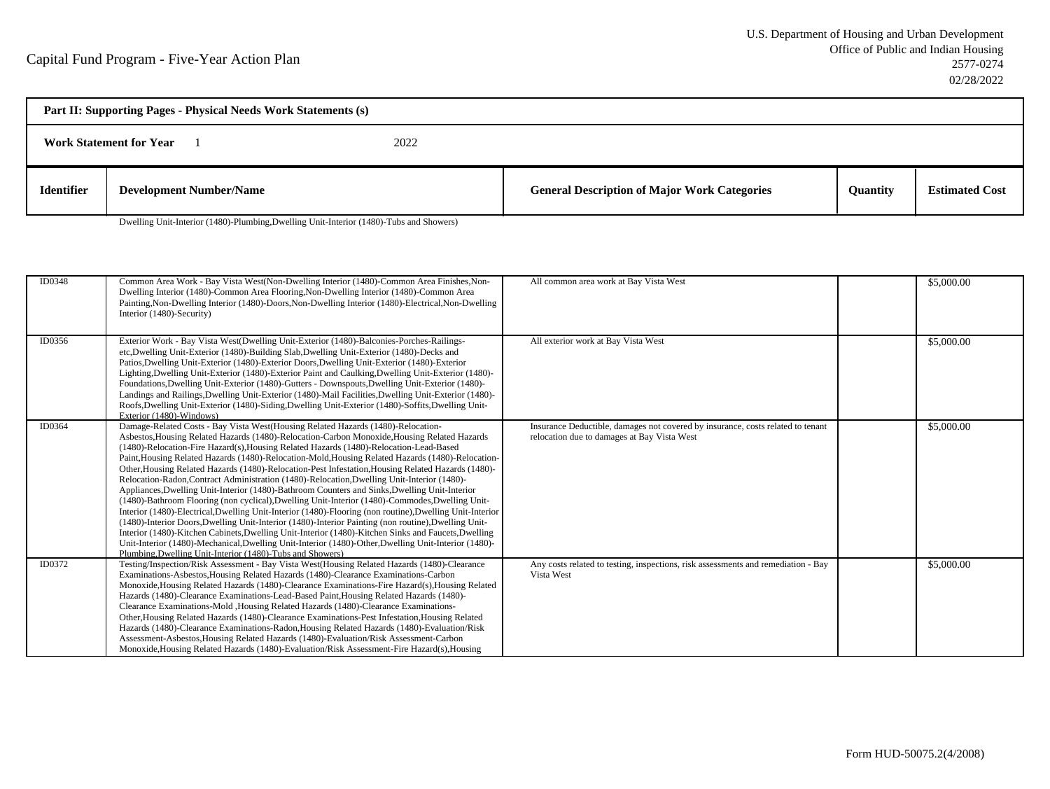| Part II: Supporting Pages - Physical Needs Work Statements (s) |                                |  |                                                     |                 |                       |
|----------------------------------------------------------------|--------------------------------|--|-----------------------------------------------------|-----------------|-----------------------|
| 2022<br><b>Work Statement for Year</b>                         |                                |  |                                                     |                 |                       |
| <b>Identifier</b>                                              | <b>Development Number/Name</b> |  | <b>General Description of Major Work Categories</b> | <b>Ouantity</b> | <b>Estimated Cost</b> |

Dwelling Unit-Interior (1480)-Plumbing,Dwelling Unit-Interior (1480)-Tubs and Showers)

| ID0348 | Common Area Work - Bay Vista West(Non-Dwelling Interior (1480)-Common Area Finishes, Non-<br>Dwelling Interior (1480)-Common Area Flooring, Non-Dwelling Interior (1480)-Common Area<br>Painting, Non-Dwelling Interior (1480)-Doors, Non-Dwelling Interior (1480)-Electrical, Non-Dwelling<br>Interior (1480)-Security)                                                                                                                                                                                                                                                                                                                                                                                                                                                                                                                                                                                                                                                                                                                                                                                                                                                                                                                                                               | All common area work at Bay Vista West                                                                                         | \$5,000.00 |
|--------|----------------------------------------------------------------------------------------------------------------------------------------------------------------------------------------------------------------------------------------------------------------------------------------------------------------------------------------------------------------------------------------------------------------------------------------------------------------------------------------------------------------------------------------------------------------------------------------------------------------------------------------------------------------------------------------------------------------------------------------------------------------------------------------------------------------------------------------------------------------------------------------------------------------------------------------------------------------------------------------------------------------------------------------------------------------------------------------------------------------------------------------------------------------------------------------------------------------------------------------------------------------------------------------|--------------------------------------------------------------------------------------------------------------------------------|------------|
| ID0356 | Exterior Work - Bay Vista West(Dwelling Unit-Exterior (1480)-Balconies-Porches-Railings-<br>etc, Dwelling Unit-Exterior (1480)-Building Slab, Dwelling Unit-Exterior (1480)-Decks and<br>Patios, Dwelling Unit-Exterior (1480)-Exterior Doors, Dwelling Unit-Exterior (1480)-Exterior<br>Lighting, Dwelling Unit-Exterior (1480)-Exterior Paint and Caulking, Dwelling Unit-Exterior (1480)-<br>Foundations, Dwelling Unit-Exterior (1480)-Gutters - Downspouts, Dwelling Unit-Exterior (1480)-<br>Landings and Railings, Dwelling Unit-Exterior (1480)-Mail Facilities, Dwelling Unit-Exterior (1480)-<br>Roofs, Dwelling Unit-Exterior (1480)-Siding, Dwelling Unit-Exterior (1480)-Soffits, Dwelling Unit-<br>Exterior (1480)-Windows)                                                                                                                                                                                                                                                                                                                                                                                                                                                                                                                                              | All exterior work at Bay Vista West                                                                                            | \$5,000.00 |
| ID0364 | Damage-Related Costs - Bay Vista West(Housing Related Hazards (1480)-Relocation-<br>Asbestos, Housing Related Hazards (1480)-Relocation-Carbon Monoxide, Housing Related Hazards<br>(1480)-Relocation-Fire Hazard(s), Housing Related Hazards (1480)-Relocation-Lead-Based<br>Paint, Housing Related Hazards (1480)-Relocation-Mold, Housing Related Hazards (1480)-Relocation-<br>Other, Housing Related Hazards (1480)-Relocation-Pest Infestation, Housing Related Hazards (1480)-<br>Relocation-Radon,Contract Administration (1480)-Relocation,Dwelling Unit-Interior (1480)-<br>Appliances, Dwelling Unit-Interior (1480)-Bathroom Counters and Sinks, Dwelling Unit-Interior<br>(1480)-Bathroom Flooring (non cyclical), Dwelling Unit-Interior (1480)-Commodes, Dwelling Unit-<br>Interior (1480)-Electrical, Dwelling Unit-Interior (1480)-Flooring (non routine), Dwelling Unit-Interior<br>(1480)-Interior Doors, Dwelling Unit-Interior (1480)-Interior Painting (non routine), Dwelling Unit-<br>Interior (1480)-Kitchen Cabinets, Dwelling Unit-Interior (1480)-Kitchen Sinks and Faucets, Dwelling<br>Unit-Interior (1480)-Mechanical, Dwelling Unit-Interior (1480)-Other, Dwelling Unit-Interior (1480)-<br>Plumbing, Dwelling Unit-Interior (1480)-Tubs and Showers) | Insurance Deductible, damages not covered by insurance, costs related to tenant<br>relocation due to damages at Bay Vista West | \$5,000.00 |
| ID0372 | Testing/Inspection/Risk Assessment - Bay Vista West(Housing Related Hazards (1480)-Clearance<br>Examinations-Asbestos, Housing Related Hazards (1480)-Clearance Examinations-Carbon<br>Monoxide, Housing Related Hazards (1480)-Clearance Examinations-Fire Hazard(s), Housing Related<br>Hazards (1480)-Clearance Examinations-Lead-Based Paint, Housing Related Hazards (1480)-<br>Clearance Examinations-Mold , Housing Related Hazards (1480)-Clearance Examinations-<br>Other, Housing Related Hazards (1480)-Clearance Examinations-Pest Infestation, Housing Related<br>Hazards (1480)-Clearance Examinations-Radon, Housing Related Hazards (1480)-Evaluation/Risk<br>Assessment-Asbestos, Housing Related Hazards (1480)-Evaluation/Risk Assessment-Carbon<br>Monoxide, Housing Related Hazards (1480)-Evaluation/Risk Assessment-Fire Hazard(s), Housing                                                                                                                                                                                                                                                                                                                                                                                                                     | Any costs related to testing, inspections, risk assessments and remediation - Bay<br>Vista West                                | \$5,000.00 |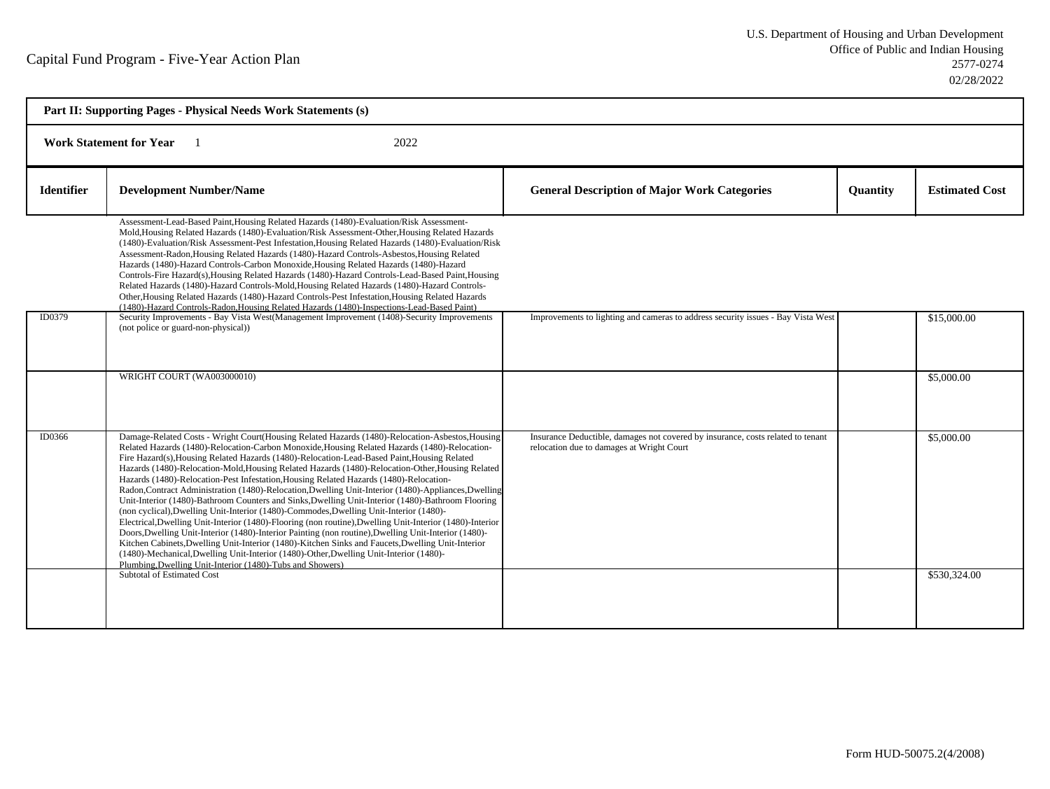| Part II: Supporting Pages - Physical Needs Work Statements (s) |                                                                                                                                                                                                                                                                                                                                                                                                                                                                                                                                                                                                                                                                                                                                                                                                                                                                                                                                                                                                                                                                                                                                                                                                                                                                                      |                                                                                                                              |                 |                       |  |  |
|----------------------------------------------------------------|--------------------------------------------------------------------------------------------------------------------------------------------------------------------------------------------------------------------------------------------------------------------------------------------------------------------------------------------------------------------------------------------------------------------------------------------------------------------------------------------------------------------------------------------------------------------------------------------------------------------------------------------------------------------------------------------------------------------------------------------------------------------------------------------------------------------------------------------------------------------------------------------------------------------------------------------------------------------------------------------------------------------------------------------------------------------------------------------------------------------------------------------------------------------------------------------------------------------------------------------------------------------------------------|------------------------------------------------------------------------------------------------------------------------------|-----------------|-----------------------|--|--|
|                                                                | <b>Work Statement for Year</b><br>2022                                                                                                                                                                                                                                                                                                                                                                                                                                                                                                                                                                                                                                                                                                                                                                                                                                                                                                                                                                                                                                                                                                                                                                                                                                               |                                                                                                                              |                 |                       |  |  |
| <b>Identifier</b>                                              | <b>Development Number/Name</b>                                                                                                                                                                                                                                                                                                                                                                                                                                                                                                                                                                                                                                                                                                                                                                                                                                                                                                                                                                                                                                                                                                                                                                                                                                                       | <b>General Description of Major Work Categories</b>                                                                          | <b>Quantity</b> | <b>Estimated Cost</b> |  |  |
|                                                                | Assessment-Lead-Based Paint, Housing Related Hazards (1480)-Evaluation/Risk Assessment-<br>Mold, Housing Related Hazards (1480)-Evaluation/Risk Assessment-Other, Housing Related Hazards<br>(1480)-Evaluation/Risk Assessment-Pest Infestation, Housing Related Hazards (1480)-Evaluation/Risk<br>Assessment-Radon, Housing Related Hazards (1480)-Hazard Controls-Asbestos, Housing Related<br>Hazards (1480)-Hazard Controls-Carbon Monoxide, Housing Related Hazards (1480)-Hazard<br>Controls-Fire Hazard(s), Housing Related Hazards (1480)-Hazard Controls-Lead-Based Paint, Housing<br>Related Hazards (1480)-Hazard Controls-Mold, Housing Related Hazards (1480)-Hazard Controls-<br>Other, Housing Related Hazards (1480)-Hazard Controls-Pest Infestation, Housing Related Hazards<br>(1480)-Hazard Controls-Radon, Housing Related Hazards (1480)-Inspections-Lead-Based Paint)                                                                                                                                                                                                                                                                                                                                                                                         |                                                                                                                              |                 |                       |  |  |
| ID0379                                                         | Security Improvements - Bay Vista West(Management Improvement (1408)-Security Improvements<br>(not police or guard-non-physical))                                                                                                                                                                                                                                                                                                                                                                                                                                                                                                                                                                                                                                                                                                                                                                                                                                                                                                                                                                                                                                                                                                                                                    | Improvements to lighting and cameras to address security issues - Bay Vista West                                             |                 | \$15,000.00           |  |  |
|                                                                | WRIGHT COURT (WA003000010)                                                                                                                                                                                                                                                                                                                                                                                                                                                                                                                                                                                                                                                                                                                                                                                                                                                                                                                                                                                                                                                                                                                                                                                                                                                           |                                                                                                                              |                 | \$5,000.00            |  |  |
| ID0366                                                         | Damage-Related Costs - Wright Court(Housing Related Hazards (1480)-Relocation-Asbestos, Housing<br>Related Hazards (1480)-Relocation-Carbon Monoxide, Housing Related Hazards (1480)-Relocation-<br>Fire Hazard(s), Housing Related Hazards (1480)-Relocation-Lead-Based Paint, Housing Related<br>Hazards (1480)-Relocation-Mold, Housing Related Hazards (1480)-Relocation-Other, Housing Related<br>Hazards (1480)-Relocation-Pest Infestation, Housing Related Hazards (1480)-Relocation-<br>Radon, Contract Administration (1480)-Relocation, Dwelling Unit-Interior (1480)-Appliances, Dwelling<br>Unit-Interior (1480)-Bathroom Counters and Sinks, Dwelling Unit-Interior (1480)-Bathroom Flooring<br>(non cyclical), Dwelling Unit-Interior (1480)-Commodes, Dwelling Unit-Interior (1480)-<br>Electrical, Dwelling Unit-Interior (1480)-Flooring (non routine), Dwelling Unit-Interior (1480)-Interior<br>Doors, Dwelling Unit-Interior (1480)-Interior Painting (non routine), Dwelling Unit-Interior (1480)-<br>Kitchen Cabinets, Dwelling Unit-Interior (1480)-Kitchen Sinks and Faucets, Dwelling Unit-Interior<br>(1480)-Mechanical, Dwelling Unit-Interior (1480)-Other, Dwelling Unit-Interior (1480)-<br>Plumbing, Dwelling Unit-Interior (1480)-Tubs and Showers) | Insurance Deductible, damages not covered by insurance, costs related to tenant<br>relocation due to damages at Wright Court |                 | \$5,000.00            |  |  |
|                                                                | <b>Subtotal of Estimated Cost</b>                                                                                                                                                                                                                                                                                                                                                                                                                                                                                                                                                                                                                                                                                                                                                                                                                                                                                                                                                                                                                                                                                                                                                                                                                                                    |                                                                                                                              |                 | \$530,324.00          |  |  |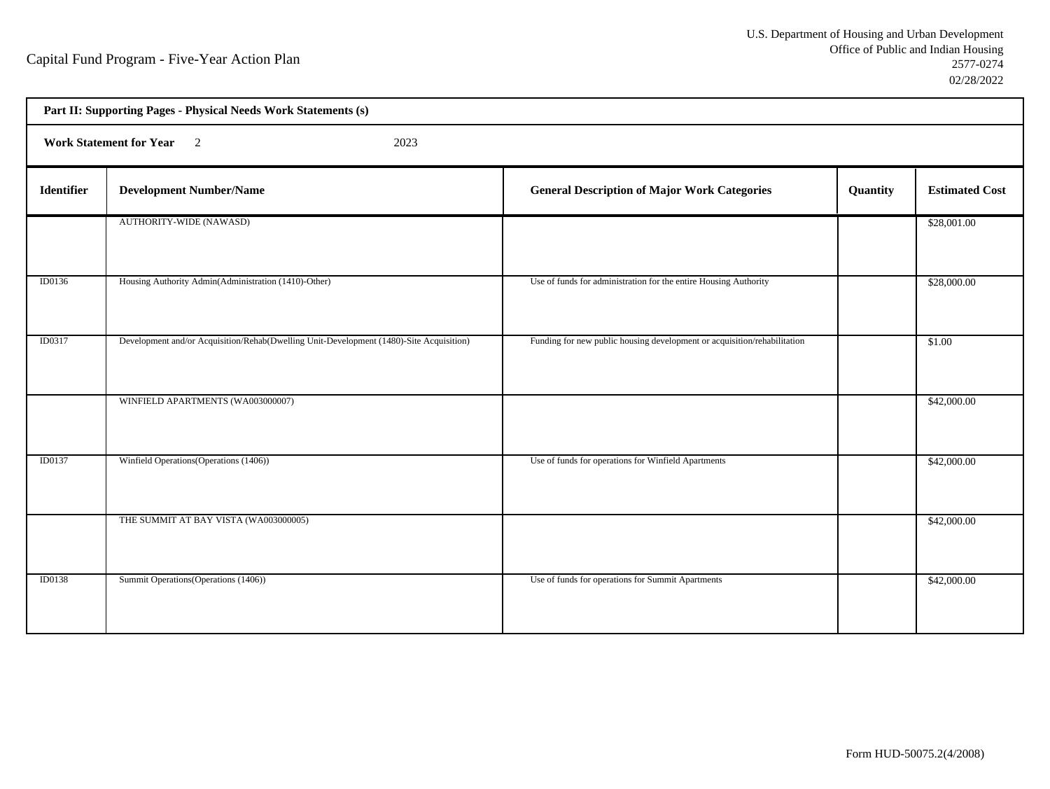| Part II: Supporting Pages - Physical Needs Work Statements (s) |                                                                                         |                                                                          |          |                       |  |  |  |
|----------------------------------------------------------------|-----------------------------------------------------------------------------------------|--------------------------------------------------------------------------|----------|-----------------------|--|--|--|
|                                                                | Work Statement for Year 2<br>2023                                                       |                                                                          |          |                       |  |  |  |
| <b>Identifier</b>                                              | <b>Development Number/Name</b>                                                          | <b>General Description of Major Work Categories</b>                      | Quantity | <b>Estimated Cost</b> |  |  |  |
|                                                                | AUTHORITY-WIDE (NAWASD)                                                                 |                                                                          |          | \$28,001.00           |  |  |  |
| ID0136                                                         | Housing Authority Admin(Administration (1410)-Other)                                    | Use of funds for administration for the entire Housing Authority         |          | \$28,000.00           |  |  |  |
| ID0317                                                         | Development and/or Acquisition/Rehab(Dwelling Unit-Development (1480)-Site Acquisition) | Funding for new public housing development or acquisition/rehabilitation |          | \$1.00                |  |  |  |
|                                                                | WINFIELD APARTMENTS (WA003000007)                                                       |                                                                          |          | \$42,000.00           |  |  |  |
| <b>ID0137</b>                                                  | Winfield Operations (Operations (1406))                                                 | Use of funds for operations for Winfield Apartments                      |          | \$42,000.00           |  |  |  |
|                                                                | THE SUMMIT AT BAY VISTA (WA003000005)                                                   |                                                                          |          | \$42,000.00           |  |  |  |
| <b>ID0138</b>                                                  | Summit Operations (Operations (1406))                                                   | Use of funds for operations for Summit Apartments                        |          | \$42,000.00           |  |  |  |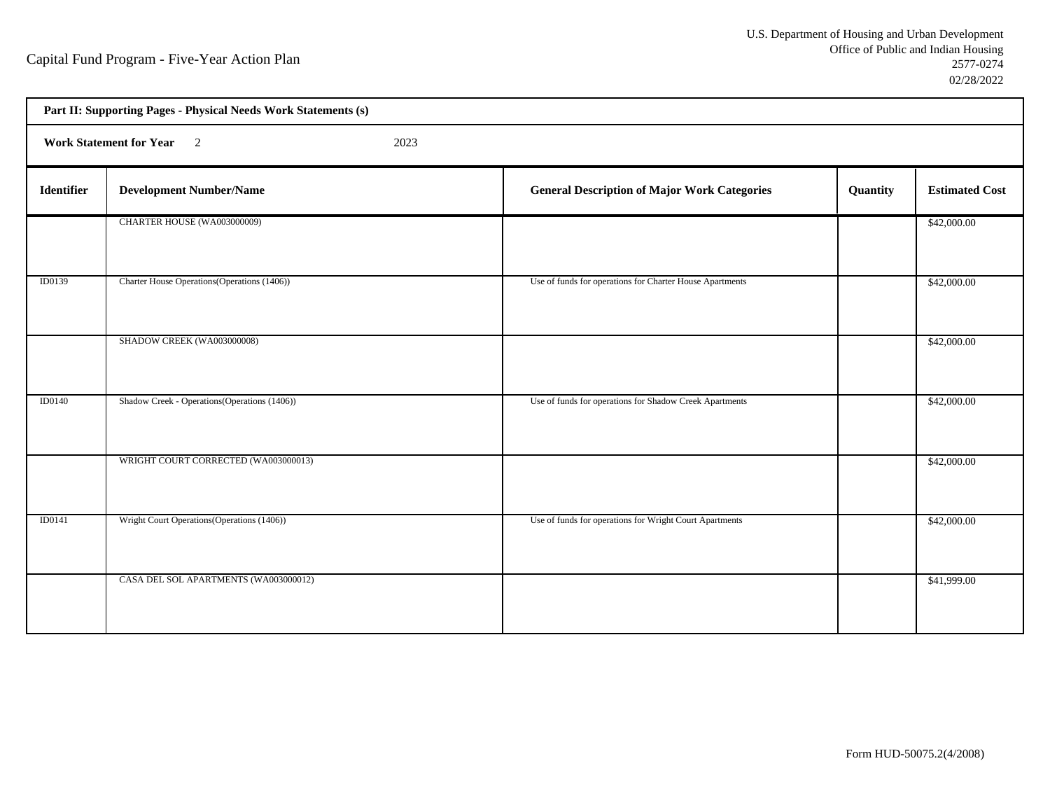| Part II: Supporting Pages - Physical Needs Work Statements (s) |                                               |  |                                                          |          |                       |  |
|----------------------------------------------------------------|-----------------------------------------------|--|----------------------------------------------------------|----------|-----------------------|--|
|                                                                | Work Statement for Year 2<br>2023             |  |                                                          |          |                       |  |
| <b>Identifier</b>                                              | <b>Development Number/Name</b>                |  | <b>General Description of Major Work Categories</b>      | Quantity | <b>Estimated Cost</b> |  |
|                                                                | CHARTER HOUSE (WA003000009)                   |  |                                                          |          | \$42,000.00           |  |
| ID0139                                                         | Charter House Operations (Operations (1406))  |  | Use of funds for operations for Charter House Apartments |          | \$42,000.00           |  |
|                                                                | SHADOW CREEK (WA003000008)                    |  |                                                          |          | \$42,000.00           |  |
| <b>ID0140</b>                                                  | Shadow Creek - Operations (Operations (1406)) |  | Use of funds for operations for Shadow Creek Apartments  |          | \$42,000.00           |  |
|                                                                | WRIGHT COURT CORRECTED (WA003000013)          |  |                                                          |          | \$42,000.00           |  |
| ID0141                                                         | Wright Court Operations (Operations (1406))   |  | Use of funds for operations for Wright Court Apartments  |          | \$42,000.00           |  |
|                                                                | CASA DEL SOL APARTMENTS (WA003000012)         |  |                                                          |          | \$41,999.00           |  |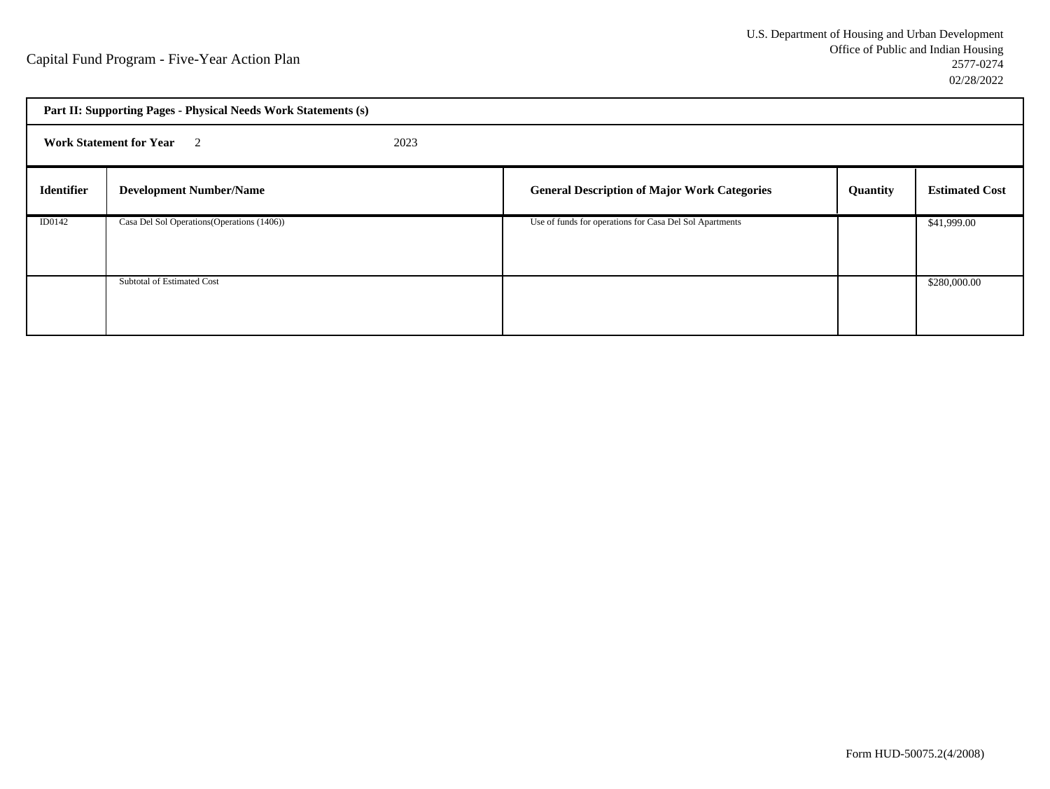| Part II: Supporting Pages - Physical Needs Work Statements (s) |                                             |  |                                                         |          |                       |
|----------------------------------------------------------------|---------------------------------------------|--|---------------------------------------------------------|----------|-----------------------|
| <b>Work Statement for Year</b> 2<br>2023                       |                                             |  |                                                         |          |                       |
| <b>Identifier</b>                                              | <b>Development Number/Name</b>              |  | <b>General Description of Major Work Categories</b>     | Quantity | <b>Estimated Cost</b> |
| ID0142                                                         | Casa Del Sol Operations (Operations (1406)) |  | Use of funds for operations for Casa Del Sol Apartments |          | \$41,999.00           |
|                                                                | Subtotal of Estimated Cost                  |  |                                                         |          | \$280,000.00          |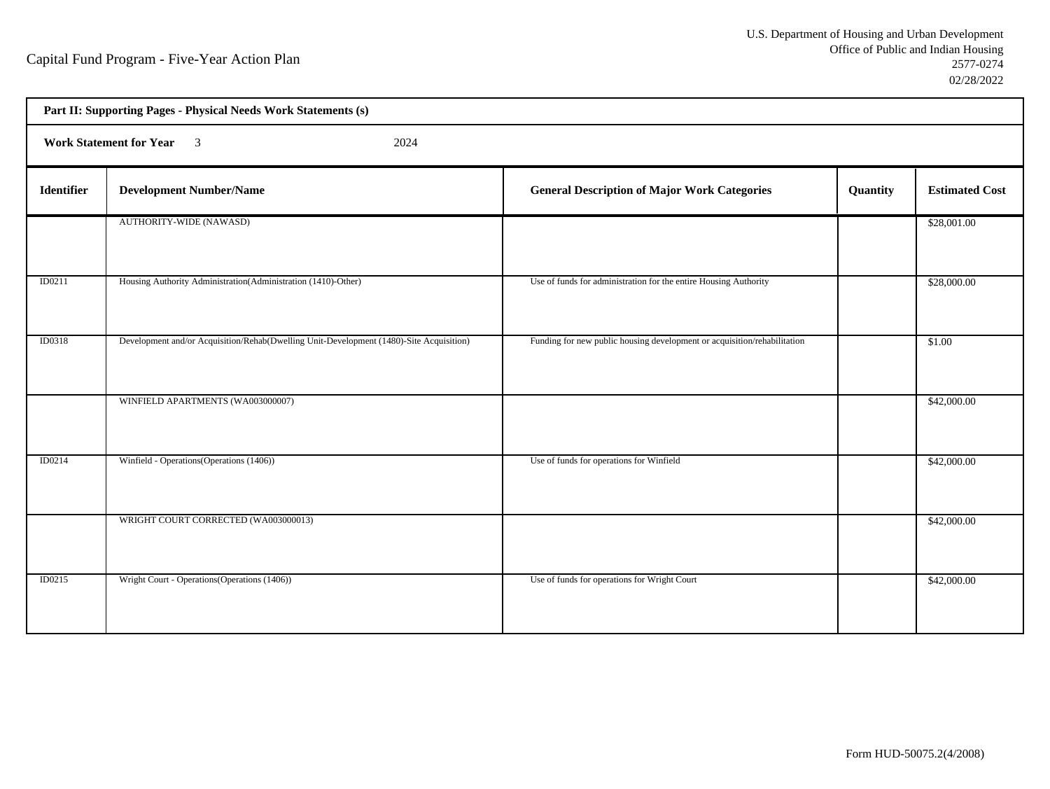| Part II: Supporting Pages - Physical Needs Work Statements (s) |                                                                                         |                                                                          |          |                       |  |  |  |
|----------------------------------------------------------------|-----------------------------------------------------------------------------------------|--------------------------------------------------------------------------|----------|-----------------------|--|--|--|
|                                                                | Work Statement for Year 3<br>2024                                                       |                                                                          |          |                       |  |  |  |
| <b>Identifier</b>                                              | <b>Development Number/Name</b>                                                          | <b>General Description of Major Work Categories</b>                      | Quantity | <b>Estimated Cost</b> |  |  |  |
|                                                                | AUTHORITY-WIDE (NAWASD)                                                                 |                                                                          |          | \$28,001.00           |  |  |  |
| ID0211                                                         | Housing Authority Administration (Administration (1410)-Other)                          | Use of funds for administration for the entire Housing Authority         |          | \$28,000.00           |  |  |  |
| ID0318                                                         | Development and/or Acquisition/Rehab(Dwelling Unit-Development (1480)-Site Acquisition) | Funding for new public housing development or acquisition/rehabilitation |          | \$1.00                |  |  |  |
|                                                                | WINFIELD APARTMENTS (WA003000007)                                                       |                                                                          |          | \$42,000.00           |  |  |  |
| ID0214                                                         | Winfield - Operations (Operations (1406))                                               | Use of funds for operations for Winfield                                 |          | \$42,000.00           |  |  |  |
|                                                                | WRIGHT COURT CORRECTED (WA003000013)                                                    |                                                                          |          | \$42,000.00           |  |  |  |
| ID0215                                                         | Wright Court - Operations (Operations (1406))                                           | Use of funds for operations for Wright Court                             |          | \$42,000.00           |  |  |  |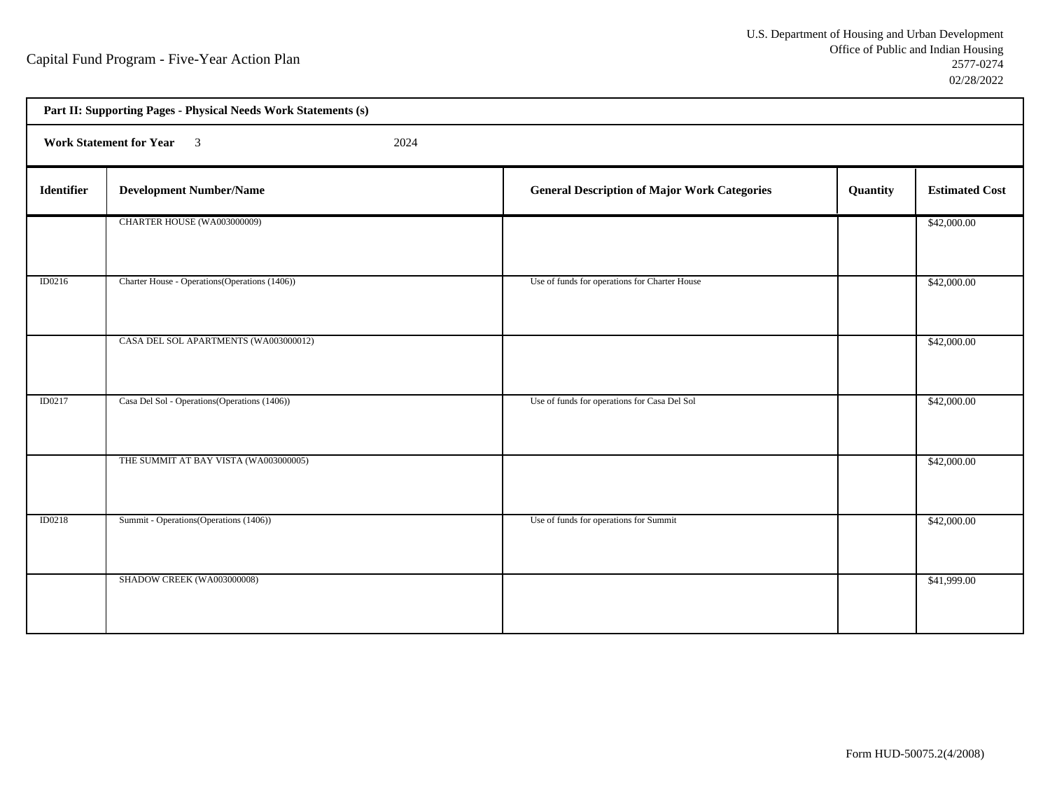| Part II: Supporting Pages - Physical Needs Work Statements (s) |                                                |                                                     |          |                       |  |  |
|----------------------------------------------------------------|------------------------------------------------|-----------------------------------------------------|----------|-----------------------|--|--|
|                                                                | Work Statement for Year 3<br>2024              |                                                     |          |                       |  |  |
| <b>Identifier</b>                                              | <b>Development Number/Name</b>                 | <b>General Description of Major Work Categories</b> | Quantity | <b>Estimated Cost</b> |  |  |
|                                                                | CHARTER HOUSE (WA003000009)                    |                                                     |          | \$42,000.00           |  |  |
| ID0216                                                         | Charter House - Operations (Operations (1406)) | Use of funds for operations for Charter House       |          | \$42,000.00           |  |  |
|                                                                | CASA DEL SOL APARTMENTS (WA003000012)          |                                                     |          | \$42,000.00           |  |  |
| ID0217                                                         | Casa Del Sol - Operations (Operations (1406))  | Use of funds for operations for Casa Del Sol        |          | \$42,000.00           |  |  |
|                                                                | THE SUMMIT AT BAY VISTA (WA003000005)          |                                                     |          | \$42,000.00           |  |  |
| <b>ID0218</b>                                                  | Summit - Operations (Operations (1406))        | Use of funds for operations for Summit              |          | \$42,000.00           |  |  |
|                                                                | SHADOW CREEK (WA003000008)                     |                                                     |          | \$41,999.00           |  |  |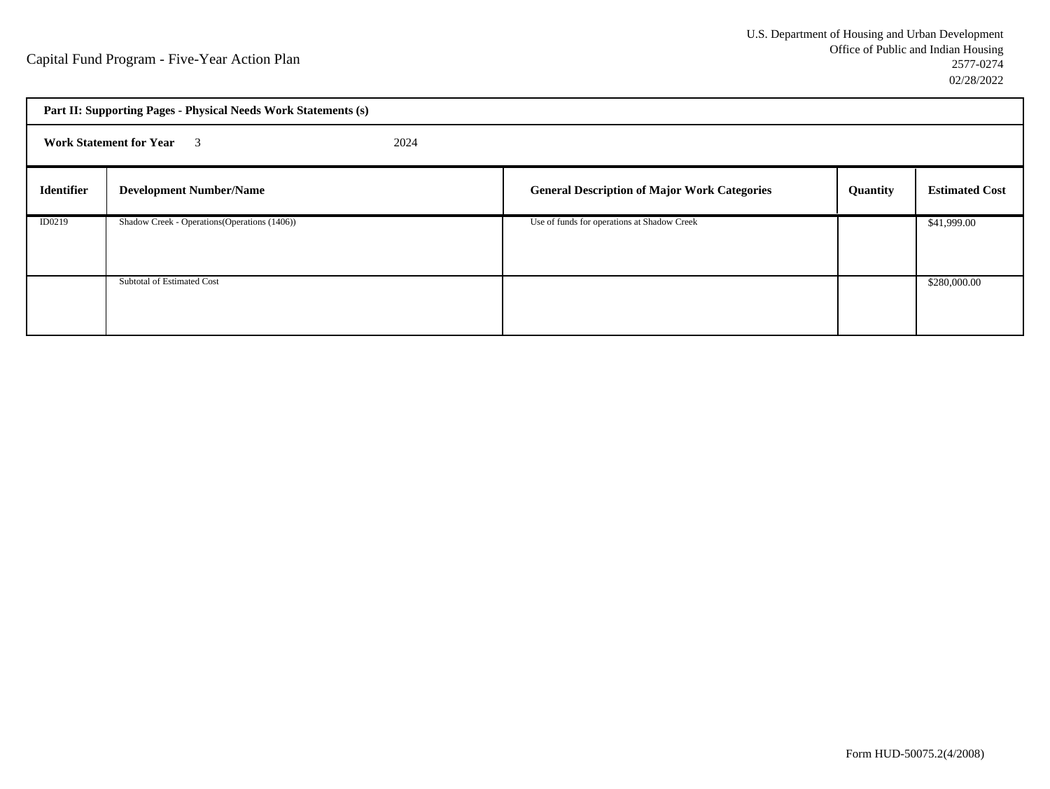| Part II: Supporting Pages - Physical Needs Work Statements (s) |                                               |  |                                                     |          |                       |
|----------------------------------------------------------------|-----------------------------------------------|--|-----------------------------------------------------|----------|-----------------------|
|                                                                | <b>Work Statement for Year</b> 3<br>2024      |  |                                                     |          |                       |
| <b>Identifier</b>                                              | <b>Development Number/Name</b>                |  | <b>General Description of Major Work Categories</b> | Quantity | <b>Estimated Cost</b> |
| ID0219                                                         | Shadow Creek - Operations (Operations (1406)) |  | Use of funds for operations at Shadow Creek         |          | \$41,999.00           |
|                                                                | Subtotal of Estimated Cost                    |  |                                                     |          | \$280,000.00          |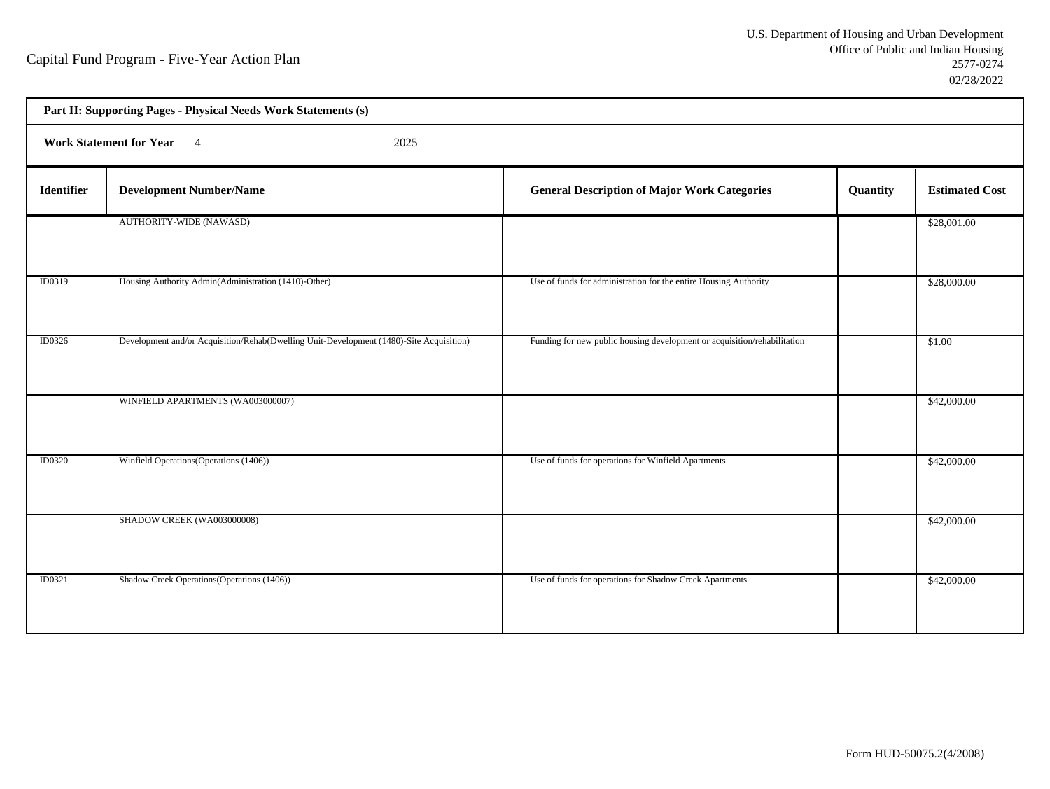| Part II: Supporting Pages - Physical Needs Work Statements (s) |                                                                                         |                                                                          |          |                       |  |  |  |
|----------------------------------------------------------------|-----------------------------------------------------------------------------------------|--------------------------------------------------------------------------|----------|-----------------------|--|--|--|
|                                                                | Work Statement for Year 4<br>2025                                                       |                                                                          |          |                       |  |  |  |
| <b>Identifier</b>                                              | <b>Development Number/Name</b>                                                          | <b>General Description of Major Work Categories</b>                      | Quantity | <b>Estimated Cost</b> |  |  |  |
|                                                                | AUTHORITY-WIDE (NAWASD)                                                                 |                                                                          |          | \$28,001.00           |  |  |  |
| ID0319                                                         | Housing Authority Admin(Administration (1410)-Other)                                    | Use of funds for administration for the entire Housing Authority         |          | \$28,000.00           |  |  |  |
| ID0326                                                         | Development and/or Acquisition/Rehab(Dwelling Unit-Development (1480)-Site Acquisition) | Funding for new public housing development or acquisition/rehabilitation |          | \$1.00                |  |  |  |
|                                                                | WINFIELD APARTMENTS (WA003000007)                                                       |                                                                          |          | \$42,000.00           |  |  |  |
| <b>ID0320</b>                                                  | Winfield Operations (Operations (1406))                                                 | Use of funds for operations for Winfield Apartments                      |          | \$42,000.00           |  |  |  |
|                                                                | SHADOW CREEK (WA003000008)                                                              |                                                                          |          | \$42,000.00           |  |  |  |
| ID0321                                                         | Shadow Creek Operations (Operations (1406))                                             | Use of funds for operations for Shadow Creek Apartments                  |          | \$42,000.00           |  |  |  |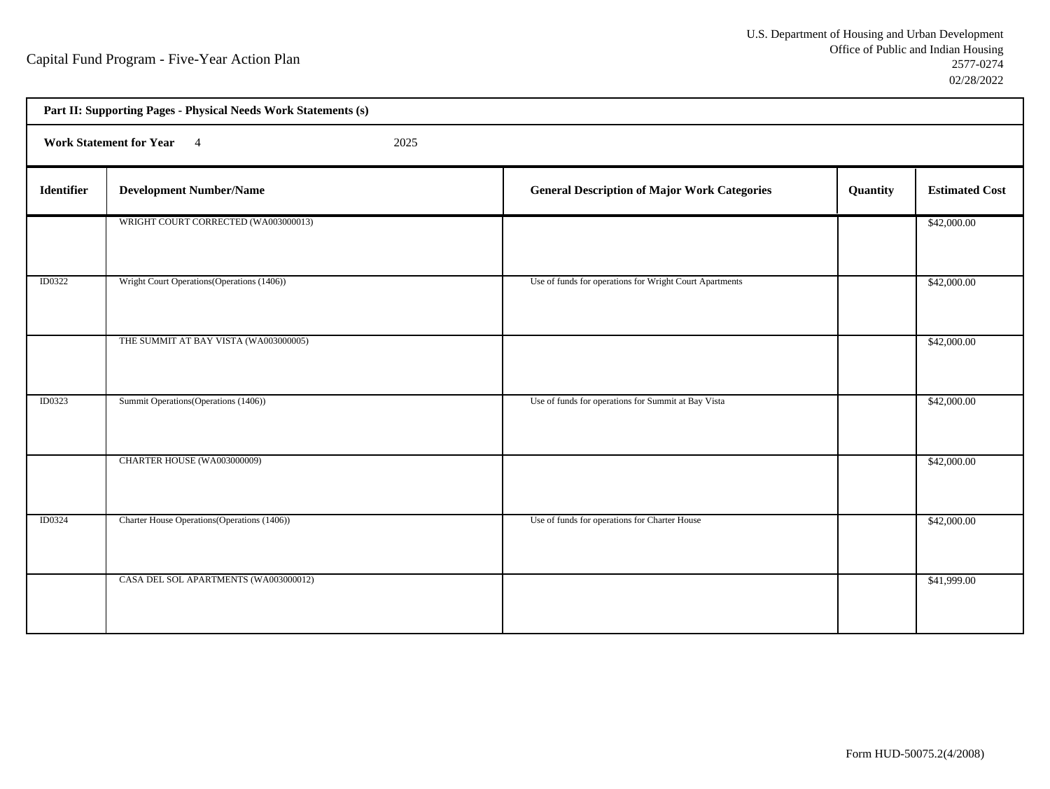| Part II: Supporting Pages - Physical Needs Work Statements (s) |                                              |                                                         |          |                       |  |  |  |
|----------------------------------------------------------------|----------------------------------------------|---------------------------------------------------------|----------|-----------------------|--|--|--|
|                                                                | Work Statement for Year 4<br>2025            |                                                         |          |                       |  |  |  |
| <b>Identifier</b>                                              | <b>Development Number/Name</b>               | <b>General Description of Major Work Categories</b>     | Quantity | <b>Estimated Cost</b> |  |  |  |
|                                                                | WRIGHT COURT CORRECTED (WA003000013)         |                                                         |          | \$42,000.00           |  |  |  |
| <b>ID0322</b>                                                  | Wright Court Operations (Operations (1406))  | Use of funds for operations for Wright Court Apartments |          | \$42,000.00           |  |  |  |
|                                                                | THE SUMMIT AT BAY VISTA (WA003000005)        |                                                         |          | \$42,000.00           |  |  |  |
| ID0323                                                         | Summit Operations (Operations (1406))        | Use of funds for operations for Summit at Bay Vista     |          | \$42,000.00           |  |  |  |
|                                                                | CHARTER HOUSE (WA003000009)                  |                                                         |          | \$42,000.00           |  |  |  |
| ID0324                                                         | Charter House Operations (Operations (1406)) | Use of funds for operations for Charter House           |          | \$42,000.00           |  |  |  |
|                                                                | CASA DEL SOL APARTMENTS (WA003000012)        |                                                         |          | \$41,999.00           |  |  |  |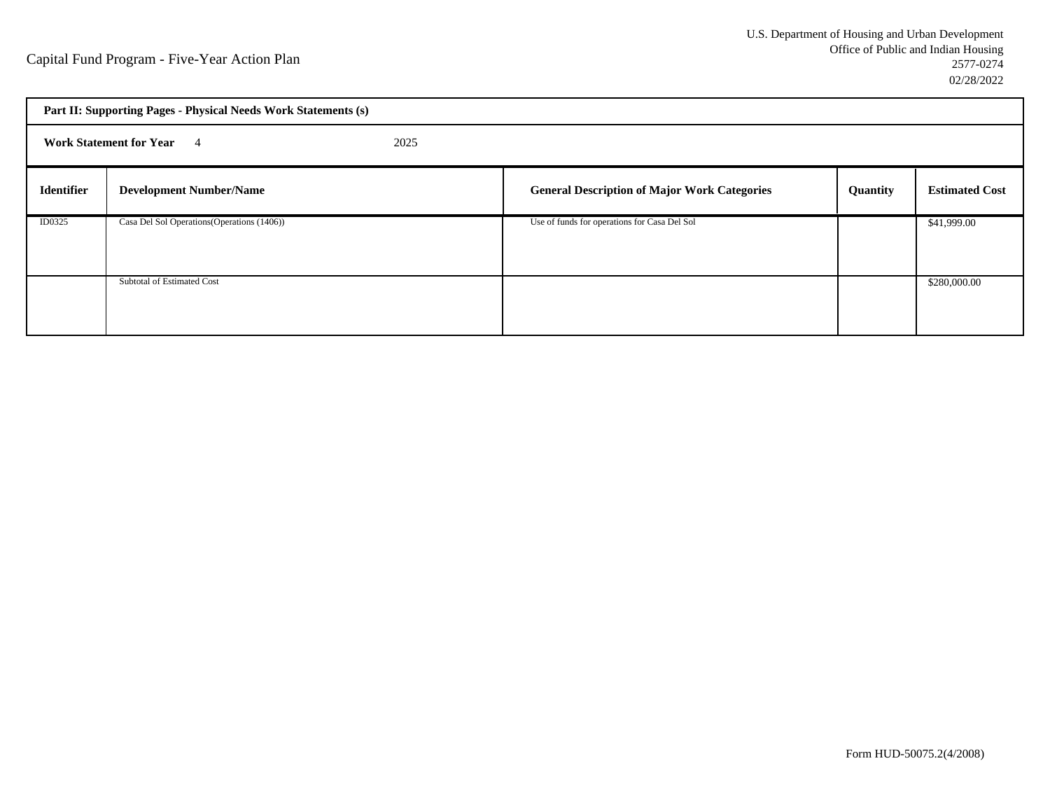| Part II: Supporting Pages - Physical Needs Work Statements (s) |                                             |  |                                                     |          |                       |
|----------------------------------------------------------------|---------------------------------------------|--|-----------------------------------------------------|----------|-----------------------|
| 2025<br><b>Work Statement for Year</b> 4                       |                                             |  |                                                     |          |                       |
| <b>Identifier</b>                                              | <b>Development Number/Name</b>              |  | <b>General Description of Major Work Categories</b> | Quantity | <b>Estimated Cost</b> |
| ID0325                                                         | Casa Del Sol Operations (Operations (1406)) |  | Use of funds for operations for Casa Del Sol        |          | \$41,999.00           |
|                                                                | Subtotal of Estimated Cost                  |  |                                                     |          | \$280,000.00          |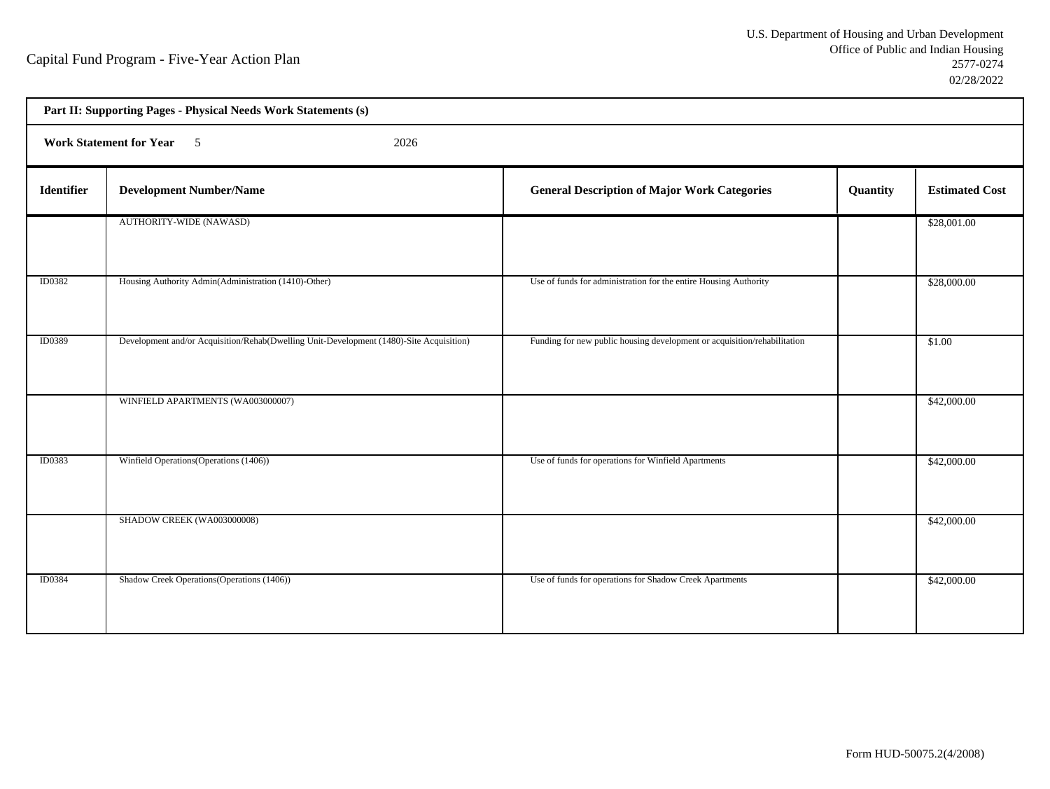| Part II: Supporting Pages - Physical Needs Work Statements (s) |                                                                                         |                                                                          |          |                       |  |  |  |
|----------------------------------------------------------------|-----------------------------------------------------------------------------------------|--------------------------------------------------------------------------|----------|-----------------------|--|--|--|
|                                                                | Work Statement for Year 5<br>2026                                                       |                                                                          |          |                       |  |  |  |
| <b>Identifier</b>                                              | <b>Development Number/Name</b>                                                          | <b>General Description of Major Work Categories</b>                      | Quantity | <b>Estimated Cost</b> |  |  |  |
|                                                                | AUTHORITY-WIDE (NAWASD)                                                                 |                                                                          |          | \$28,001.00           |  |  |  |
| <b>ID0382</b>                                                  | Housing Authority Admin(Administration (1410)-Other)                                    | Use of funds for administration for the entire Housing Authority         |          | \$28,000.00           |  |  |  |
| ID0389                                                         | Development and/or Acquisition/Rehab(Dwelling Unit-Development (1480)-Site Acquisition) | Funding for new public housing development or acquisition/rehabilitation |          | \$1.00                |  |  |  |
|                                                                | WINFIELD APARTMENTS (WA003000007)                                                       |                                                                          |          | \$42,000.00           |  |  |  |
| <b>ID0383</b>                                                  | Winfield Operations (Operations (1406))                                                 | Use of funds for operations for Winfield Apartments                      |          | \$42,000.00           |  |  |  |
|                                                                | SHADOW CREEK (WA003000008)                                                              |                                                                          |          | \$42,000.00           |  |  |  |
| <b>ID0384</b>                                                  | Shadow Creek Operations (Operations (1406))                                             | Use of funds for operations for Shadow Creek Apartments                  |          | \$42,000.00           |  |  |  |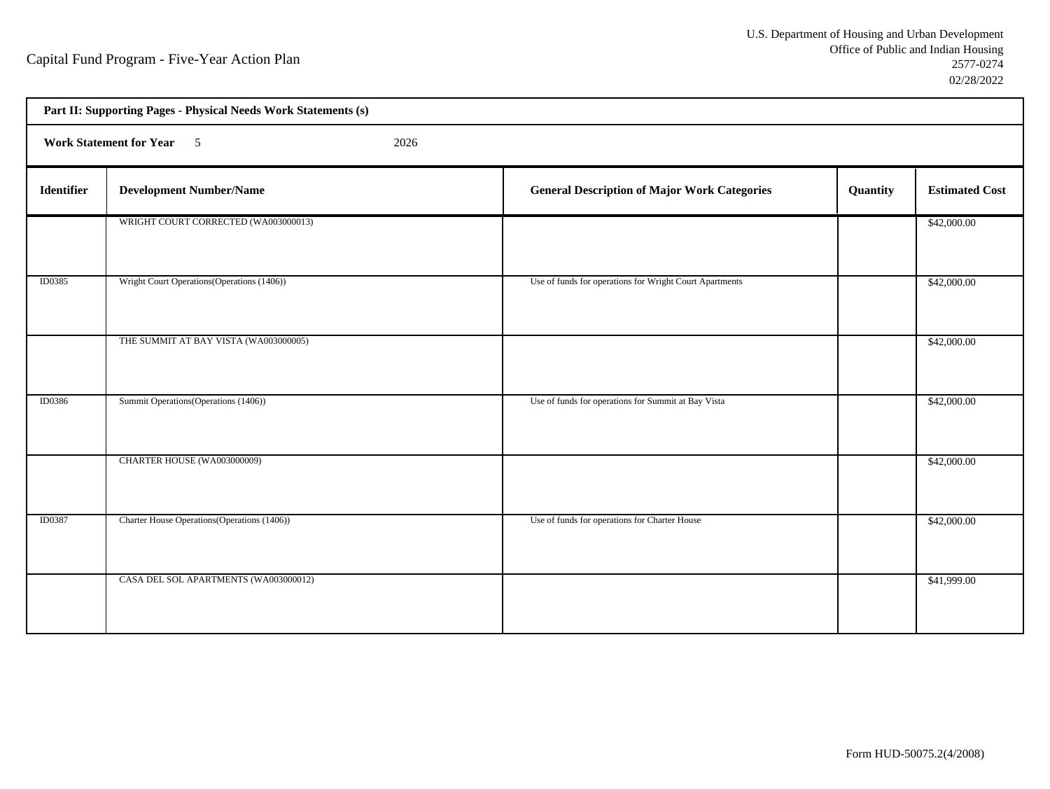| Part II: Supporting Pages - Physical Needs Work Statements (s) |                                              |                                                                 |                       |  |  |  |  |
|----------------------------------------------------------------|----------------------------------------------|-----------------------------------------------------------------|-----------------------|--|--|--|--|
|                                                                | Work Statement for Year 5<br>2026            |                                                                 |                       |  |  |  |  |
| <b>Identifier</b>                                              | <b>Development Number/Name</b>               | <b>General Description of Major Work Categories</b><br>Quantity | <b>Estimated Cost</b> |  |  |  |  |
|                                                                | WRIGHT COURT CORRECTED (WA003000013)         |                                                                 | \$42,000.00           |  |  |  |  |
| <b>ID0385</b>                                                  | Wright Court Operations (Operations (1406))  | Use of funds for operations for Wright Court Apartments         | \$42,000.00           |  |  |  |  |
|                                                                | THE SUMMIT AT BAY VISTA (WA003000005)        |                                                                 | \$42,000.00           |  |  |  |  |
| <b>ID0386</b>                                                  | Summit Operations (Operations (1406))        | Use of funds for operations for Summit at Bay Vista             | \$42,000.00           |  |  |  |  |
|                                                                | CHARTER HOUSE (WA003000009)                  |                                                                 | \$42,000.00           |  |  |  |  |
| ID0387                                                         | Charter House Operations (Operations (1406)) | Use of funds for operations for Charter House                   | \$42,000.00           |  |  |  |  |
|                                                                | CASA DEL SOL APARTMENTS (WA003000012)        |                                                                 | \$41,999.00           |  |  |  |  |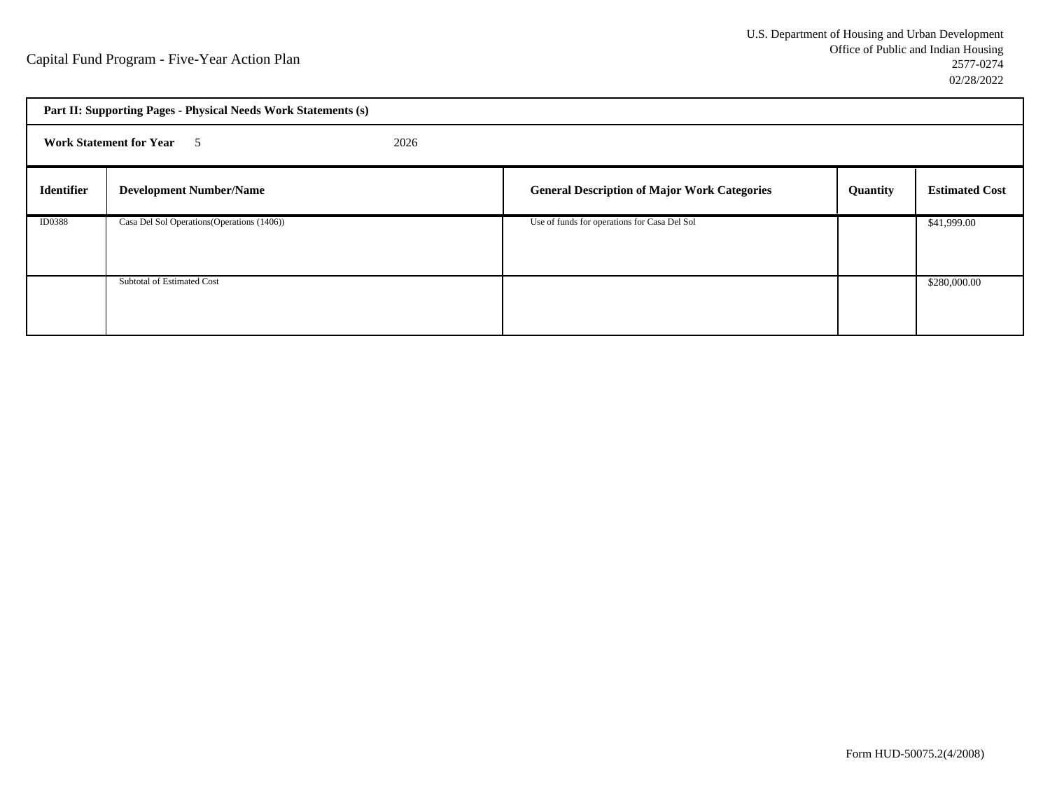| Part II: Supporting Pages - Physical Needs Work Statements (s) |                                             |  |                                                     |          |                       |  |  |
|----------------------------------------------------------------|---------------------------------------------|--|-----------------------------------------------------|----------|-----------------------|--|--|
| 2026<br><b>Work Statement for Year</b> 5                       |                                             |  |                                                     |          |                       |  |  |
| <b>Identifier</b>                                              | <b>Development Number/Name</b>              |  | <b>General Description of Major Work Categories</b> | Quantity | <b>Estimated Cost</b> |  |  |
| <b>ID0388</b>                                                  | Casa Del Sol Operations (Operations (1406)) |  | Use of funds for operations for Casa Del Sol        |          | \$41,999.00           |  |  |
|                                                                | Subtotal of Estimated Cost                  |  |                                                     |          | \$280,000.00          |  |  |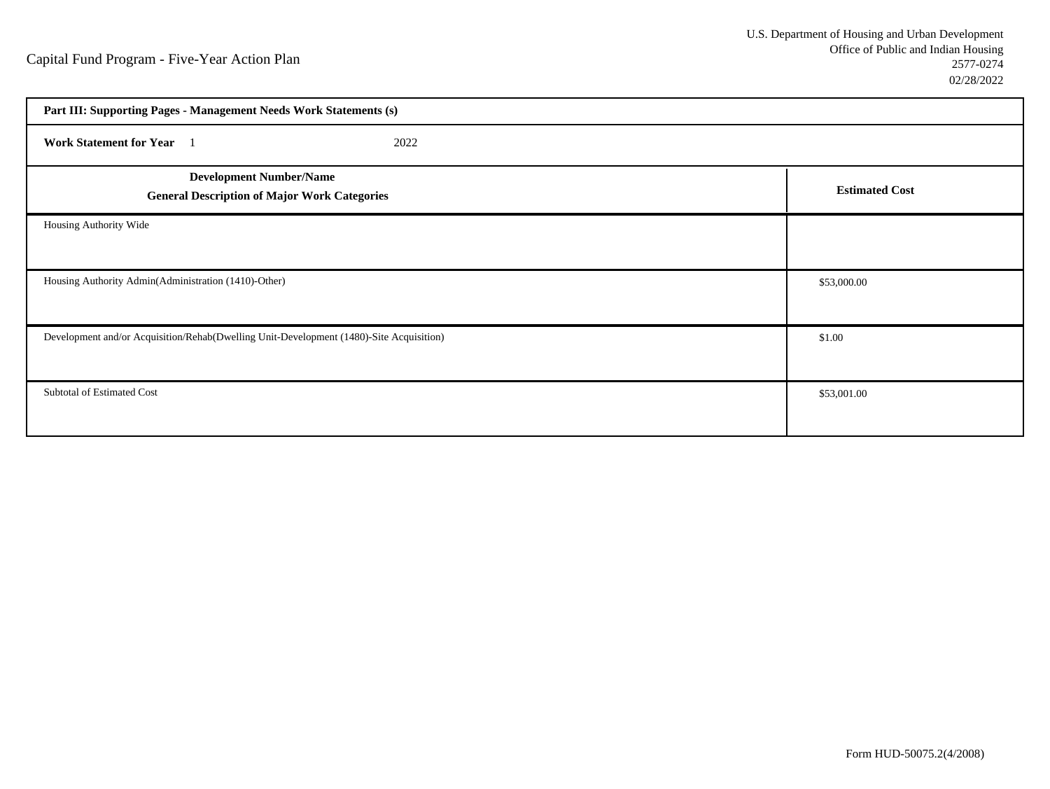| Part III: Supporting Pages - Management Needs Work Statements (s)                       |                       |  |  |  |
|-----------------------------------------------------------------------------------------|-----------------------|--|--|--|
| Work Statement for Year 1<br>2022                                                       |                       |  |  |  |
| <b>Development Number/Name</b><br><b>General Description of Major Work Categories</b>   | <b>Estimated Cost</b> |  |  |  |
| Housing Authority Wide                                                                  |                       |  |  |  |
| Housing Authority Admin(Administration (1410)-Other)                                    | \$53,000.00           |  |  |  |
| Development and/or Acquisition/Rehab(Dwelling Unit-Development (1480)-Site Acquisition) | \$1.00                |  |  |  |
| Subtotal of Estimated Cost                                                              | \$53,001.00           |  |  |  |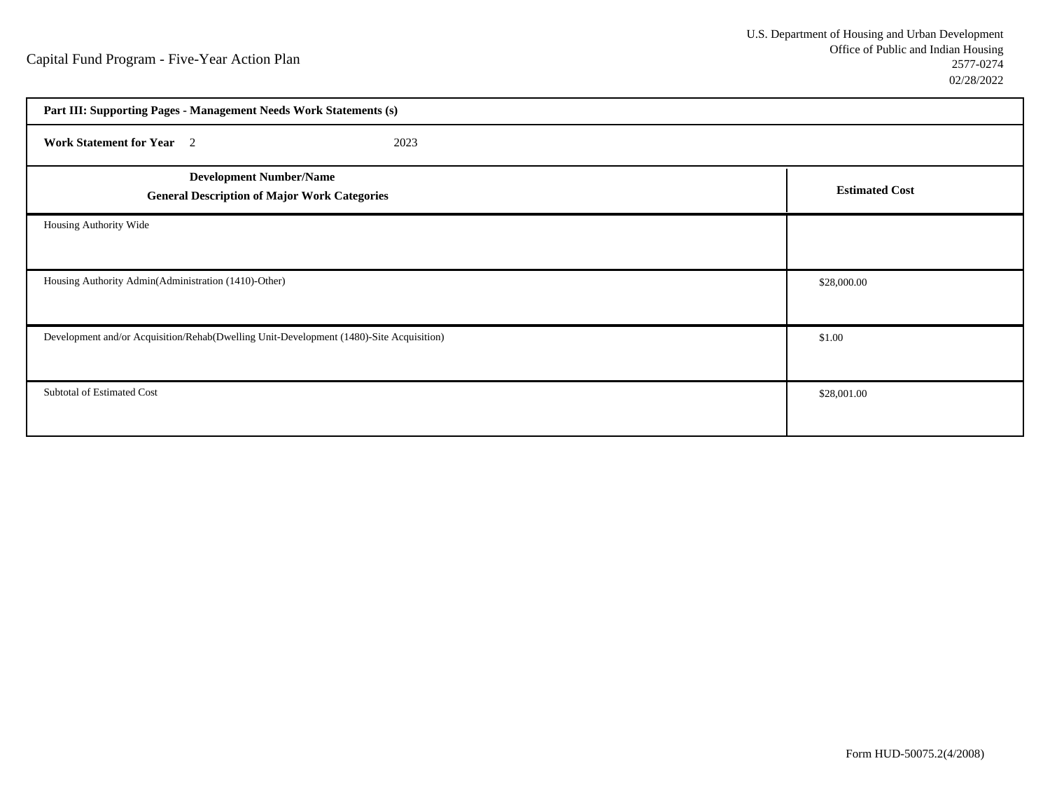| Part III: Supporting Pages - Management Needs Work Statements (s)                       |                       |  |  |  |
|-----------------------------------------------------------------------------------------|-----------------------|--|--|--|
| Work Statement for Year 2<br>2023                                                       |                       |  |  |  |
| <b>Development Number/Name</b><br><b>General Description of Major Work Categories</b>   | <b>Estimated Cost</b> |  |  |  |
| Housing Authority Wide                                                                  |                       |  |  |  |
| Housing Authority Admin(Administration (1410)-Other)                                    | \$28,000.00           |  |  |  |
| Development and/or Acquisition/Rehab(Dwelling Unit-Development (1480)-Site Acquisition) | \$1.00                |  |  |  |
| Subtotal of Estimated Cost                                                              | \$28,001.00           |  |  |  |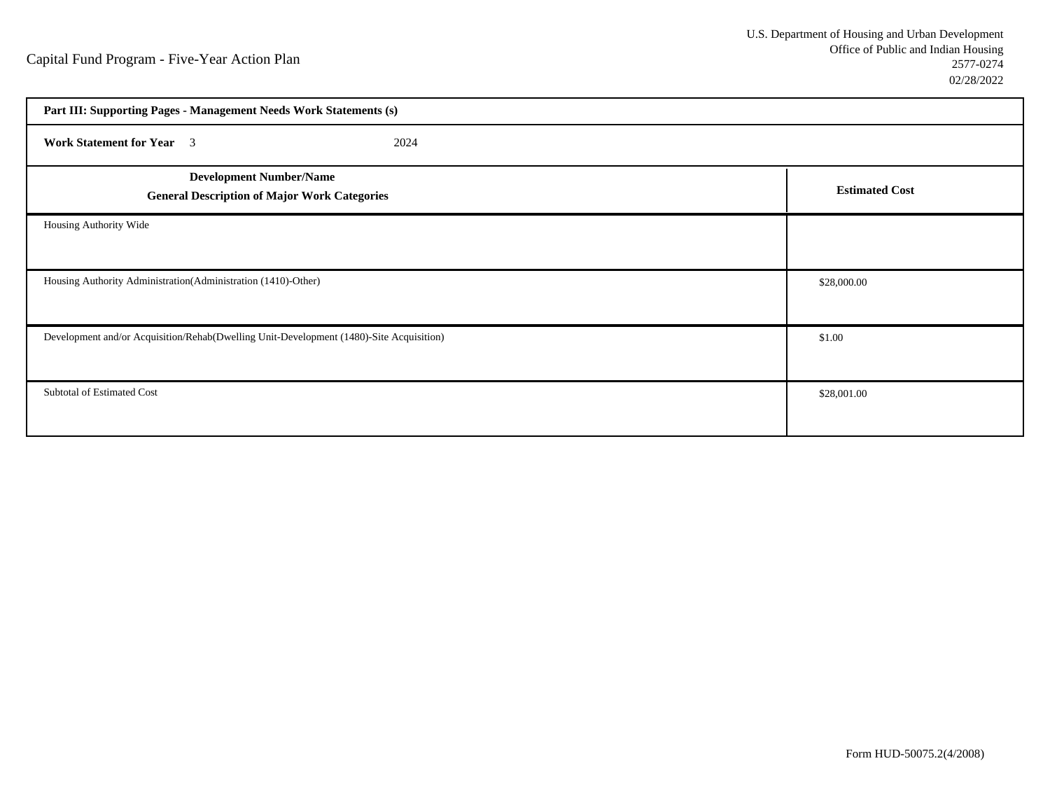| Part III: Supporting Pages - Management Needs Work Statements (s)                       |                       |  |  |  |
|-----------------------------------------------------------------------------------------|-----------------------|--|--|--|
| <b>Work Statement for Year</b> 3<br>2024                                                |                       |  |  |  |
| <b>Development Number/Name</b><br><b>General Description of Major Work Categories</b>   | <b>Estimated Cost</b> |  |  |  |
| Housing Authority Wide                                                                  |                       |  |  |  |
| Housing Authority Administration(Administration (1410)-Other)                           | \$28,000.00           |  |  |  |
| Development and/or Acquisition/Rehab(Dwelling Unit-Development (1480)-Site Acquisition) | \$1.00                |  |  |  |
| Subtotal of Estimated Cost                                                              | \$28,001.00           |  |  |  |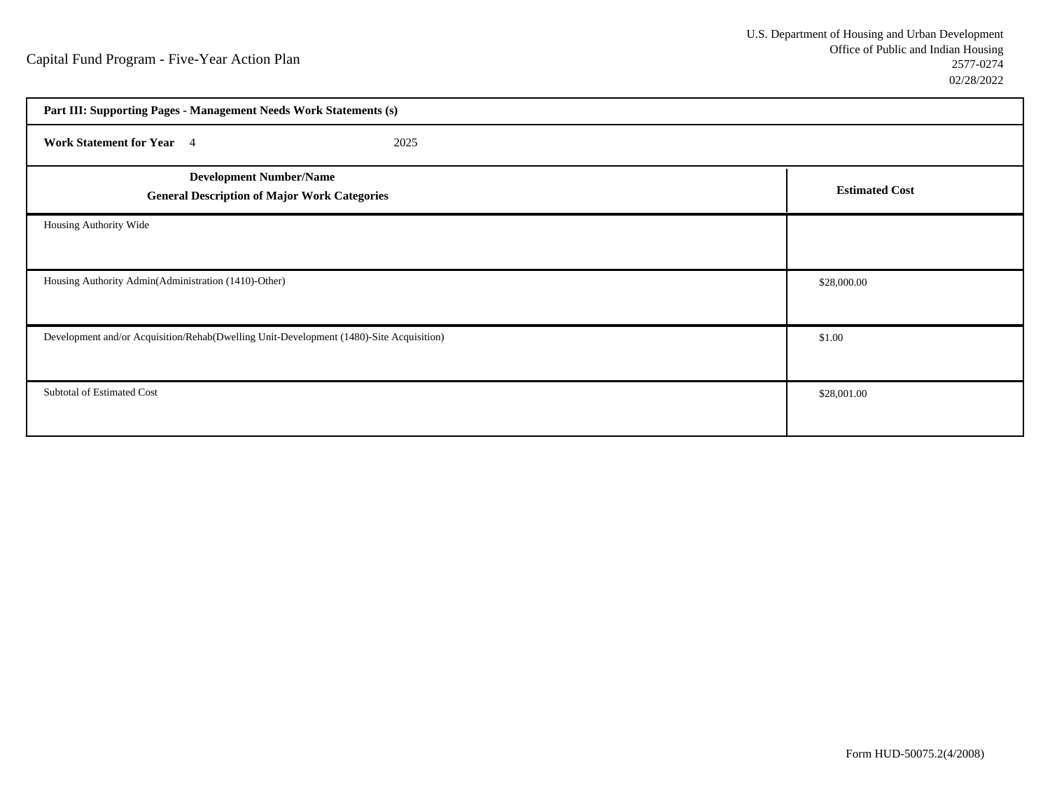| Part III: Supporting Pages - Management Needs Work Statements (s)                       |                       |  |  |  |  |
|-----------------------------------------------------------------------------------------|-----------------------|--|--|--|--|
| Work Statement for Year 4<br>2025                                                       |                       |  |  |  |  |
| <b>Development Number/Name</b><br><b>General Description of Major Work Categories</b>   | <b>Estimated Cost</b> |  |  |  |  |
| Housing Authority Wide                                                                  |                       |  |  |  |  |
| Housing Authority Admin(Administration (1410)-Other)                                    | \$28,000.00           |  |  |  |  |
| Development and/or Acquisition/Rehab(Dwelling Unit-Development (1480)-Site Acquisition) | \$1.00                |  |  |  |  |
| Subtotal of Estimated Cost                                                              | \$28,001.00           |  |  |  |  |